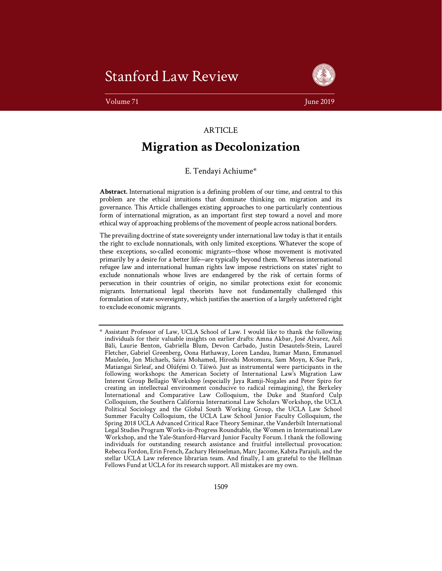# Stanford Law Review



Volume 71 June 2019

# ARTICLE

# **Migration as Decolonization**

# E. Tendayi Achiume\*

**Abstract.** International migration is a defining problem of our time, and central to this problem are the ethical intuitions that dominate thinking on migration and its governance. This Article challenges existing approaches to one particularly contentious form of international migration, as an important first step toward a novel and more ethical way of approaching problems of the movement of people across national borders.

The prevailing doctrine of state sovereignty under international law today is that it entails the right to exclude nonnationals, with only limited exceptions. Whatever the scope of these exceptions, so-called economic migrants—those whose movement is motivated primarily by a desire for a better life—are typically beyond them. Whereas international refugee law and international human rights law impose restrictions on states' right to exclude nonnationals whose lives are endangered by the risk of certain forms of persecution in their countries of origin, no similar protections exist for economic migrants. International legal theorists have not fundamentally challenged this formulation of state sovereignty, which justifies the assertion of a largely unfettered right to exclude economic migrants.

<sup>\*</sup> Assistant Professor of Law, UCLA School of Law. I would like to thank the following individuals for their valuable insights on earlier drafts: Amna Akbar, José Alvarez, Asli Bâli, Laurie Benton, Gabriella Blum, Devon Carbado, Justin Desautels-Stein, Laurel Fletcher, Gabriel Greenberg, Oona Hathaway, Loren Landau, Itamar Mann, Emmanuel Mauleón, Jon Michaels, Saira Mohamed, Hiroshi Motomura, Sam Moyn, K-Sue Park, Matiangai Sirleaf, and Olúfẹ́mi O. Táíwò. Just as instrumental were participants in the following workshops: the American Society of International Law's Migration Law Interest Group Bellagio Workshop (especially Jaya Ramji-Nogales and Peter Spiro for creating an intellectual environment conducive to radical reimagining), the Berkeley International and Comparative Law Colloquium, the Duke and Stanford Culp Colloquium, the Southern California International Law Scholars Workshop, the UCLA Political Sociology and the Global South Working Group, the UCLA Law School Summer Faculty Colloquium, the UCLA Law School Junior Faculty Colloquium, the Spring 2018 UCLA Advanced Critical Race Theory Seminar, the Vanderbilt International Legal Studies Program Works-in-Progress Roundtable, the Women in International Law Workshop, and the Yale-Stanford-Harvard Junior Faculty Forum. I thank the following individuals for outstanding research assistance and fruitful intellectual provocation: Rebecca Fordon, Erin French, Zachary Heinselman, Marc Jacome, Kabita Parajuli, and the stellar UCLA Law reference librarian team. And finally, I am grateful to the Hellman Fellows Fund at UCLA for its research support. All mistakes are my own.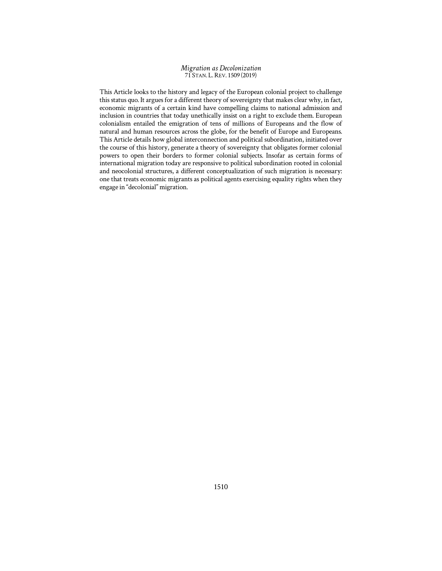This Article looks to the history and legacy of the European colonial project to challenge this status quo. It argues for a different theory of sovereignty that makes clear why, in fact, economic migrants of a certain kind have compelling claims to national admission and inclusion in countries that today unethically insist on a right to exclude them. European colonialism entailed the emigration of tens of millions of Europeans and the flow of natural and human resources across the globe, for the benefit of Europe and Europeans. This Article details how global interconnection and political subordination, initiated over the course of this history, generate a theory of sovereignty that obligates former colonial powers to open their borders to former colonial subjects. Insofar as certain forms of international migration today are responsive to political subordination rooted in colonial and neocolonial structures, a different conceptualization of such migration is necessary: one that treats economic migrants as political agents exercising equality rights when they engage in "decolonial" migration.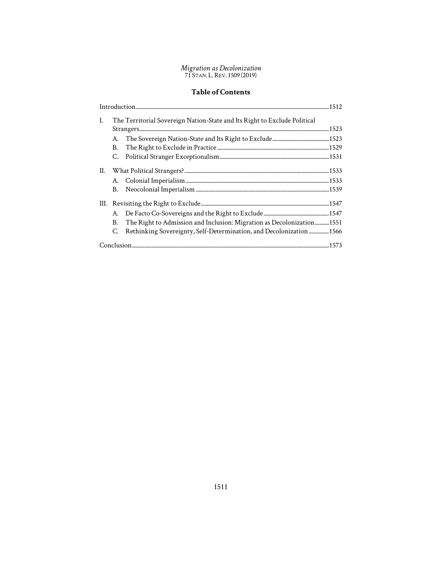# **Table of Contents**

| I.   | The Territorial Sovereign Nation-State and Its Right to Exclude Political |                                                                       |  |
|------|---------------------------------------------------------------------------|-----------------------------------------------------------------------|--|
|      |                                                                           |                                                                       |  |
|      | A.                                                                        |                                                                       |  |
|      | B.                                                                        |                                                                       |  |
|      | C.                                                                        |                                                                       |  |
| II.  |                                                                           |                                                                       |  |
|      |                                                                           |                                                                       |  |
|      | В.                                                                        |                                                                       |  |
| III. |                                                                           |                                                                       |  |
|      | A.                                                                        |                                                                       |  |
|      | В.                                                                        | The Right to Admission and Inclusion: Migration as Decolonization1551 |  |
|      | C.                                                                        | Rethinking Sovereignty, Self-Determination, and Decolonization  1566  |  |
|      |                                                                           |                                                                       |  |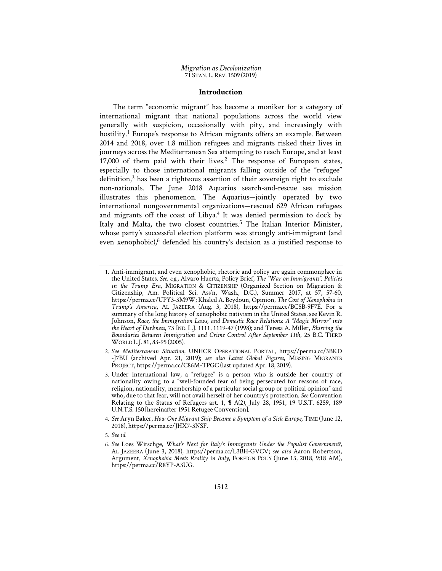### **Introduction**

The term "economic migrant" has become a moniker for a category of international migrant that national populations across the world view generally with suspicion, occasionally with pity, and increasingly with hostility.<sup>1</sup> Europe's response to African migrants offers an example. Between 2014 and 2018, over 1.8 million refugees and migrants risked their lives in journeys across the Mediterranean Sea attempting to reach Europe, and at least 17,000 of them paid with their lives.2 The response of European states, especially to those international migrants falling outside of the "refugee" definition, $3$  has been a righteous assertion of their sovereign right to exclude non-nationals. The June 2018 Aquarius search-and-rescue sea mission illustrates this phenomenon. The Aquarius—jointly operated by two international nongovernmental organizations—rescued 629 African refugees and migrants off the coast of Libya.<sup>4</sup> It was denied permission to dock by Italy and Malta, the two closest countries.<sup>5</sup> The Italian Interior Minister, whose party's successful election platform was strongly anti-immigrant (and even xenophobic),<sup>6</sup> defended his country's decision as a justified response to

- 2. *See Mediterranean Situation*, UNHCR OPERATIONAL PORTAL, https://perma.cc/3BKD -J7BU (archived Apr. 21, 2019); *see also Latest Global Figures*, MISSING MIGRANTS PROJECT, https://perma.cc/C86M-TPGC (last updated Apr. 18, 2019).
- 3. Under international law, a "refugee" is a person who is outside her country of nationality owing to a "well-founded fear of being persecuted for reasons of race, religion, nationality, membership of a particular social group or political opinion" and who, due to that fear, will not avail herself of her country's protection. *See* Convention Relating to the Status of Refugees art. 1, ¶ A(2), July 28, 1951, 19 U.S.T. 6259, 189 U.N.T.S. 150 [hereinafter 1951 Refugee Convention].
- 4. *See* Aryn Baker, *How One Migrant Ship Became a Symptom of a Sick Europe*, TIME (June 12, 2018), https://perma.cc/JHX7-3NSF.
- 5. *See id.*

<sup>1.</sup> Anti-immigrant, and even xenophobic, rhetoric and policy are again commonplace in the United States. *See, e.g.*, Alvaro Huerta, Policy Brief, *The "War on Immigrants": Policies in the Trump Era*, MIGRATION & CITIZENSHIP (Organized Section on Migration & Citizenship, Am. Political Sci. Ass'n, Wash., D.C.), Summer 2017, at 57, 57-60, https://perma.cc/UPY3-3M9W; Khaled A. Beydoun, Opinion, *The Cost of Xenophobia in Trump's America*, AL JAZEERA (Aug. 3, 2018), https://perma.cc/BC5B-9F7E. For a summary of the long history of xenophobic nativism in the United States, see Kevin R. Johnson, *Race, the Immigration Laws, and Domestic Race Relations: A "Magic Mirror" into the Heart of Darkness*, 73 IND. L.J. 1111, 1119-47 (1998); and Teresa A. Miller, *Blurring the Boundaries Between Immigration and Crime Control After September 11th*, 25 B.C. THIRD WORLD L.J. 81, 83-95 (2005).

<sup>6.</sup> *See* Loes Witschge, *What's Next for Italy's Immigrants Under the Populist Government?*, AL JAZEERA (June 3, 2018), https://perma.cc/L3BH-GVCV; *see also* Aaron Robertson, Argument, *Xenophobia Meets Reality in Italy*, FOREIGN POL'Y (June 13, 2018, 9:18 AM), https://perma.cc/R8YP-A3UG.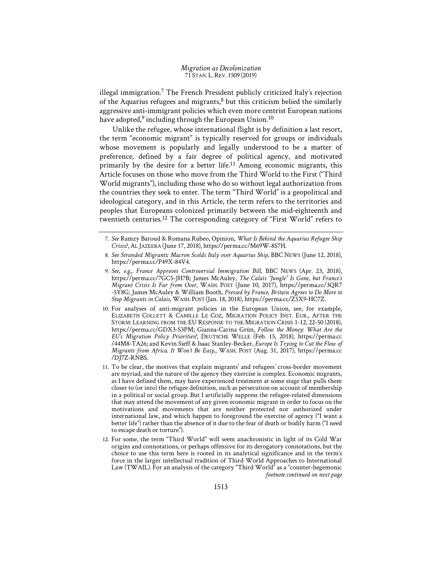illegal immigration.7 The French President publicly criticized Italy's rejection of the Aquarius refugees and migrants, $8$  but this criticism belied the similarly aggressive anti-immigrant policies which even more centrist European nations have adopted,<sup>9</sup> including through the European Union.<sup>10</sup>

Unlike the refugee, whose international flight is by definition a last resort, the term "economic migrant" is typically reserved for groups or individuals whose movement is popularly and legally understood to be a matter of preference, defined by a fair degree of political agency, and motivated primarily by the desire for a better life.<sup>11</sup> Among economic migrants, this Article focuses on those who move from the Third World to the First ("Third World migrants"), including those who do so without legal authorization from the countries they seek to enter. The term "Third World" is a geopolitical and ideological category, and in this Article, the term refers to the territories and peoples that Europeans colonized primarily between the mid-eighteenth and twentieth centuries.12 The corresponding category of "First World" refers to

- 11. To be clear, the motives that explain migrants' and refugees' cross-border movement are myriad, and the nature of the agency they exercise is complex. Economic migrants, as I have defined them, may have experienced treatment at some stage that pulls them closer to (or into) the refugee definition, such as persecution on account of membership in a political or social group. But I artificially suppress the refugee-related dimensions that may attend the movement of any given economic migrant in order to focus on the motivations and movements that are neither protected nor authorized under international law, and which happen to foreground the exercise of agency ("I want a better life") rather than the absence of it due to the fear of death or bodily harm ("I need to escape death or torture").
- 12. For some, the term "Third World" will seem anachronistic in light of its Cold War origins and connotations, or perhaps offensive for its derogatory connotations, but the choice to use this term here is rooted in its analytical significance and in the term's force in the larger intellectual tradition of Third World Approaches to International Law (TWAIL). For an analysis of the category "Third World<sup>"</sup> as a "counter-hegemonic *footnote continued on next page*

<sup>7.</sup> *See* Ramzy Baroud & Romana Rubeo, Opinion, *What Is Behind the Aquarius Refugee Ship Crisis?*, AL JAZEERA (June 17, 2018), https://perma.cc/M69W-8S7H.

<sup>8.</sup> *See Stranded Migrants: Macron Scolds Italy over Aquarius Ship*, BBC NEWS (June 12, 2018), https://perma.cc/P49X-84V4.

<sup>9.</sup> *See, e.g.*, *France Approves Controversial Immigration Bill*, BBC NEWS (Apr. 23, 2018), https://perma.cc/7GC5-JH7B; James McAuley, *The Calais "Jungle" Is Gone, but France's Migrant Crisis Is Far from Over*, WASH. POST (June 10, 2017), https://perma.cc/3QR7 -5Y8G; James McAuley & William Booth, *Pressed by France, Britain Agrees to Do More to Stop Migrants in Calais*, WASH. POST (Jan. 18, 2018), https://perma.cc/Z5X9-HC7Z.

<sup>10.</sup> For analyses of anti-migrant policies in the European Union, see, for example, ELIZABETH COLLETT & CAMILLE LE COZ, MIGRATION POLICY INST. EUR., AFTER THE STORM: LEARNING FROM THE EU RESPONSE TO THE MIGRATION CRISIS 1-12, 22-50 (2018), https://perma.cc/GDX3-S3PM; Gianna-Carina Grün, *Follow the Money: What Are the EU's Migration Policy Priorities?*, DEUTSCHE WELLE (Feb. 15, 2018), https://perma.cc /44M8-TA26; and Kevin Sieff & Isaac Stanley-Becker, *Europe Is Trying to Cut the Flow of Migrants from Africa. It Won't Be Easy.*, WASH. POST (Aug. 31, 2017), https://perma.cc /DJ7Z-RNBS.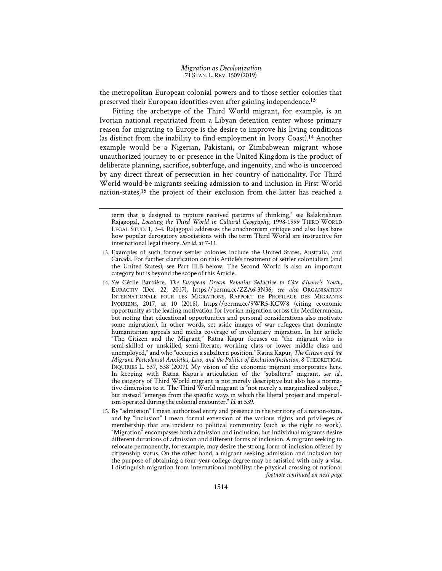the metropolitan European colonial powers and to those settler colonies that preserved their European identities even after gaining independence.13

Fitting the archetype of the Third World migrant, for example, is an Ivorian national repatriated from a Libyan detention center whose primary reason for migrating to Europe is the desire to improve his living conditions (as distinct from the inability to find employment in Ivory Coast).14 Another example would be a Nigerian, Pakistani, or Zimbabwean migrant whose unauthorized journey to or presence in the United Kingdom is the product of deliberate planning, sacrifice, subterfuge, and ingenuity, and who is uncoerced by any direct threat of persecution in her country of nationality. For Third World would-be migrants seeking admission to and inclusion in First World nation-states,15 the project of their exclusion from the latter has reached a

term that is designed to rupture received patterns of thinking," see Balakrishnan Rajagopal, *Locating the Third World in Cultural Geography*, 1998-1999 THIRD WORLD LEGAL STUD. 1, 3-4. Rajagopal addresses the anachronism critique and also lays bare how popular derogatory associations with the term Third World are instructive for international legal theory. *See id.* at 7-11.

<sup>13.</sup> Examples of such former settler colonies include the United States, Australia, and Canada. For further clarification on this Article's treatment of settler colonialism (and the United States), see Part III.B below. The Second World is also an important category but is beyond the scope of this Article.

<sup>14.</sup> *See* Cécile Barbière, *The European Dream Remains Seductive to Côte d'Ivoire's Youth*, EURACTIV (Dec. 22, 2017), https://perma.cc/ZZA6-3N36; *see also* ORGANISATION INTERNATIONALE POUR LES MIGRATIONS, RAPPORT DE PROFILAGE DES MIGRANTS IVOIRIENS, 2017, at 10 (2018), https://perma.cc/9WR5-KCW8 (citing economic opportunity as the leading motivation for Ivorian migration across the Mediterranean, but noting that educational opportunities and personal considerations also motivate some migration). In other words, set aside images of war refugees that dominate humanitarian appeals and media coverage of involuntary migration. In her article "The Citizen and the Migrant," Ratna Kapur focuses on "the migrant who is semi-skilled or unskilled, semi-literate, working class or lower middle class and unemployed," and who "occupies a subaltern position." Ratna Kapur, *The Citizen and the Migrant: Postcolonial Anxieties, Law, and the Politics of Exclusion/Inclusion*, 8 THEORETICAL INQUIRIES L. 537, 538 (2007). My vision of the economic migrant incorporates hers. In keeping with Ratna Kapur's articulation of the "subaltern" migrant, *see id.*, the category of Third World migrant is not merely descriptive but also has a normative dimension to it. The Third World migrant is "not merely a marginalized subject," but instead "emerges from the specific ways in which the liberal project and imperialism operated during the colonial encounter." *Id.* at 539.

<sup>15.</sup> By "admission" I mean authorized entry and presence in the territory of a nation-state, and by "inclusion" I mean formal extension of the various rights and privileges of membership that are incident to political community (such as the right to work). "Migration" encompasses both admission and inclusion, but individual migrants desire different durations of admission and different forms of inclusion. A migrant seeking to relocate permanently, for example, may desire the strong form of inclusion offered by citizenship status. On the other hand, a migrant seeking admission and inclusion for the purpose of obtaining a four-year college degree may be satisfied with only a visa. I distinguish migration from international mobility: the physical crossing of national *footnote continued on next page*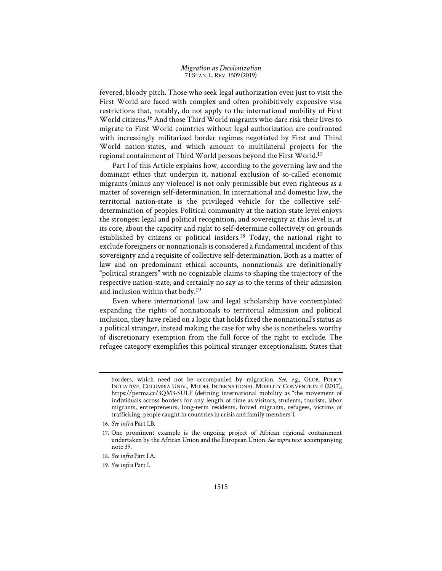fevered, bloody pitch. Those who seek legal authorization even just to visit the First World are faced with complex and often prohibitively expensive visa restrictions that, notably, do not apply to the international mobility of First World citizens.16 And those Third World migrants who dare risk their lives to migrate to First World countries without legal authorization are confronted with increasingly militarized border regimes negotiated by First and Third World nation-states, and which amount to multilateral projects for the regional containment of Third World persons beyond the First World.17

Part I of this Article explains how, according to the governing law and the dominant ethics that underpin it, national exclusion of so-called economic migrants (minus any violence) is not only permissible but even righteous as a matter of sovereign self-determination. In international and domestic law, the territorial nation-state is the privileged vehicle for the collective selfdetermination of peoples: Political community at the nation-state level enjoys the strongest legal and political recognition, and sovereignty at this level is, at its core, about the capacity and right to self-determine collectively on grounds established by citizens or political insiders.<sup>18</sup> Today, the national right to exclude foreigners or nonnationals is considered a fundamental incident of this sovereignty and a requisite of collective self-determination. Both as a matter of law and on predominant ethical accounts, nonnationals are definitionally "political strangers" with no cognizable claims to shaping the trajectory of the respective nation-state, and certainly no say as to the terms of their admission and inclusion within that body.19

Even where international law and legal scholarship have contemplated expanding the rights of nonnationals to territorial admission and political inclusion, they have relied on a logic that holds fixed the nonnational's status as a political stranger, instead making the case for why she is nonetheless worthy of discretionary exemption from the full force of the right to exclude. The refugee category exemplifies this political stranger exceptionalism. States that

borders, which need not be accompanied by migration. *See, e.g.*, GLOB. POLICY INITIATIVE, COLUMBIA UNIV., MODEL INTERNATIONAL MOBILITY CONVENTION 4 (2017), https://perma.cc/3QM3-SULF (defining international mobility as "the movement of individuals across borders for any length of time as visitors, students, tourists, labor migrants, entrepreneurs, long-term residents, forced migrants, refugees, victims of trafficking, people caught in countries in crisis and family members").

<sup>16.</sup> *See infra* Part I.B.

<sup>17.</sup> One prominent example is the ongoing project of African regional containment undertaken by the African Union and the European Union. *See supra* text accompanying note 39.

<sup>18.</sup> *See infra* Part I.A.

<sup>19.</sup> *See infra* Part I.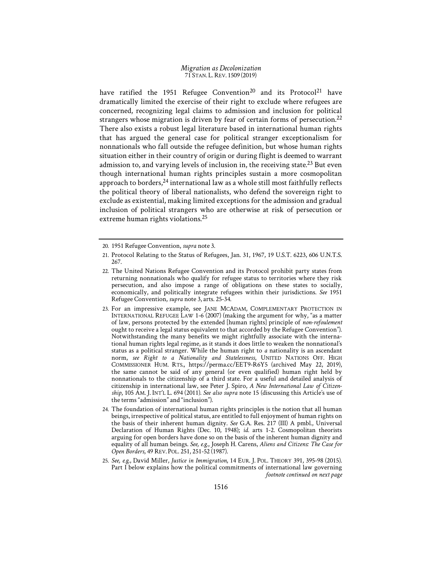have ratified the 1951 Refugee Convention<sup>20</sup> and its Protocol<sup>21</sup> have dramatically limited the exercise of their right to exclude where refugees are concerned, recognizing legal claims to admission and inclusion for political strangers whose migration is driven by fear of certain forms of persecution.<sup>22</sup> There also exists a robust legal literature based in international human rights that has argued the general case for political stranger exceptionalism for nonnationals who fall outside the refugee definition, but whose human rights situation either in their country of origin or during flight is deemed to warrant admission to, and varying levels of inclusion in, the receiving state.23 But even though international human rights principles sustain a more cosmopolitan approach to borders,<sup>24</sup> international law as a whole still most faithfully reflects the political theory of liberal nationalists, who defend the sovereign right to exclude as existential, making limited exceptions for the admission and gradual inclusion of political strangers who are otherwise at risk of persecution or extreme human rights violations.25

<sup>20. 1951</sup> Refugee Convention, *supra* note 3.

<sup>21.</sup> Protocol Relating to the Status of Refugees, Jan. 31, 1967, 19 U.S.T. 6223, 606 U.N.T.S. 267.

<sup>22.</sup> The United Nations Refugee Convention and its Protocol prohibit party states from returning nonnationals who qualify for refugee status to territories where they risk persecution, and also impose a range of obligations on these states to socially, economically, and politically integrate refugees within their jurisdictions. *See* 1951 Refugee Convention, *supra* note 3, arts. 25-34.

<sup>23.</sup> For an impressive example, see JANE MCADAM, COMPLEMENTARY PROTECTION IN INTERNATIONAL REFUGEE LAW 1-6 (2007) (making the argument for why, "as a matter of law, persons protected by the extended [human rights] principle of *non-refoulement* ought to receive a legal status equivalent to that accorded by the Refugee Convention"). Notwithstanding the many benefits we might rightfully associate with the international human rights legal regime, as it stands it does little to weaken the nonnational's status as a political stranger. While the human right to *a* nationality is an ascendant norm, *see Right to a Nationality and Statelessness*, UNITED NATIONS OFF. HIGH COMMISSIONER HUM. RTS., https://perma.cc/EET9-R6Y5 (archived May 22, 2019), the same cannot be said of any general (or even qualified) human right held by nonnationals to the citizenship of a third state. For a useful and detailed analysis of citizenship in international law, see Peter J. Spiro, *A New International Law of Citizenship*, 105 AM. J. INT'L L. 694 (2011). *See also supra* note 15 (discussing this Article's use of the terms "admission" and "inclusion").

<sup>24.</sup> The foundation of international human rights principles is the notion that all human beings, irrespective of political status, are entitled to full enjoyment of human rights on the basis of their inherent human dignity. *See* G.A. Res. 217 (III) A pmbl., Universal Declaration of Human Rights (Dec. 10, 1948); *id.* arts 1-2. Cosmopolitan theorists arguing for open borders have done so on the basis of the inherent human dignity and equality of all human beings. *See, e.g.*, Joseph H. Carens, *Aliens and Citizens: The Case for Open Borders*, 49 REV. POL. 251, 251-52 (1987).

<sup>25.</sup> *See, e.g.*, David Miller, *Justice in Immigration*, 14 EUR. J. POL. THEORY 391, 395-98 (2015). Part I below explains how the political commitments of international law governing *footnote continued on next page*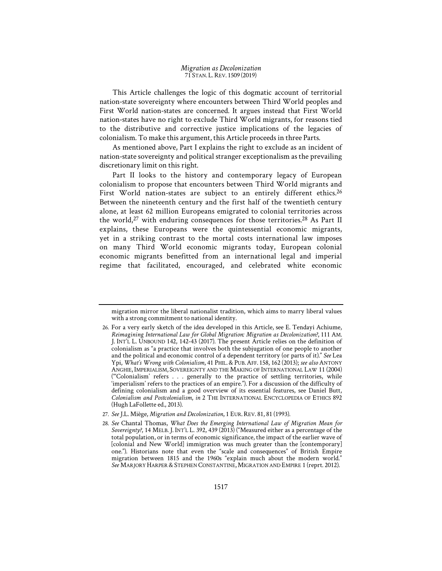This Article challenges the logic of this dogmatic account of territorial nation-state sovereignty where encounters between Third World peoples and First World nation-states are concerned. It argues instead that First World nation-states have no right to exclude Third World migrants, for reasons tied to the distributive and corrective justice implications of the legacies of colonialism. To make this argument, this Article proceeds in three Parts.

As mentioned above, Part I explains the right to exclude as an incident of nation-state sovereignty and political stranger exceptionalism as the prevailing discretionary limit on this right.

Part II looks to the history and contemporary legacy of European colonialism to propose that encounters between Third World migrants and First World nation-states are subject to an entirely different ethics.<sup>26</sup> Between the nineteenth century and the first half of the twentieth century alone, at least 62 million Europeans emigrated to colonial territories across the world,<sup>27</sup> with enduring consequences for those territories.<sup>28</sup> As Part II explains, these Europeans were the quintessential economic migrants, yet in a striking contrast to the mortal costs international law imposes on many Third World economic migrants today, European colonial economic migrants benefitted from an international legal and imperial regime that facilitated, encouraged, and celebrated white economic

migration mirror the liberal nationalist tradition, which aims to marry liberal values with a strong commitment to national identity.

<sup>26.</sup> For a very early sketch of the idea developed in this Article, see E. Tendayi Achiume, *Reimagining International Law for Global Migration: Migration as Decolonization?*, 111 AM. J. INT'L L. UNBOUND 142, 142-43 (2017). The present Article relies on the definition of colonialism as "a practice that involves both the subjugation of one people to another and the political and economic control of a dependent territory (or parts of it)." *See* Lea Ypi, *What's Wrong with Colonialism*, 41 PHIL. & PUB. AFF. 158, 162 (2013); *see also* ANTONY ANGHIE, IMPERIALISM, SOVEREIGNTY AND THE MAKING OF INTERNATIONAL LAW 11 (2004) ("'Colonialism' refers . . . generally to the practice of settling territories, while 'imperialism' refers to the practices of an empire."). For a discussion of the difficulty of defining colonialism and a good overview of its essential features, see Daniel Butt. *Colonialism and Postcolonialism*, *in* 2 THE INTERNATIONAL ENCYCLOPEDIA OF ETHICS 892 (Hugh LaFollette ed., 2013).

<sup>27.</sup> *See* J.L. Miège, *Migration and Decolonization*, 1 EUR.REV. 81, 81 (1993).

<sup>28.</sup> *See* Chantal Thomas, *What Does the Emerging International Law of Migration Mean for Sovereignty?*, 14 MELB. J. INT'L L. 392, 439 (2013) ("Measured either as a percentage of the total population, or in terms of economic significance, the impact of the earlier wave of [colonial and New World] immigration was much greater than the [contemporary] one."). Historians note that even the "scale and consequences" of British Empire migration between 1815 and the 1960s "explain much about the modern world." See MARJORY HARPER & STEPHEN CONSTANTINE, MIGRATION AND EMPIRE 1 (reprt. 2012).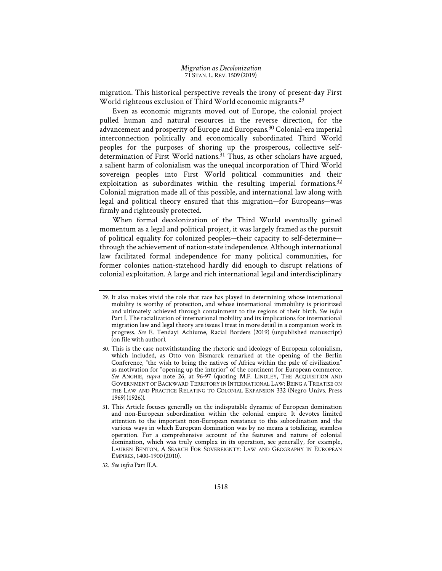migration. This historical perspective reveals the irony of present-day First World righteous exclusion of Third World economic migrants.<sup>29</sup>

Even as economic migrants moved out of Europe, the colonial project pulled human and natural resources in the reverse direction, for the advancement and prosperity of Europe and Europeans.<sup>30</sup> Colonial-era imperial interconnection politically and economically subordinated Third World peoples for the purposes of shoring up the prosperous, collective selfdetermination of First World nations.<sup>31</sup> Thus, as other scholars have argued, a salient harm of colonialism was the unequal incorporation of Third World sovereign peoples into First World political communities and their exploitation as subordinates within the resulting imperial formations.<sup>32</sup> Colonial migration made all of this possible, and international law along with legal and political theory ensured that this migration—for Europeans—was firmly and righteously protected.

When formal decolonization of the Third World eventually gained momentum as a legal and political project, it was largely framed as the pursuit of political equality for colonized peoples—their capacity to self-determine through the achievement of nation-state independence. Although international law facilitated formal independence for many political communities, for former colonies nation-statehood hardly did enough to disrupt relations of colonial exploitation. A large and rich international legal and interdisciplinary

<sup>29.</sup> It also makes vivid the role that race has played in determining whose international mobility is worthy of protection, and whose international immobility is prioritized and ultimately achieved through containment to the regions of their birth. *See infra* Part I. The racialization of international mobility and its implications for international migration law and legal theory are issues I treat in more detail in a companion work in progress. *See* E. Tendayi Achiume, Racial Borders (2019) (unpublished manuscript) (on file with author).

<sup>30.</sup> This is the case notwithstanding the rhetoric and ideology of European colonialism, which included, as Otto von Bismarck remarked at the opening of the Berlin Conference, "the wish to bring the natives of Africa within the pale of civilization" as motivation for "opening up the interior" of the continent for European commerce. *See* ANGHIE, *supra* note 26, at 96-97 (quoting M.F. LINDLEY, THE ACQUISITION AND GOVERNMENT OF BACKWARD TERRITORY IN INTERNATIONAL LAW: BEING A TREATISE ON THE LAW AND PRACTICE RELATING TO COLONIAL EXPANSION 332 (Negro Univs. Press 1969) (1926)).

<sup>31.</sup> This Article focuses generally on the indisputable dynamic of European domination and non-European subordination within the colonial empire. It devotes limited attention to the important non-European resistance to this subordination and the various ways in which European domination was by no means a totalizing, seamless operation. For a comprehensive account of the features and nature of colonial domination, which was truly complex in its operation, see generally, for example, LAUREN BENTON, A SEARCH FOR SOVEREIGNTY: LAW AND GEOGRAPHY IN EUROPEAN EMPIRES, 1400-1900 (2010).

<sup>32.</sup> *See infra* Part II.A.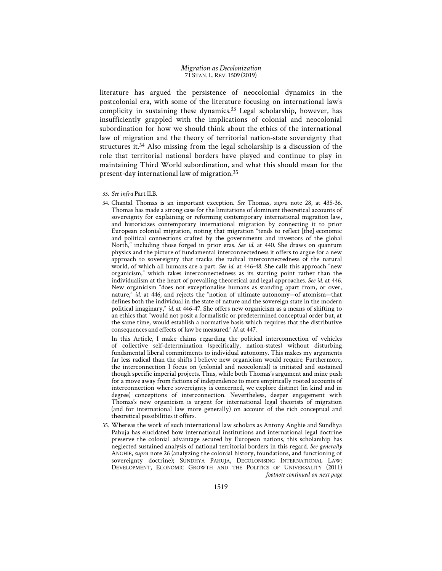literature has argued the persistence of neocolonial dynamics in the postcolonial era, with some of the literature focusing on international law's complicity in sustaining these dynamics.33 Legal scholarship, however, has insufficiently grappled with the implications of colonial and neocolonial subordination for how we should think about the ethics of the international law of migration and the theory of territorial nation-state sovereignty that structures it.34 Also missing from the legal scholarship is a discussion of the role that territorial national borders have played and continue to play in maintaining Third World subordination, and what this should mean for the present-day international law of migration.35

 In this Article, I make claims regarding the political interconnection of vehicles of collective self-determination (specifically, nation-states) without disturbing fundamental liberal commitments to individual autonomy. This makes my arguments far less radical than the shifts I believe new organicism would require. Furthermore, the interconnection I focus on (colonial and neocolonial) is initiated and sustained though specific imperial projects. Thus, while both Thomas's argument and mine push for a move away from fictions of independence to more empirically rooted accounts of interconnection where sovereignty is concerned, we explore distinct (in kind and in degree) conceptions of interconnection. Nevertheless, deeper engagement with Thomas's new organicism is urgent for international legal theorists of migration (and for international law more generally) on account of the rich conceptual and theoretical possibilities it offers.

35. Whereas the work of such international law scholars as Antony Anghie and Sundhya Pahuja has elucidated how international institutions and international legal doctrine preserve the colonial advantage secured by European nations, this scholarship has neglected sustained analysis of national territorial borders in this regard. *See generally*  ANGHIE, *supra* note 26 (analyzing the colonial history, foundations, and functioning of sovereignty doctrine); SUNDHYA PAHUJA, DECOLONISING INTERNATIONAL LAW: DEVELOPMENT, ECONOMIC GROWTH AND THE POLITICS OF UNIVERSALITY (2011) *footnote continued on next page* 

<sup>33.</sup> *See infra* Part II.B.

<sup>34.</sup> Chantal Thomas is an important exception. *See* Thomas, *supra* note 28, at 435-36. Thomas has made a strong case for the limitations of dominant theoretical accounts of sovereignty for explaining or reforming contemporary international migration law, and historicizes contemporary international migration by connecting it to prior European colonial migration, noting that migration "tends to reflect [the] economic and political connections crafted by the governments and investors of the global North," including those forged in prior eras. *See id.* at 440. She draws on quantum physics and the picture of fundamental interconnectedness it offers to argue for a new approach to sovereignty that tracks the radical interconnectedness of the natural world, of which all humans are a part. *See id.* at 446-48. She calls this approach "new organicism," which takes interconnectedness as its starting point rather than the individualism at the heart of prevailing theoretical and legal approaches. *See id.* at 446. New organicism "does not exceptionalise humans as standing apart from, or over, nature," *id.* at 446, and rejects the "notion of ultimate autonomy—of atomism—that defines both the individual in the state of nature and the sovereign state in the modern political imaginary," *id.* at 446-47. She offers new organicism as a means of shifting to an ethics that "would not posit a formalistic or predetermined conceptual order but, at the same time, would establish a normative basis which requires that the distributive consequences and effects of law be measured." *Id.* at 447.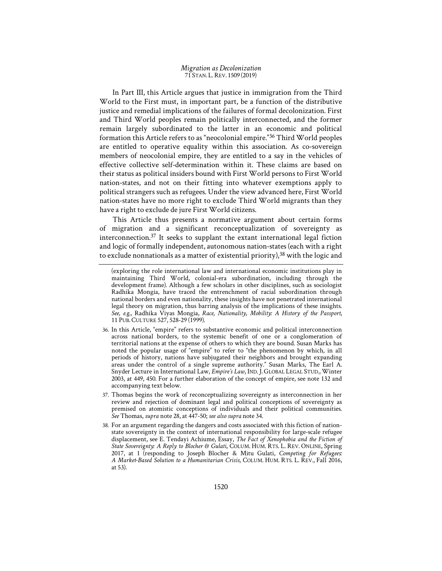In Part III, this Article argues that justice in immigration from the Third World to the First must, in important part, be a function of the distributive justice and remedial implications of the failures of formal decolonization. First and Third World peoples remain politically interconnected, and the former remain largely subordinated to the latter in an economic and political formation this Article refers to as "neocolonial empire."36 Third World peoples are entitled to operative equality within this association. As co-sovereign members of neocolonial empire, they are entitled to a say in the vehicles of effective collective self-determination within it. These claims are based on their status as political insiders bound with First World persons to First World nation-states, and not on their fitting into whatever exemptions apply to political strangers such as refugees. Under the view advanced here, First World nation-states have no more right to exclude Third World migrants than they have a right to exclude de jure First World citizens.

This Article thus presents a normative argument about certain forms of migration and a significant reconceptualization of sovereignty as interconnection.37 It seeks to supplant the extant international legal fiction and logic of formally independent, autonomous nation-states (each with a right to exclude nonnationals as a matter of existential priority), $38$  with the logic and

- 36. In this Article, "empire" refers to substantive economic and political interconnection across national borders, to the systemic benefit of one or a conglomeration of territorial nations at the expense of others to which they are bound. Susan Marks has noted the popular usage of "empire" to refer to "the phenomenon by which, in all periods of history, nations have subjugated their neighbors and brought expanding areas under the control of a single supreme authority." Susan Marks, The Earl A. Snyder Lecture in International Law, *Empire's Law*, IND.J.GLOBAL LEGAL STUD., Winter 2003, at 449, 450. For a further elaboration of the concept of empire, see note 132 and accompanying text below.
- 37. Thomas begins the work of reconceptualizing sovereignty as interconnection in her review and rejection of dominant legal and political conceptions of sovereignty as premised on atomistic conceptions of individuals and their political communities. *See* Thomas, *supra* note 28, at 447-50; *see alsosupra* note 34.
- 38. For an argument regarding the dangers and costs associated with this fiction of nationstate sovereignty in the context of international responsibility for large-scale refugee displacement, see E. Tendayi Achiume, Essay, *The Fact of Xenophobia and the Fiction of State Sovereignty: A Reply to Blocher & Gulati*, COLUM. HUM. RTS. L. REV. ONLINE, Spring 2017, at 1 (responding to Joseph Blocher & Mitu Gulati, *Competing for Refugees: A Market-Based Solution to a Humanitarian Crisis*, COLUM. HUM. RTS. L. REV., Fall 2016, at 53).

<sup>(</sup>exploring the role international law and international economic institutions play in maintaining Third World, colonial-era subordination, including through the development frame). Although a few scholars in other disciplines, such as sociologist Radhika Mongia, have traced the entrenchment of racial subordination through national borders and even nationality, these insights have not penetrated international legal theory on migration, thus barring analysis of the implications of these insights. *See, e.g.*, Radhika Viyas Mongia, *Race, Nationality, Mobility: A History of the Passport*, 11 PUB.CULTURE 527, 528-29 (1999).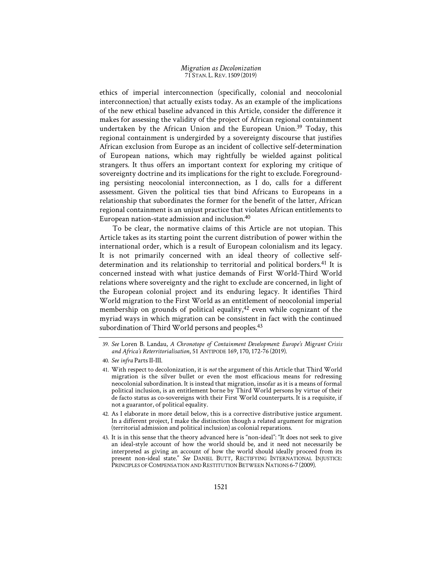ethics of imperial interconnection (specifically, colonial and neocolonial interconnection) that actually exists today. As an example of the implications of the new ethical baseline advanced in this Article, consider the difference it makes for assessing the validity of the project of African regional containment undertaken by the African Union and the European Union.39 Today, this regional containment is undergirded by a sovereignty discourse that justifies African exclusion from Europe as an incident of collective self-determination of European nations, which may rightfully be wielded against political strangers. It thus offers an important context for exploring my critique of sovereignty doctrine and its implications for the right to exclude. Foregrounding persisting neocolonial interconnection, as I do, calls for a different assessment. Given the political ties that bind Africans to Europeans in a relationship that subordinates the former for the benefit of the latter, African regional containment is an unjust practice that violates African entitlements to European nation-state admission and inclusion.40

To be clear, the normative claims of this Article are not utopian. This Article takes as its starting point the current distribution of power within the international order, which is a result of European colonialism and its legacy. It is not primarily concerned with an ideal theory of collective selfdetermination and its relationship to territorial and political borders.41 It is concerned instead with what justice demands of First World-Third World relations where sovereignty and the right to exclude are concerned, in light of the European colonial project and its enduring legacy. It identifies Third World migration to the First World as an entitlement of neocolonial imperial membership on grounds of political equality, $42$  even while cognizant of the myriad ways in which migration can be consistent in fact with the continued subordination of Third World persons and peoples.<sup>43</sup>

<sup>39.</sup> *See* Loren B. Landau, *A Chronotope of Containment Development: Europe's Migrant Crisis and Africa's Reterritorialisation*, 51 ANTIPODE 169, 170, 172-76 (2019).

<sup>40.</sup> *See infra* Parts II-III.

<sup>41.</sup> With respect to decolonization, it is *not* the argument of this Article that Third World migration is the silver bullet or even the most efficacious means for redressing neocolonial subordination. It is instead that migration, insofar as it is a means of formal political inclusion, is an entitlement borne by Third World persons by virtue of their de facto status as co-sovereigns with their First World counterparts. It is a requisite, if not a guarantor, of political equality.

<sup>42.</sup> As I elaborate in more detail below, this is a corrective distributive justice argument. In a different project, I make the distinction though a related argument for migration (territorial admission and political inclusion) as colonial reparations.

<sup>43.</sup> It is in this sense that the theory advanced here is "non-ideal": "It does not seek to give an ideal-style account of how the world should be, and it need not necessarily be interpreted as giving an account of how the world should ideally proceed from its present non-ideal state." *See* DANIEL BUTT, RECTIFYING INTERNATIONAL INJUSTICE: .<br>Principles of Compensation and Restitution Between Nations 6-7 (2009).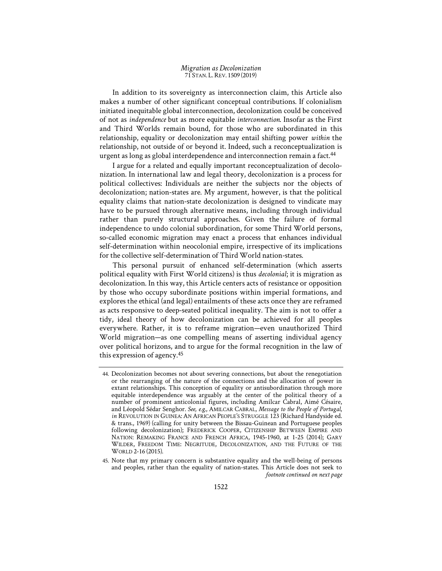In addition to its sovereignty as interconnection claim, this Article also makes a number of other significant conceptual contributions. If colonialism initiated inequitable global interconnection, decolonization could be conceived of not as *independence* but as more equitable *interconnection*. Insofar as the First and Third Worlds remain bound, for those who are subordinated in this relationship, equality or decolonization may entail shifting power *within* the relationship, not outside of or beyond it. Indeed, such a reconceptualization is urgent as long as global interdependence and interconnection remain a fact.44

I argue for a related and equally important reconceptualization of decolonization. In international law and legal theory, decolonization is a process for political collectives: Individuals are neither the subjects nor the objects of decolonization; nation-states are. My argument, however, is that the political equality claims that nation-state decolonization is designed to vindicate may have to be pursued through alternative means, including through individual rather than purely structural approaches. Given the failure of formal independence to undo colonial subordination, for some Third World persons, so-called economic migration may enact a process that enhances individual self-determination within neocolonial empire, irrespective of its implications for the collective self-determination of Third World nation-states.

This personal pursuit of enhanced self-determination (which asserts political equality with First World citizens) is thus *decolonial*; it is migration as decolonization. In this way, this Article centers acts of resistance or opposition by those who occupy subordinate positions within imperial formations, and explores the ethical (and legal) entailments of these acts once they are reframed as acts responsive to deep-seated political inequality. The aim is not to offer a tidy, ideal theory of how decolonization can be achieved for all peoples everywhere. Rather, it is to reframe migration—even unauthorized Third World migration—as one compelling means of asserting individual agency over political horizons, and to argue for the formal recognition in the law of this expression of agency.45

<sup>44.</sup> Decolonization becomes not about severing connections, but about the renegotiation or the rearranging of the nature of the connections and the allocation of power in extant relationships. This conception of equality or antisubordination through more equitable interdependence was arguably at the center of the political theory of a number of prominent anticolonial figures, including Amílcar Cabral, Aimé Césaire, and Léopold Sédar Senghor. *See, e.g.*, AMILCAR CABRAL, *Message to the People of Portugal*, *in* REVOLUTION IN GUINEA: AN AFRICAN PEOPLE'S STRUGGLE 123 (Richard Handyside ed. & trans., 1969) (calling for unity between the Bissau-Guinean and Portuguese peoples following decolonization); FREDERICK COOPER, CITIZENSHIP BETWEEN EMPIRE AND NATION: REMAKING FRANCE AND FRENCH AFRICA, 1945-1960, at 1-25 (2014); GARY WILDER, FREEDOM TIME: NEGRITUDE, DECOLONIZATION, AND THE FUTURE OF THE WORLD 2-16 (2015).

<sup>45.</sup> Note that my primary concern is substantive equality and the well-being of persons and peoples, rather than the equality of nation-states. This Article does not seek to *footnote continued on next page*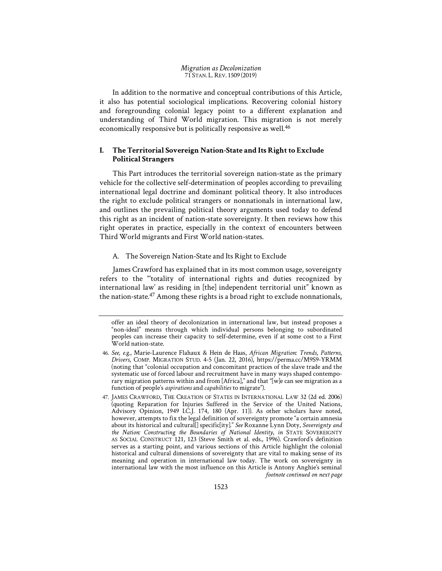In addition to the normative and conceptual contributions of this Article, it also has potential sociological implications. Recovering colonial history and foregrounding colonial legacy point to a different explanation and understanding of Third World migration. This migration is not merely economically responsive but is politically responsive as well.46

# **I. The Territorial Sovereign Nation-State and Its Right to Exclude Political Strangers**

This Part introduces the territorial sovereign nation-state as the primary vehicle for the collective self-determination of peoples according to prevailing international legal doctrine and dominant political theory. It also introduces the right to exclude political strangers or nonnationals in international law, and outlines the prevailing political theory arguments used today to defend this right as an incident of nation-state sovereignty. It then reviews how this right operates in practice, especially in the context of encounters between Third World migrants and First World nation-states.

## A. The Sovereign Nation-State and Its Right to Exclude

James Crawford has explained that in its most common usage, sovereignty refers to the "'totality of international rights and duties recognized by international law' as residing in [the] independent territorial unit" known as the nation-state.47 Among these rights is a broad right to exclude nonnationals,

offer an ideal theory of decolonization in international law, but instead proposes a "non-ideal" means through which individual persons belonging to subordinated peoples can increase their capacity to self-determine, even if at some cost to a First World nation-state.

<sup>46.</sup> *See, e.g.*, Marie-Laurence Flahaux & Hein de Haas, *African Migration: Trends, Patterns, Drivers*, COMP. MIGRATION STUD. 4-5 (Jan. 22, 2016), https://perma.cc/M9S9-YRMM (noting that "colonial occupation and concomitant practices of the slave trade and the systematic use of forced labour and recruitment have in many ways shaped contemporary migration patterns within and from [Africa]," and that "[w]e can see migration as a function of people's *aspirations* and *capabilities* to migrate").

<sup>47.</sup> JAMES CRAWFORD, THE CREATION OF STATES IN INTERNATIONAL LAW 32 (2d ed. 2006) (quoting Reparation for Injuries Suffered in the Service of the United Nations, Advisory Opinion, 1949 I.C.J. 174, 180 (Apr. 11)). As other scholars have noted, however, attempts to fix the legal definition of sovereignty promote "a certain amnesia about its historical and cultural[] specific[ity]." *See* Roxanne Lynn Doty, *Sovereignty and the Nation: Constructing the Boundaries of National Identity*, *in* STATE SOVEREIGNTY AS SOCIAL CONSTRUCT 121, 123 (Steve Smith et al. eds., 1996). Crawford's definition serves as a starting point, and various sections of this Article highlight the colonial historical and cultural dimensions of sovereignty that are vital to making sense of its meaning and operation in international law today. The work on sovereignty in international law with the most influence on this Article is Antony Anghie's seminal *footnote continued on next page*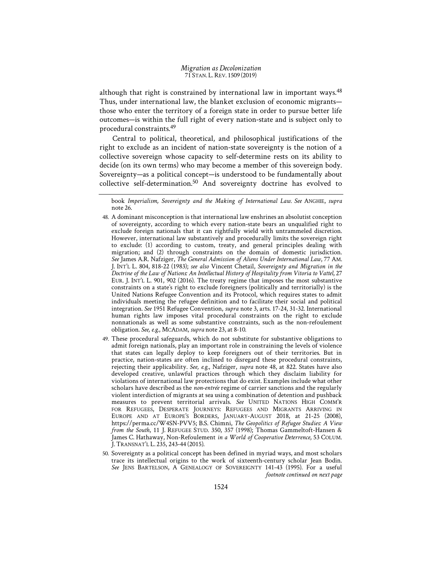although that right is constrained by international law in important ways.<sup>48</sup> Thus, under international law, the blanket exclusion of economic migrants those who enter the territory of a foreign state in order to pursue better life outcomes—is within the full right of every nation-state and is subject only to procedural constraints.49

Central to political, theoretical, and philosophical justifications of the right to exclude as an incident of nation-state sovereignty is the notion of a collective sovereign whose capacity to self-determine rests on its ability to decide (on its own terms) who may become a member of this sovereign body. Sovereignty—as a political concept—is understood to be fundamentally about collective self-determination.50 And sovereignty doctrine has evolved to

- 49. These procedural safeguards, which do not substitute for substantive obligations to admit foreign nationals, play an important role in constraining the levels of violence that states can legally deploy to keep foreigners out of their territories. But in practice, nation-states are often inclined to disregard these procedural constraints, rejecting their applicability. *See, e.g.*, Nafziger, *supra* note 48, at 822. States have also developed creative, unlawful practices through which they disclaim liability for violations of international law protections that do exist. Examples include what other scholars have described as the *non-entrée* regime of carrier sanctions and the regularly violent interdiction of migrants at sea using a combination of detention and pushback measures to prevent territorial arrivals. *See* UNITED NATIONS HIGH COMM'R FOR REFUGEES, DESPERATE JOURNEYS: REFUGEES AND MIGRANTS ARRIVING IN EUROPE AND AT EUROPE'S BORDERS, JANUARY-AUGUST 2018, at 21-25 (2008), https://perma.cc/W4SN-PVV5; B.S. Chimni, *The Geopolitics of Refugee Studies: A View from the South*, 11 J. REFUGEE STUD. 350, 357 (1998); Thomas Gammeltoft-Hansen & James C. Hathaway, Non-Refoulement *in a World of Cooperative Deterrence*, 53 COLUM. J.TRANSNAT'L L. 235, 243-44 (2015).
- 50. Sovereignty as a political concept has been defined in myriad ways, and most scholars trace its intellectual origins to the work of sixteenth-century scholar Jean Bodin. *See* JENS BARTELSON, A GENEALOGY OF SOVEREIGNTY 141-43 (1995). For a useful *footnote continued on next page*

book *Imperialism, Sovereignty and the Making of International Law*. *See* ANGHIE, *supra* note 26.

<sup>48.</sup> A dominant misconception is that international law enshrines an absolutist conception of sovereignty, according to which every nation-state bears an unqualified right to exclude foreign nationals that it can rightfully wield with untrammeled discretion. However, international law substantively and procedurally limits the sovereign right to exclude: (1) according to custom, treaty, and general principles dealing with migration; and (2) through constraints on the domain of domestic jurisdiction. *See* James A.R. Nafziger, *The General Admission of Aliens Under International Law*, 77 AM. J. INT'L L. 804, 818-22 (1983); *see also* Vincent Chetail, *Sovereignty and Migration in the Doctrine of the Law of Nations: An Intellectual History of Hospitality from Vitoria to Vattel*, 27 EUR. J. INT'L L. 901, 902 (2016). The treaty regime that imposes the most substantive constraints on a state's right to exclude foreigners (politically and territorially) is the United Nations Refugee Convention and its Protocol, which requires states to admit individuals meeting the refugee definition and to facilitate their social and political integration. *See* 1951 Refugee Convention, *supra* note 3, arts. 17-24, 31-32. International human rights law imposes vital procedural constraints on the right to exclude nonnationals as well as some substantive constraints, such as the non-refoulement obligation. *See, e.g.*, MCADAM, *supra* note 23, at 8-10.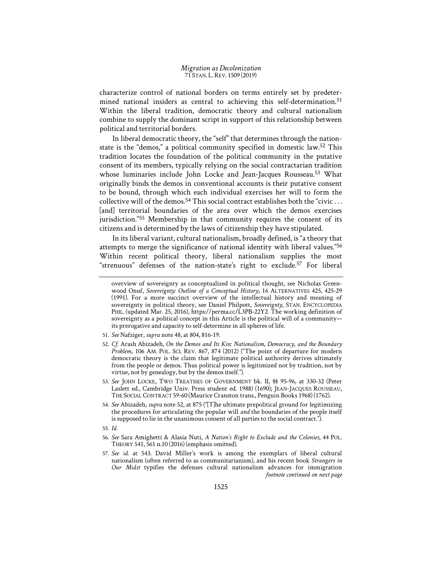characterize control of national borders on terms entirely set by predetermined national insiders as central to achieving this self-determination.<sup>51</sup> Within the liberal tradition, democratic theory and cultural nationalism combine to supply the dominant script in support of this relationship between political and territorial borders.

In liberal democratic theory, the "self" that determines through the nationstate is the "demos," a political community specified in domestic law.52 This tradition locates the foundation of the political community in the putative consent of its members, typically relying on the social contractarian tradition whose luminaries include John Locke and Jean-Jacques Rousseau.<sup>53</sup> What originally binds the demos in conventional accounts is their putative consent to be bound, through which each individual exercises her will to form the collective will of the demos.<sup>54</sup> This social contract establishes both the "civic ... [and] territorial boundaries of the area over which the demos exercises jurisdiction."<sup>55</sup> Membership in that community requires the consent of its citizens and is determined by the laws of citizenship they have stipulated.

In its liberal variant, cultural nationalism, broadly defined, is "a theory that attempts to merge the significance of national identity with liberal values."56 Within recent political theory, liberal nationalism supplies the most "strenuous" defenses of the nation-state's right to exclude.57 For liberal

- 51. *See* Nafziger, *supra* note 48, at 804, 816-19.
- 52. *Cf.* Arash Abizadeh, *On the Demos and Its Kin: Nationalism, Democracy, and the Boundary Problem*, 106 AM. POL. SCI. REV. 867, 874 (2012) ("The point of departure for modern democratic theory is the claim that legitimate political authority derives ultimately from the people or demos. Thus political power is legitimized not by tradition, not by virtue, not by genealogy, but by the demos itself.").
- 53. *See* JOHN LOCKE, TWO TREATISES OF GOVERNMENT bk. II, §§ 95-96, at 330-32 (Peter Laslett ed., Cambridge Univ. Press student ed. 1988) (1690); JEAN-JACQUES ROUSSEAU, THE SOCIAL CONTRACT 59-60 (Maurice Cranston trans., Penguin Books 1968) (1762).
- 54. *See* Abizadeh, *supra* note 52, at 875 ("[T]he ultimate prepolitical ground for legitimizing the procedures for articulating the popular will *and* the boundaries of the people itself is supposed to lie in the unanimous consent of all parties to the social contract.").
- 55. *Id.*
- 56. *See* Sara Amighetti & Alasia Nuti, *A Nation's Right to Exclude and the Colonies*, 44 POL. THEORY 541, 561 n.10 (2016) (emphasis omitted).
- 57. *See id.* at 543. David Miller's work is among the exemplars of liberal cultural nationalism (often referred to as communitarianism), and his recent book *Strangers in Our Midst* typifies the defenses cultural nationalism advances for immigration *footnote continued on next page*

overview of sovereignty as conceptualized in political thought, see Nicholas Greenwood Onuf, *Sovereignty: Outline of a Conceptual History*, 16 ALTERNATIVES 425, 425-29 (1991). For a more succinct overview of the intellectual history and meaning of sovereignty in political theory, see Daniel Philpott, *Sovereignty*, STAN. ENCYCLOPEDIA PHIL. (updated Mar. 25, 2016), https://perma.cc/L3PB-22Y2. The working definition of sovereignty as a political concept in this Article is the political will of a communityits prerogative and capacity to self-determine in all spheres of life.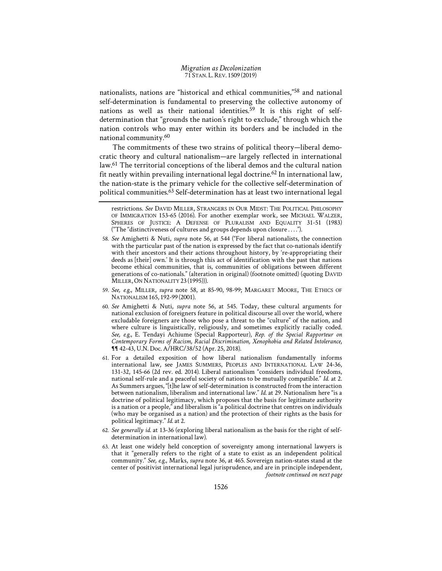nationalists, nations are "historical and ethical communities,"58 and national self-determination is fundamental to preserving the collective autonomy of nations as well as their national identities.<sup>59</sup> It is this right of selfdetermination that "grounds the nation's right to exclude," through which the nation controls who may enter within its borders and be included in the national community.60

The commitments of these two strains of political theory—liberal democratic theory and cultural nationalism—are largely reflected in international law.61 The territorial conceptions of the liberal demos and the cultural nation fit neatly within prevailing international legal doctrine.<sup>62</sup> In international law, the nation-state is the primary vehicle for the collective self-determination of political communities.63 Self-determination has at least two international legal

- 58. *See* Amighetti & Nuti, *supra* note 56, at 544 ("For liberal nationalists, the connection with the particular past of the nation is expressed by the fact that co-nationals identify with their ancestors and their actions throughout history, by 're-appropriating their deeds as [their] own.' It is through this act of identification with the past that nations become ethical communities, that is, communities of obligations between different generations of co-nationals." (alteration in original) (footnote omitted) (quoting DAVID MILLER,ON NATIONALITY 23 (1995))).
- 59. *See, e.g.*, MILLER, *supra* note 58, at 85-90, 98-99; MARGARET MOORE, THE ETHICS OF NATIONALISM 165, 192-99 (2001).
- 60. *See* Amighetti & Nuti, *supra* note 56, at 545. Today, these cultural arguments for national exclusion of foreigners feature in political discourse all over the world, where excludable foreigners are those who pose a threat to the "culture" of the nation, and where culture is linguistically, religiously, and sometimes explicitly racially coded. *See, e.g.*, E. Tendayi Achiume (Special Rapporteur), *Rep. of the Special Rapporteur on Contemporary Forms of Racism, Racial Discrimination, Xenophobia and Related Intolerance*, ¶¶ 42-43, U.N. Doc. A/HRC/38/52 (Apr. 25, 2018).
- 61. For a detailed exposition of how liberal nationalism fundamentally informs international law, see JAMES SUMMERS, PEOPLES AND INTERNATIONAL LAW 24-36, 131-32, 145-66 (2d rev. ed. 2014). Liberal nationalism "considers individual freedoms, national self-rule and a peaceful society of nations to be mutually compatible." *Id.* at 2. As Summers argues, "[t]he law of self-determination is constructed from the interaction between nationalism, liberalism and international law." *Id.* at 29. Nationalism here "is a doctrine of political legitimacy, which proposes that the basis for legitimate authority is a nation or a people," and liberalism is "a political doctrine that centres on individuals (who may be organised as a nation) and the protection of their rights as the basis for political legitimacy." *Id.* at 2.
- 62. *See generally id.* at 13-36 (exploring liberal nationalism as the basis for the right of selfdetermination in international law).
- 63. At least one widely held conception of sovereignty among international lawyers is that it "generally refers to the right of a state to exist as an independent political community." *See, e.g.*, Marks, *supra* note 36, at 465. Sovereign nation-states stand at the center of positivist international legal jurisprudence, and are in principle independent, *footnote continued on next page*

restrictions. *See* DAVID MILLER, STRANGERS IN OUR MIDST: THE POLITICAL PHILOSOPHY OF IMMIGRATION 153-65 (2016). For another exemplar work, see MICHAEL WALZER, SPHERES OF JUSTICE: A DEFENSE OF PLURALISM AND EQUALITY 31-51 (1983) ("The "distinctiveness of cultures and groups depends upon closure . . . .").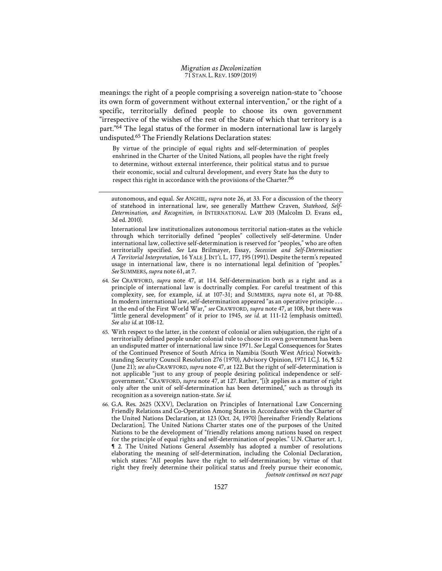meanings: the right of a people comprising a sovereign nation-state to "choose its own form of government without external intervention," or the right of a specific, territorially defined people to choose its own government "irrespective of the wishes of the rest of the State of which that territory is a part."<sup>64</sup> The legal status of the former in modern international law is largely undisputed.65 The Friendly Relations Declaration states:

By virtue of the principle of equal rights and self-determination of peoples enshrined in the Charter of the United Nations, all peoples have the right freely to determine, without external interference, their political status and to pursue their economic, social and cultural development, and every State has the duty to respect this right in accordance with the provisions of the Charter.<sup>66</sup>

 International law institutionalizes autonomous territorial nation-states as the vehicle through which territorially defined "peoples" collectively self-determine. Under international law, collective self-determination is reserved for "peoples," who are often territorially specified. *See* Lea Brilmayer, Essay, *Secession and Self-Determination: A Territorial Interpretation*, 16 YALE J. INT'L L. 177, 195 (1991). Despite the term's repeated usage in international law, there is no international legal definition of "peoples." *See* SUMMERS, *supra* note 61, at 7.

- 64. *See* CRAWFORD, *supra* note 47, at 114. Self-determination both as a right and as a principle of international law is doctrinally complex. For careful treatment of this complexity, see, for example, *id.* at 107-31; and SUMMERS, *supra* note 61, at 70-88. In modern international law, self-determination appeared "as an operative principle . . . at the end of the First World War," *see* CRAWFORD, *supra* note 47, at 108, but there was "little general development" of it prior to 1945, *see id.* at 111-12 (emphasis omitted). *See also id.* at 108-12.
- 65. With respect to the latter, in the context of colonial or alien subjugation, the right of a territorially defined people under colonial rule to choose its own government has been an undisputed matter of international law since 1971. *See* Legal Consequences for States of the Continued Presence of South Africa in Namibia (South West Africa) Notwithstanding Security Council Resolution 276 (1970), Advisory Opinion, 1971 I.C.J. 16, ¶ 52 (June 21); *see also* CRAWFORD, *supra* note 47, at 122. But the right of self-determination is not applicable "just to any group of people desiring political independence or selfgovernment." CRAWFORD, *supra* note 47, at 127. Rather, "[i]t applies as a matter of right only after the unit of self-determination has been determined," such as through its recognition as a sovereign nation-state. *See id.*
- 66. G.A. Res. 2625 (XXV), Declaration on Principles of International Law Concerning Friendly Relations and Co-Operation Among States in Accordance with the Charter of the United Nations Declaration, at 123 (Oct. 24, 1970) [hereinafter Friendly Relations Declaration]. The United Nations Charter states one of the purposes of the United Nations to be the development of "friendly relations among nations based on respect for the principle of equal rights and self-determination of peoples." U.N. Charter art. 1, ¶ 2. The United Nations General Assembly has adopted a number of resolutions elaborating the meaning of self-determination, including the Colonial Declaration, which states: "All peoples have the right to self-determination; by virtue of that right they freely determine their political status and freely pursue their economic, *footnote continued on next page*

autonomous, and equal. *See* ANGHIE, *supra* note 26, at 33. For a discussion of the theory of statehood in international law, see generally Matthew Craven, *Statehood, Self-Determination, and Recognition*, *in* INTERNATIONAL LAW 203 (Malcolm D. Evans ed., 3d ed. 2010).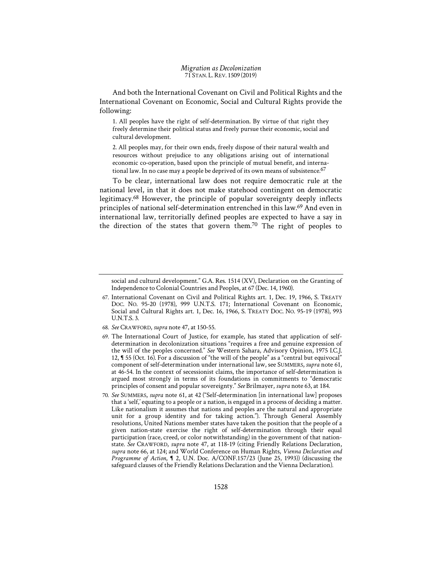And both the International Covenant on Civil and Political Rights and the International Covenant on Economic, Social and Cultural Rights provide the following:

1. All peoples have the right of self-determination. By virtue of that right they freely determine their political status and freely pursue their economic, social and cultural development.

2. All peoples may, for their own ends, freely dispose of their natural wealth and resources without prejudice to any obligations arising out of international economic co-operation, based upon the principle of mutual benefit, and international law. In no case may a people be deprived of its own means of subsistence. $^{67}$ 

To be clear, international law does not require democratic rule at the national level, in that it does not make statehood contingent on democratic legitimacy.68 However, the principle of popular sovereignty deeply inflects principles of national self-determination entrenched in this law.69 And even in international law, territorially defined peoples are expected to have a say in the direction of the states that govern them.70 The right of peoples to

- 68. *See* CRAWFORD, *supra* note 47, at 150-55.
- 69. The International Court of Justice, for example, has stated that application of selfdetermination in decolonization situations "requires a free and genuine expression of the will of the peoples concerned." *See* Western Sahara, Advisory Opinion, 1975 I.C.J. 12, **1** 55 (Oct. 16). For a discussion of "the will of the people" as a "central but equivocal" component of self-determination under international law, see SUMMERS, *supra* note 61, at 46-54. In the context of secessionist claims, the importance of self-determination is argued most strongly in terms of its foundations in commitments to "democratic principles of consent and popular sovereignty." *See* Brilmayer, *supra* note 63, at 184.
- 70. *See* SUMMERS, *supra* note 61, at 42 ("Self-determination [in international law] proposes that a 'self,' equating to a people or a nation, is engaged in a process of deciding a matter. Like nationalism it assumes that nations and peoples are the natural and appropriate unit for a group identity and for taking action."). Through General Assembly resolutions, United Nations member states have taken the position that the people of a given nation-state exercise the right of self-determination through their equal participation (race, creed, or color notwithstanding) in the government of that nationstate. *See* CRAWFORD, *supra* note 47, at 118-19 (citing Friendly Relations Declaration, *supra* note 66, at 124; and World Conference on Human Rights, *Vienna Declaration and Programme of Action*, ¶ 2, U.N. Doc. A/CONF.157/23 (June 25, 1993)) (discussing the safeguard clauses of the Friendly Relations Declaration and the Vienna Declaration).

social and cultural development." G.A. Res. 1514 (XV), Declaration on the Granting of Independence to Colonial Countries and Peoples, at 67 (Dec. 14, 1960).

<sup>67.</sup> International Covenant on Civil and Political Rights art. 1, Dec. 19, 1966, S. TREATY DOC. NO. 95-20 (1978), 999 U.N.T.S. 171; International Covenant on Economic, Social and Cultural Rights art. 1, Dec. 16, 1966, S. TREATY DOC. NO. 95-19 (1978), 993 U.N.T.S. 3.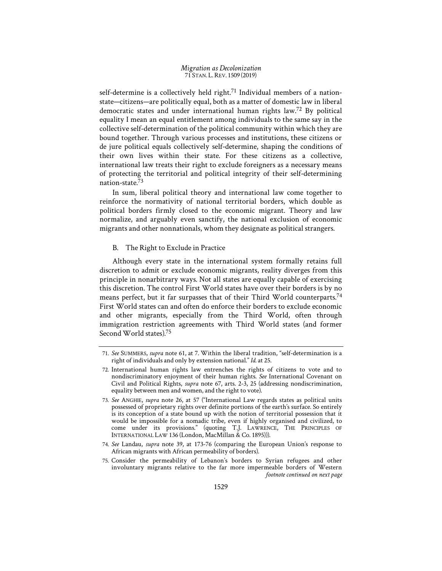self-determine is a collectively held right.<sup>71</sup> Individual members of a nationstate—citizens—are politically equal, both as a matter of domestic law in liberal democratic states and under international human rights law.72 By political equality I mean an equal entitlement among individuals to the same say in the collective self-determination of the political community within which they are bound together. Through various processes and institutions, these citizens or de jure political equals collectively self-determine, shaping the conditions of their own lives within their state. For these citizens as a collective, international law treats their right to exclude foreigners as a necessary means of protecting the territorial and political integrity of their self-determining nation-state.73

In sum, liberal political theory and international law come together to reinforce the normativity of national territorial borders, which double as political borders firmly closed to the economic migrant. Theory and law normalize, and arguably even sanctify, the national exclusion of economic migrants and other nonnationals, whom they designate as political strangers.

# B. The Right to Exclude in Practice

Although every state in the international system formally retains full discretion to admit or exclude economic migrants, reality diverges from this principle in nonarbitrary ways. Not all states are equally capable of exercising this discretion. The control First World states have over their borders is by no means perfect, but it far surpasses that of their Third World counterparts.<sup>74</sup> First World states can and often do enforce their borders to exclude economic and other migrants, especially from the Third World, often through immigration restriction agreements with Third World states (and former Second World states).75

74. *See* Landau, *supra* note 39, at 173-76 (comparing the European Union's response to African migrants with African permeability of borders).

<sup>71.</sup> *See* SUMMERS, *supra* note 61, at 7. Within the liberal tradition, "self-determination is a right of individuals and only by extension national." *Id.* at 25.

<sup>72.</sup> International human rights law entrenches the rights of citizens to vote and to nondiscriminatory enjoyment of their human rights. *See* International Covenant on Civil and Political Rights, *supra* note 67, arts. 2-3, 25 (addressing nondiscrimination, equality between men and women, and the right to vote).

<sup>73.</sup> *See* ANGHIE, *supra* note 26, at 57 ("International Law regards states as political units possessed of proprietary rights over definite portions of the earth's surface. So entirely is its conception of a state bound up with the notion of territorial possession that it would be impossible for a nomadic tribe, even if highly organised and civilized, to come under its provisions." (quoting T.J. LAWRENCE, THE PRINCIPLES OF INTERNATIONAL LAW 136 (London, MacMillan & Co. 1895))).

<sup>75.</sup> Consider the permeability of Lebanon's borders to Syrian refugees and other involuntary migrants relative to the far more impermeable borders of Western *footnote continued on next page*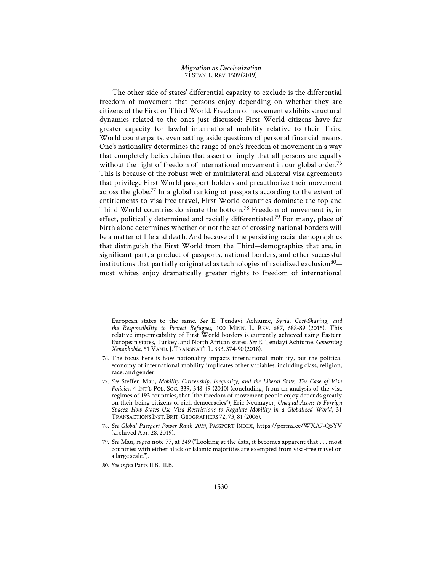The other side of states' differential capacity to exclude is the differential freedom of movement that persons enjoy depending on whether they are citizens of the First or Third World. Freedom of movement exhibits structural dynamics related to the ones just discussed: First World citizens have far greater capacity for lawful international mobility relative to their Third World counterparts, even setting aside questions of personal financial means. One's nationality determines the range of one's freedom of movement in a way that completely belies claims that assert or imply that all persons are equally without the right of freedom of international movement in our global order.<sup>76</sup> This is because of the robust web of multilateral and bilateral visa agreements that privilege First World passport holders and preauthorize their movement across the globe.77 In a global ranking of passports according to the extent of entitlements to visa-free travel, First World countries dominate the top and Third World countries dominate the bottom.78 Freedom of movement is, in effect, politically determined and racially differentiated.<sup>79</sup> For many, place of birth alone determines whether or not the act of crossing national borders will be a matter of life and death. And because of the persisting racial demographics that distinguish the First World from the Third—demographics that are, in significant part, a product of passports, national borders, and other successful institutions that partially originated as technologies of racialized exclusion $80$ most whites enjoy dramatically greater rights to freedom of international

European states to the same. *See* E. Tendayi Achiume, *Syria, Cost-Sharing, and the Responsibility to Protect Refugees*, 100 MINN. L. REV. 687, 688-89 (2015). This relative impermeability of First World borders is currently achieved using Eastern European states, Turkey, and North African states. *See* E. Tendayi Achiume, *Governing Xenophobia*, 51 VAND.J.TRANSNAT'L L. 333, 374-90 (2018).

<sup>76.</sup> The focus here is how nationality impacts international mobility, but the political economy of international mobility implicates other variables, including class, religion, race, and gender.

<sup>77.</sup> *See* Steffen Mau, *Mobility Citizenship, Inequality, and the Liberal State: The Case of Visa Policies*, 4 INT'L POL. SOC. 339, 348-49 (2010) (concluding, from an analysis of the visa regimes of 193 countries, that "the freedom of movement people enjoy depends greatly on their being citizens of rich democracies"); Eric Neumayer, *Unequal Access to Foreign Spaces: How States Use Visa Restrictions to Regulate Mobility in a Globalized World*, 31 TRANSACTIONS INST. BRIT.GEOGRAPHERS 72, 73, 81 (2006).

<sup>78.</sup> *See Global Passport Power Rank 2019*, PASSPORT INDEX, https://perma.cc/WXA7-Q5YV (archived Apr. 28, 2019).

<sup>79.</sup> *See* Mau, *supra* note 77, at 349 ("Looking at the data, it becomes apparent that . . . most countries with either black or Islamic majorities are exempted from visa-free travel on a large scale.").

<sup>80.</sup> *See infra* Parts II.B, III.B.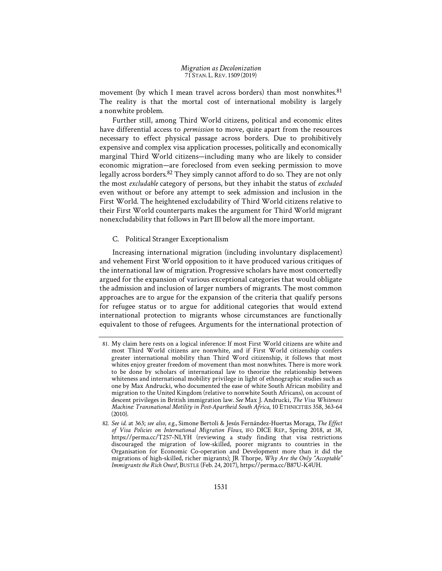movement (by which I mean travel across borders) than most nonwhites.<sup>81</sup> The reality is that the mortal cost of international mobility is largely a nonwhite problem.

Further still, among Third World citizens, political and economic elites have differential access to *permission* to move, quite apart from the resources necessary to effect physical passage across borders. Due to prohibitively expensive and complex visa application processes, politically and economically marginal Third World citizens—including many who are likely to consider economic migration—are foreclosed from even seeking permission to move legally across borders.<sup>82</sup> They simply cannot afford to do so. They are not only the most *excludable* category of persons, but they inhabit the status of *excluded* even without or before any attempt to seek admission and inclusion in the First World. The heightened excludability of Third World citizens relative to their First World counterparts makes the argument for Third World migrant nonexcludability that follows in Part III below all the more important.

# C. Political Stranger Exceptionalism

Increasing international migration (including involuntary displacement) and vehement First World opposition to it have produced various critiques of the international law of migration. Progressive scholars have most concertedly argued for the expansion of various exceptional categories that would obligate the admission and inclusion of larger numbers of migrants. The most common approaches are to argue for the expansion of the criteria that qualify persons for refugee status or to argue for additional categories that would extend international protection to migrants whose circumstances are functionally equivalent to those of refugees. Arguments for the international protection of

<sup>81.</sup> My claim here rests on a logical inference: If most First World citizens are white and most Third World citizens are nonwhite, and if First World citizenship confers greater international mobility than Third Word citizenship, it follows that most whites enjoy greater freedom of movement than most nonwhites. There is more work to be done by scholars of international law to theorize the relationship between whiteness and international mobility privilege in light of ethnographic studies such as one by Max Andrucki, who documented the ease of white South African mobility and migration to the United Kingdom (relative to nonwhite South Africans), on account of descent privileges in British immigration law. *See* Max J. Andrucki, *The Visa Whiteness Machine: Transnational Motility in Post-Apartheid South Africa*, 10 ETHNICITIES 358, 363-64 (2010).

<sup>82.</sup> *See id.* at 363; *see also, e.g.*, Simone Bertoli & Jesús Fernández-Huertas Moraga, *The Effect of Visa Policies on International Migration Flows*, IFO DICE REP., Spring 2018, at 38, https://perma.cc/T257-NLYH (reviewing a study finding that visa restrictions discouraged the migration of low-skilled, poorer migrants to countries in the Organisation for Economic Co-operation and Development more than it did the migrations of high-skilled, richer migrants); JR Thorpe, *Why Are the Only "Acceptable" Immigrants the Rich Ones?*, BUSTLE (Feb. 24, 2017), https://perma.cc/B87U-K4UH.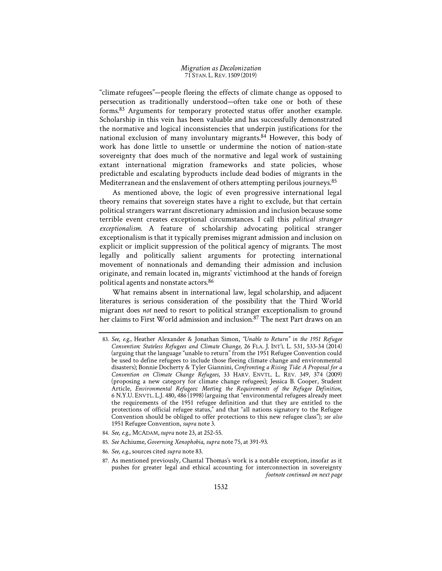"climate refugees"—people fleeing the effects of climate change as opposed to persecution as traditionally understood—often take one or both of these forms.83 Arguments for temporary protected status offer another example. Scholarship in this vein has been valuable and has successfully demonstrated the normative and logical inconsistencies that underpin justifications for the national exclusion of many involuntary migrants.84 However, this body of work has done little to unsettle or undermine the notion of nation-state sovereignty that does much of the normative and legal work of sustaining extant international migration frameworks and state policies, whose predictable and escalating byproducts include dead bodies of migrants in the Mediterranean and the enslavement of others attempting perilous journeys.<sup>85</sup>

As mentioned above, the logic of even progressive international legal theory remains that sovereign states have a right to exclude, but that certain political strangers warrant discretionary admission and inclusion because some terrible event creates exceptional circumstances. I call this *political stranger exceptionalism*. A feature of scholarship advocating political stranger exceptionalism is that it typically premises migrant admission and inclusion on explicit or implicit suppression of the political agency of migrants. The most legally and politically salient arguments for protecting international movement of nonnationals and demanding their admission and inclusion originate, and remain located in, migrants' victimhood at the hands of foreign political agents and nonstate actors.86

What remains absent in international law, legal scholarship, and adjacent literatures is serious consideration of the possibility that the Third World migrant does *not* need to resort to political stranger exceptionalism to ground her claims to First World admission and inclusion.<sup>87</sup> The next Part draws on an

- 84. *See, e.g.*, MCADAM,*supra* note 23, at 252-55.
- 85. *See* Achiume, *Governing Xenophobia*, *supra* note 75, at 391-93.
- 86. *See, e.g.*, sources cited *supra* note 83.

<sup>83.</sup> *See, e.g.*, Heather Alexander & Jonathan Simon, *"Unable to Return" in the 1951 Refugee Convention: Stateless Refugees and Climate Change*, 26 FLA. J. INT'L L. 531, 533-34 (2014) (arguing that the language "unable to return" from the 1951 Refugee Convention could be used to define refugees to include those fleeing climate change and environmental disasters); Bonnie Docherty & Tyler Giannini, *Confronting a Rising Tide: A Proposal for a Convention on Climate Change Refugees*, 33 HARV. ENVTL. L. REV. 349, 374 (2009) (proposing a new category for climate change refugees); Jessica B. Cooper, Student Article, *Environmental Refugees: Meeting the Requirements of the Refugee Definition*, 6 N.Y.U. ENVTL. L.J. 480, 486 (1998) (arguing that "environmental refugees already meet the requirements of the 1951 refugee definition and that they are entitled to the protections of official refugee status," and that "all nations signatory to the Refugee Convention should be obliged to offer protections to this new refugee class"); *see also*  1951 Refugee Convention, *supra* note 3.

<sup>87.</sup> As mentioned previously, Chantal Thomas's work is a notable exception, insofar as it pushes for greater legal and ethical accounting for interconnection in sovereignty *footnote continued on next page*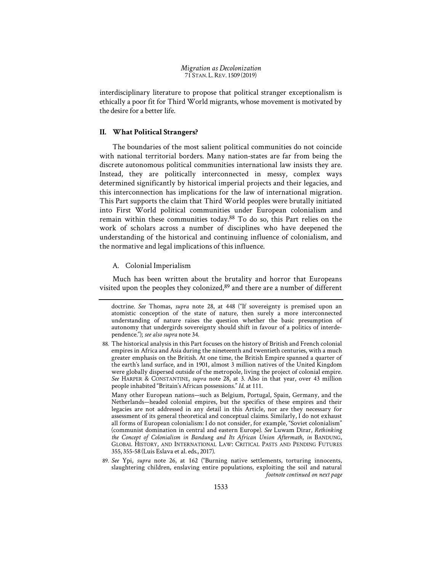interdisciplinary literature to propose that political stranger exceptionalism is ethically a poor fit for Third World migrants, whose movement is motivated by the desire for a better life.

## **II. What Political Strangers?**

The boundaries of the most salient political communities do not coincide with national territorial borders. Many nation-states are far from being the discrete autonomous political communities international law insists they are. Instead, they are politically interconnected in messy, complex ways determined significantly by historical imperial projects and their legacies, and this interconnection has implications for the law of international migration. This Part supports the claim that Third World peoples were brutally initiated into First World political communities under European colonialism and remain within these communities today.88 To do so, this Part relies on the work of scholars across a number of disciplines who have deepened the understanding of the historical and continuing influence of colonialism, and the normative and legal implications of this influence.

# A. Colonial Imperialism

Much has been written about the brutality and horror that Europeans visited upon the peoples they colonized,<sup>89</sup> and there are a number of different

 Many other European nations—such as Belgium, Portugal, Spain, Germany, and the Netherlands—headed colonial empires, but the specifics of these empires and their legacies are not addressed in any detail in this Article, nor are they necessary for assessment of its general theoretical and conceptual claims. Similarly, I do not exhaust all forms of European colonialism: I do not consider, for example, "Soviet colonialism" (communist domination in central and eastern Europe). *See* Luwam Dirar, *Rethinking the Concept of Colonialism in Bandung and Its African Union Aftermath*, *in* BANDUNG, GLOBAL HISTORY, AND INTERNATIONAL LAW: CRITICAL PASTS AND PENDING FUTURES 355, 355-58 (Luis Eslava et al. eds., 2017).

89. *See* Ypi, *supra* note 26, at 162 ("Burning native settlements, torturing innocents, slaughtering children, enslaving entire populations, exploiting the soil and natural *footnote continued on next page* 

doctrine. *See* Thomas, *supra* note 28, at 448 ("If sovereignty is premised upon an atomistic conception of the state of nature, then surely a more interconnected understanding of nature raises the question whether the basic presumption of autonomy that undergirds sovereignty should shift in favour of a politics of interdependence."); *see also supra* note 34.

<sup>88.</sup> The historical analysis in this Part focuses on the history of British and French colonial empires in Africa and Asia during the nineteenth and twentieth centuries, with a much greater emphasis on the British. At one time, the British Empire spanned a quarter of the earth's land surface, and in 1901, almost 3 million natives of the United Kingdom were globally dispersed outside of the metropole, living the project of colonial empire. *See* HARPER & CONSTANTINE, *supra* note 28, at 3. Also in that year, over 43 million people inhabited "Britain's African possessions." *Id.* at 111.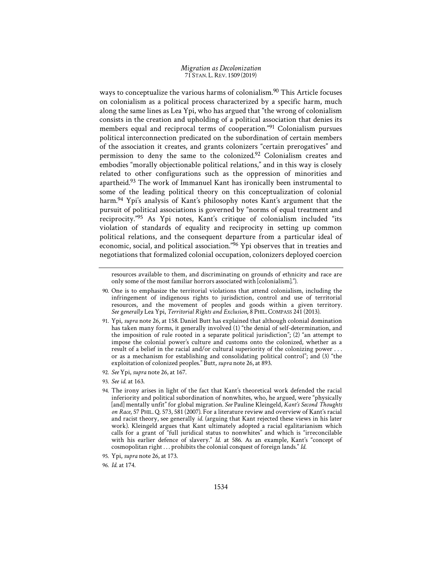ways to conceptualize the various harms of colonialism.<sup>90</sup> This Article focuses on colonialism as a political process characterized by a specific harm, much along the same lines as Lea Ypi, who has argued that "the wrong of colonialism consists in the creation and upholding of a political association that denies its members equal and reciprocal terms of cooperation."91 Colonialism pursues political interconnection predicated on the subordination of certain members of the association it creates, and grants colonizers "certain prerogatives" and permission to deny the same to the colonized.92 Colonialism creates and embodies "morally objectionable political relations," and in this way is closely related to other configurations such as the oppression of minorities and apartheid.93 The work of Immanuel Kant has ironically been instrumental to some of the leading political theory on this conceptualization of colonial harm.94 Ypi's analysis of Kant's philosophy notes Kant's argument that the pursuit of political associations is governed by "norms of equal treatment and reciprocity."95 As Ypi notes, Kant's critique of colonialism included "its violation of standards of equality and reciprocity in setting up common political relations, and the consequent departure from a particular ideal of economic, social, and political association."96 Ypi observes that in treaties and negotiations that formalized colonial occupation, colonizers deployed coercion

resources available to them, and discriminating on grounds of ethnicity and race are only some of the most familiar horrors associated with [colonialism].").

- 91. Ypi, *supra* note 26, at 158. Daniel Butt has explained that although colonial domination has taken many forms, it generally involved (1) "the denial of self-determination, and the imposition of rule rooted in a separate political jurisdiction"; (2) "an attempt to impose the colonial power's culture and customs onto the colonized, whether as a result of a belief in the racial and/or cultural superiority of the colonizing power . . . or as a mechanism for establishing and consolidating political control"; and (3) "the exploitation of colonized peoples." Butt, *supra* note 26, at 893.
- 92. *See* Ypi, *supra* note 26, at 167.
- 93. *See id.* at 163.
- 94. The irony arises in light of the fact that Kant's theoretical work defended the racial inferiority and political subordination of nonwhites, who, he argued, were "physically [and] mentally unfit" for global migration. *See* Pauline Kleingeld, *Kant's Second Thoughts on Race*, 57 PHIL.Q. 573, 581 (2007). For a literature review and overview of Kant's racial and racist theory, see generally *id.* (arguing that Kant rejected these views in his later work). Kleingeld argues that Kant ultimately adopted a racial egalitarianism which calls for a grant of "full juridical status to nonwhites" and which is "irreconcilable with his earlier defence of slavery." *Id.* at 586. As an example, Kant's "concept of cosmopolitan right . . . prohibits the colonial conquest of foreign lands." *Id.*
- 95. Ypi, *supra* note 26, at 173.

96. *Id.* at 174.

<sup>90.</sup> One is to emphasize the territorial violations that attend colonialism, including the infringement of indigenous rights to jurisdiction, control and use of territorial resources, and the movement of peoples and goods within a given territory. *See generally* Lea Ypi, *Territorial Rights and Exclusion*, 8 PHIL.COMPASS 241 (2013).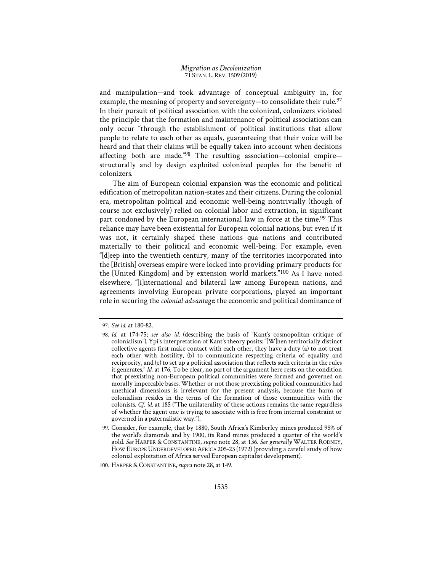and manipulation—and took advantage of conceptual ambiguity in, for example, the meaning of property and sovereignty—to consolidate their rule.<sup>97</sup> In their pursuit of political association with the colonized, colonizers violated the principle that the formation and maintenance of political associations can only occur "through the establishment of political institutions that allow people to relate to each other as equals, guaranteeing that their voice will be heard and that their claims will be equally taken into account when decisions affecting both are made."98 The resulting association—colonial empire structurally and by design exploited colonized peoples for the benefit of colonizers.

The aim of European colonial expansion was the economic and political edification of metropolitan nation-states and their citizens. During the colonial era, metropolitan political and economic well-being nontrivially (though of course not exclusively) relied on colonial labor and extraction, in significant part condoned by the European international law in force at the time.<sup>99</sup> This reliance may have been existential for European colonial nations, but even if it was not, it certainly shaped these nations qua nations and contributed materially to their political and economic well-being. For example, even "[d]eep into the twentieth century, many of the territories incorporated into the [British] overseas empire were locked into providing primary products for the [United Kingdom] and by extension world markets."100 As I have noted elsewhere, "[i]nternational and bilateral law among European nations, and agreements involving European private corporations, played an important role in securing the *colonial advantage*: the economic and political dominance of

100. HARPER & CONSTANTINE, *supra* note 28, at 149.

<sup>97.</sup> *See id.* at 180-82.

<sup>98.</sup> *Id.* at 174-75; *see also id.* (describing the basis of "Kant's cosmopolitan critique of colonialism"). Ypi's interpretation of Kant's theory posits: "[W]hen territorially distinct collective agents first make contact with each other, they have a duty (a) to not treat each other with hostility, (b) to communicate respecting criteria of equality and reciprocity, and (c) to set up a political association that reflects such criteria in the rules it generates." *Id.* at 176. To be clear, no part of the argument here rests on the condition that preexisting non-European political communities were formed and governed on morally impeccable bases. Whether or not those preexisting political communities had unethical dimensions is irrelevant for the present analysis, because the harm of colonialism resides in the terms of the formation of those communities with the colonists. *Cf. id.* at 185 ("The unilaterality of these actions remains the same regardless of whether the agent one is trying to associate with is free from internal constraint or governed in a paternalistic way.").

<sup>99.</sup> Consider, for example, that by 1880, South Africa's Kimberley mines produced 95% of the world's diamonds and by 1900, its Rand mines produced a quarter of the world's gold. *See* HARPER & CONSTANTINE, *supra* note 28, at 136. *See generally* WALTER RODNEY, HOW EUROPE UNDERDEVELOPED AFRICA 205-23 (1972) (providing a careful study of how colonial exploitation of Africa served European capitalist development).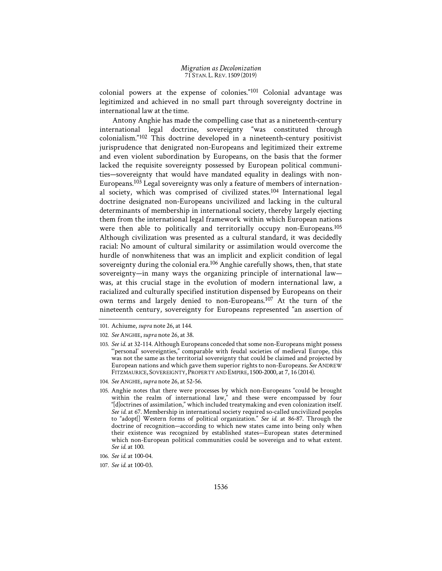colonial powers at the expense of colonies."101 Colonial advantage was legitimized and achieved in no small part through sovereignty doctrine in international law at the time.

Antony Anghie has made the compelling case that as a nineteenth-century international legal doctrine, sovereignty "was constituted through colonialism."102 This doctrine developed in a nineteenth-century positivist jurisprudence that denigrated non-Europeans and legitimized their extreme and even violent subordination by Europeans, on the basis that the former lacked the requisite sovereignty possessed by European political communities—sovereignty that would have mandated equality in dealings with non-Europeans.103 Legal sovereignty was only a feature of members of international society, which was comprised of civilized states.104 International legal doctrine designated non-Europeans uncivilized and lacking in the cultural determinants of membership in international society, thereby largely ejecting them from the international legal framework within which European nations were then able to politically and territorially occupy non-Europeans.<sup>105</sup> Although civilization was presented as a cultural standard, it was decidedly racial: No amount of cultural similarity or assimilation would overcome the hurdle of nonwhiteness that was an implicit and explicit condition of legal sovereignty during the colonial era.<sup>106</sup> Anghie carefully shows, then, that state sovereignty—in many ways the organizing principle of international law was, at this crucial stage in the evolution of modern international law, a racialized and culturally specified institution dispensed by Europeans on their own terms and largely denied to non-Europeans.107 At the turn of the nineteenth century, sovereignty for Europeans represented "an assertion of

<sup>101.</sup> Achiume, *supra* note 26, at 144.

<sup>102.</sup> *See* ANGHIE,*supra* note 26, at 38.

<sup>103.</sup> *See id.* at 32-114. Although Europeans conceded that some non-Europeans might possess "'personal' sovereignties," comparable with feudal societies of medieval Europe, this was not the same as the territorial sovereignty that could be claimed and projected by European nations and which gave them superior rights to non-Europeans. *See* ANDREW FITZMAURICE, SOVEREIGNTY, PROPERTY AND EMPIRE, 1500-2000, at 7, 16 (2014).

<sup>104.</sup> *See* ANGHIE,*supra* note 26, at 52-56.

<sup>105.</sup> Anghie notes that there were processes by which non-Europeans "could be brought within the realm of international law," and these were encompassed by four "[d]octrines of assimilation," which included treatymaking and even colonization itself. *See id.* at 67. Membership in international society required so-called uncivilized peoples to "adopt[] Western forms of political organization." *See id.* at 86-87. Through the doctrine of recognition—according to which new states came into being only when their existence was recognized by established states—European states determined which non-European political communities could be sovereign and to what extent. *See id.* at 100.

<sup>106.</sup> *See id.* at 100-04.

<sup>107.</sup> *See id.* at 100-03.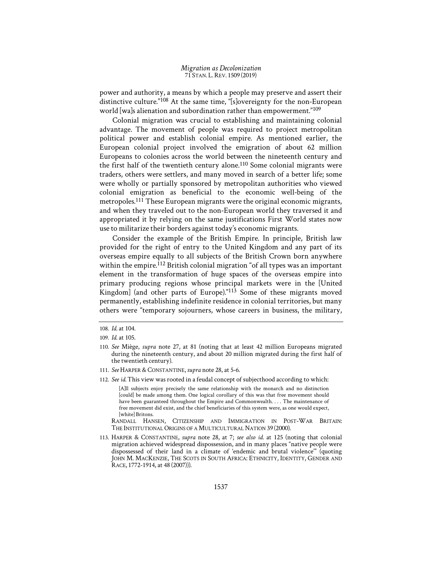power and authority, a means by which a people may preserve and assert their distinctive culture."108 At the same time, "[s]overeignty for the non-European world [wa]s alienation and subordination rather than empowerment."109

Colonial migration was crucial to establishing and maintaining colonial advantage. The movement of people was required to project metropolitan political power and establish colonial empire. As mentioned earlier, the European colonial project involved the emigration of about 62 million Europeans to colonies across the world between the nineteenth century and the first half of the twentieth century alone.<sup>110</sup> Some colonial migrants were traders, others were settlers, and many moved in search of a better life; some were wholly or partially sponsored by metropolitan authorities who viewed colonial emigration as beneficial to the economic well-being of the metropoles.<sup>111</sup> These European migrants were the original economic migrants, and when they traveled out to the non-European world they traversed it and appropriated it by relying on the same justifications First World states now use to militarize their borders against today's economic migrants.

Consider the example of the British Empire. In principle, British law provided for the right of entry to the United Kingdom and any part of its overseas empire equally to all subjects of the British Crown born anywhere within the empire.<sup>112</sup> British colonial migration "of all types was an important element in the transformation of huge spaces of the overseas empire into primary producing regions whose principal markets were in the [United Kingdom] (and other parts of Europe)."113 Some of these migrants moved permanently, establishing indefinite residence in colonial territories, but many others were "temporary sojourners, whose careers in business, the military,

- 111. See HARPER & CONSTANTINE, supra note 28, at 5-6.
- 112. *See id.*This view was rooted in a feudal concept of subjecthood according to which:

[A]ll subjects enjoy precisely the same relationship with the monarch and no distinction [could] be made among them. One logical corollary of this was that free movement should have been guaranteed throughout the Empire and Commonwealth. . . . The maintenance of free movement did exist, and the chief beneficiaries of this system were, as one would expect, [white] Britons.

 RANDALL HANSEN, CITIZENSHIP AND IMMIGRATION IN POST-WAR BRITAIN: THE INSTITUTIONAL ORIGINS OF A MULTICULTURAL NATION 39 (2000).

113. HARPER & CONSTANTINE, *supra* note 28, at 7; *see also id.* at 125 (noting that colonial migration achieved widespread dispossession, and in many places "native people were dispossessed of their land in a climate of 'endemic and brutal violence'" (quoting JOHN M. MACKENZIE, THE SCOTS IN SOUTH AFRICA: ETHNICITY, IDENTITY, GENDER AND RACE, 1772-1914, at 48 (2007))).

<sup>108.</sup> *Id.* at 104.

<sup>109.</sup> *Id.* at 105.

<sup>110.</sup> *See* Miège, *supra* note 27, at 81 (noting that at least 42 million Europeans migrated during the nineteenth century, and about 20 million migrated during the first half of the twentieth century).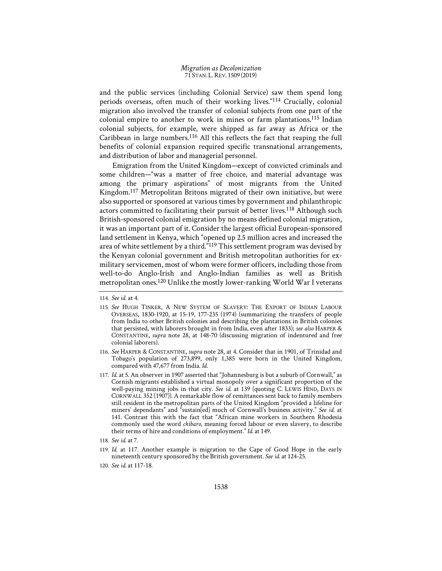and the public services (including Colonial Service) saw them spend long periods overseas, often much of their working lives."114 Crucially, colonial migration also involved the transfer of colonial subjects from one part of the colonial empire to another to work in mines or farm plantations.115 Indian colonial subjects, for example, were shipped as far away as Africa or the Caribbean in large numbers.116 All this reflects the fact that reaping the full benefits of colonial expansion required specific transnational arrangements, and distribution of labor and managerial personnel.

Emigration from the United Kingdom—except of convicted criminals and some children—"was a matter of free choice, and material advantage was among the primary aspirations" of most migrants from the United Kingdom.117 Metropolitan Britons migrated of their own initiative, but were also supported or sponsored at various times by government and philanthropic actors committed to facilitating their pursuit of better lives.<sup>118</sup> Although such British-sponsored colonial emigration by no means defined colonial migration, it was an important part of it. Consider the largest official European-sponsored land settlement in Kenya, which "opened up 2.5 million acres and increased the area of white settlement by a third."119 This settlement program was devised by the Kenyan colonial government and British metropolitan authorities for exmilitary servicemen, most of whom were former officers, including those from well-to-do Anglo-Irish and Anglo-Indian families as well as British metropolitan ones.120 Unlike the mostly lower-ranking World War I veterans

<sup>114.</sup> *See id.* at 4.

<sup>115.</sup> *See* HUGH TINKER, A NEW SYSTEM OF SLAVERY: THE EXPORT OF INDIAN LABOUR OVERSEAS, 1830-1920, at 15-19, 177-235 (1974) (summarizing the transfers of people from India to other British colonies and describing the plantations in British colonies that persisted, with laborers brought in from India, even after 1833); *see also* HARPER & CONSTANTINE, *supra* note 28, at 148-70 (discussing migration of indentured and free colonial laborers).

<sup>116.</sup> *See* HARPER & CONSTANTINE, *supra* note 28, at 4. Consider that in 1901, of Trinidad and Tobago's population of 273,899, only 1,385 were born in the United Kingdom, compared with 47,677 from India. *Id.*

<sup>117.</sup> *Id.* at 5. An observer in 1907 asserted that "Johannesburg is but a suburb of Cornwall," as Cornish migrants established a virtual monopoly over a significant proportion of the well-paying mining jobs in that city. *See id.* at 139 (quoting C. LEWIS HIND, DAYS IN CORNWALL 352 (1907)). A remarkable flow of remittances sent back to family members still resident in the metropolitan parts of the United Kingdom "provided a lifeline for miners' dependants" and "sustain[ed] much of Cornwall's business activity." *See id.* at 141. Contrast this with the fact that "African mine workers in Southern Rhodesia commonly used the word *chibaro*, meaning forced labour or even slavery, to describe their terms of hire and conditions of employment." *Id.* at 149.

<sup>118.</sup> *See id.* at 7.

<sup>119.</sup> *Id.* at 117. Another example is migration to the Cape of Good Hope in the early nineteenth century sponsored by the British government. *See id.* at 124-25.

<sup>120.</sup> *See id.* at 117-18.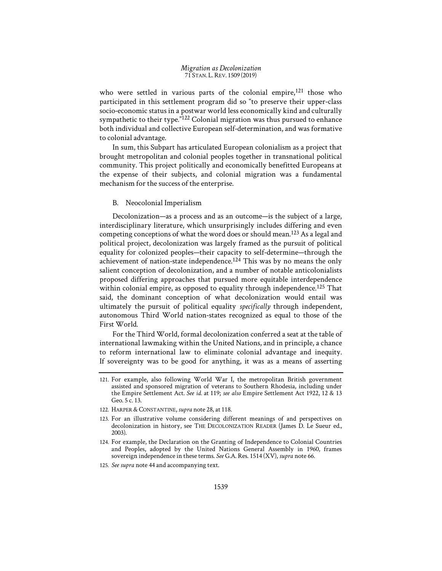who were settled in various parts of the colonial empire, $121$  those who participated in this settlement program did so "to preserve their upper-class socio-economic status in a postwar world less economically kind and culturally sympathetic to their type."<sup>122</sup> Colonial migration was thus pursued to enhance both individual and collective European self-determination, and was formative to colonial advantage.

In sum, this Subpart has articulated European colonialism as a project that brought metropolitan and colonial peoples together in transnational political community. This project politically and economically benefitted Europeans at the expense of their subjects, and colonial migration was a fundamental mechanism for the success of the enterprise.

# B. Neocolonial Imperialism

Decolonization—as a process and as an outcome—is the subject of a large, interdisciplinary literature, which unsurprisingly includes differing and even competing conceptions of what the word does or should mean.123 As a legal and political project, decolonization was largely framed as the pursuit of political equality for colonized peoples—their capacity to self-determine—through the achievement of nation-state independence.<sup>124</sup> This was by no means the only salient conception of decolonization, and a number of notable anticolonialists proposed differing approaches that pursued more equitable interdependence within colonial empire, as opposed to equality through independence.<sup>125</sup> That said, the dominant conception of what decolonization would entail was ultimately the pursuit of political equality *specifically* through independent, autonomous Third World nation-states recognized as equal to those of the First World.

For the Third World, formal decolonization conferred a seat at the table of international lawmaking within the United Nations, and in principle, a chance to reform international law to eliminate colonial advantage and inequity. If sovereignty was to be good for anything, it was as a means of asserting

<sup>121.</sup> For example, also following World War I, the metropolitan British government assisted and sponsored migration of veterans to Southern Rhodesia, including under the Empire Settlement Act. *See id.* at 119; *see also* Empire Settlement Act 1922, 12 & 13 Geo. 5 c. 13.

<sup>122.</sup> HARPER & CONSTANTINE, *supra* note 28, at 118.

<sup>123.</sup> For an illustrative volume considering different meanings of and perspectives on decolonization in history, see THE DECOLONIZATION READER (James D. Le Sueur ed., 2003).

<sup>124.</sup> For example, the Declaration on the Granting of Independence to Colonial Countries and Peoples, adopted by the United Nations General Assembly in 1960, frames sovereign independence in these terms. *See* G.A. Res. 1514 (XV), *supra* note 66.

<sup>125.</sup> *See supra* note 44 and accompanying text.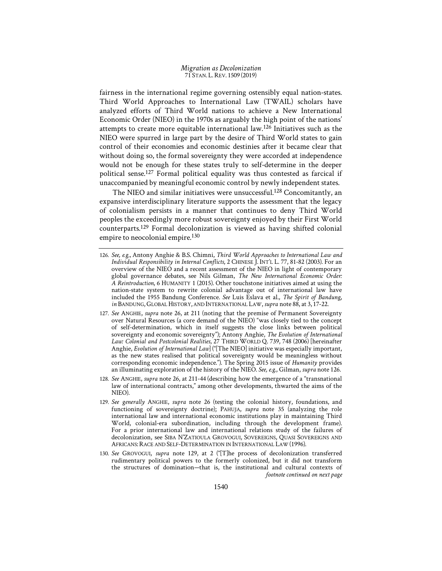fairness in the international regime governing ostensibly equal nation-states. Third World Approaches to International Law (TWAIL) scholars have analyzed efforts of Third World nations to achieve a New International Economic Order (NIEO) in the 1970s as arguably the high point of the nations' attempts to create more equitable international law.126 Initiatives such as the NIEO were spurred in large part by the desire of Third World states to gain control of their economies and economic destinies after it became clear that without doing so, the formal sovereignty they were accorded at independence would not be enough for these states truly to self-determine in the deeper political sense.127 Formal political equality was thus contested as farcical if unaccompanied by meaningful economic control by newly independent states.

The NIEO and similar initiatives were unsuccessful.128 Concomitantly, an expansive interdisciplinary literature supports the assessment that the legacy of colonialism persists in a manner that continues to deny Third World peoples the exceedingly more robust sovereignty enjoyed by their First World counterparts.129 Formal decolonization is viewed as having shifted colonial empire to neocolonial empire.130

- 127. *See* ANGHIE, *supra* note 26, at 211 (noting that the premise of Permanent Sovereignty over Natural Resources (a core demand of the NIEO) "was closely tied to the concept of self-determination, which in itself suggests the close links between political sovereignty and economic sovereignty"); Antony Anghie, *The Evolution of International Law: Colonial and Postcolonial Realities*, 27 THIRD WORLD Q. 739, 748 (2006) [hereinafter Anghie, *Evolution of International Law*] ("[The NIEO] initiative was especially important, as the new states realised that political sovereignty would be meaningless without corresponding economic independence."). The Spring 2015 issue of *Humanity* provides an illuminating exploration of the history of the NIEO. *See, e.g.*, Gilman, *supra* note 126.
- 128. *See* ANGHIE, *supra* note 26, at 211-44 (describing how the emergence of a "transnational law of international contracts," among other developments, thwarted the aims of the NIEO).
- 129. *See generally* ANGHIE, *supra* note 26 (testing the colonial history, foundations, and functioning of sovereignty doctrine); PAHUJA, *supra* note 35 (analyzing the role international law and international economic institutions play in maintaining Third World, colonial-era subordination, including through the development frame). For a prior international law and international relations study of the failures of decolonization, see SIBA N'ZATIOULA GROVOGUI, SOVEREIGNS, QUASI SOVEREIGNS AND Africans: Race and Self-Determination in International Law (1996).
- 130. *See* GROVOGUI, *supra* note 129, at 2 ("[T]he process of decolonization transferred rudimentary political powers to the formerly colonized, but it did not transform the structures of domination—that is, the institutional and cultural contexts of *footnote continued on next page*

<sup>126.</sup> *See, e.g.*, Antony Anghie & B.S. Chimni, *Third World Approaches to International Law and Individual Responsibility in Internal Conflicts*, 2 CHINESE J. INT'L L. 77, 81-82 (2003). For an overview of the NIEO and a recent assessment of the NIEO in light of contemporary global governance debates, see Nils Gilman, *The New International Economic Order: A Reintroduction*, 6 HUMANITY 1 (2015). Other touchstone initiatives aimed at using the nation-state system to rewrite colonial advantage out of international law have included the 1955 Bandung Conference. *See* Luis Eslava et al., *The Spirit of Bandung*, *in* BANDUNG,GLOBAL HISTORY, AND INTERNATIONAL LAW,*supra* note 88, at 3, 17-22.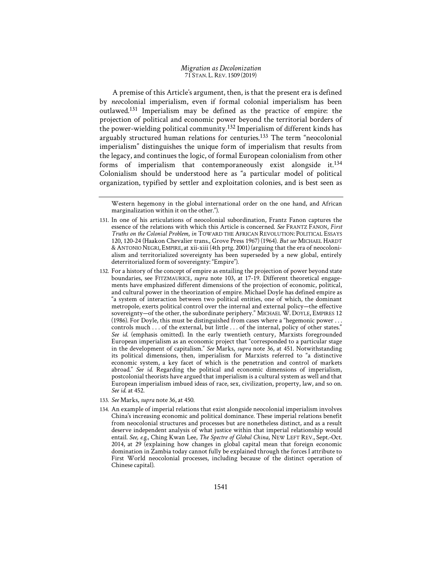A premise of this Article's argument, then, is that the present era is defined by *neo*colonial imperialism, even if formal colonial imperialism has been outlawed.131 Imperialism may be defined as the practice of empire: the projection of political and economic power beyond the territorial borders of the power-wielding political community.132 Imperialism of different kinds has arguably structured human relations for centuries.133 The term "neocolonial imperialism" distinguishes the unique form of imperialism that results from the legacy, and continues the logic, of formal European colonialism from other forms of imperialism that contemporaneously exist alongside it.134 Colonialism should be understood here as "a particular model of political organization, typified by settler and exploitation colonies, and is best seen as

- 133. *See* Marks, *supra* note 36, at 450.
- 134. An example of imperial relations that exist alongside neocolonial imperialism involves China's increasing economic and political dominance. These imperial relations benefit from neocolonial structures and processes but are nonetheless distinct, and as a result deserve independent analysis of what justice within that imperial relationship would entail. *See, e.g.*, Ching Kwan Lee, *The Spectre of Global China*, NEW LEFT REV., Sept.-Oct. 2014, at 29 (explaining how changes in global capital mean that foreign economic domination in Zambia today cannot fully be explained through the forces I attribute to First World neocolonial processes, including because of the distinct operation of Chinese capital).

Western hegemony in the global international order on the one hand, and African marginalization within it on the other.").

<sup>131.</sup> In one of his articulations of neocolonial subordination, Frantz Fanon captures the essence of the relations with which this Article is concerned. *See* FRANTZ FANON, *First Truths on the Colonial Problem*, *in* TOWARD THE AFRICAN REVOLUTION: POLITICAL ESSAYS 120, 120-24 (Haakon Chevalier trans., Grove Press 1967) (1964). *But see* MICHAEL HARDT &ANTONIO NEGRI, EMPIRE, at xii-xiii (4th prtg. 2001) (arguing that the era of neocolonialism and territorialized sovereignty has been superseded by a new global, entirely deterritorialized form of sovereignty: "Empire").

<sup>132.</sup> For a history of the concept of empire as entailing the projection of power beyond state boundaries, see FITZMAURICE, *supra* note 103, at 17-19. Different theoretical engagements have emphasized different dimensions of the projection of economic, political, and cultural power in the theorization of empire. Michael Doyle has defined empire as "a system of interaction between two political entities, one of which, the dominant metropole, exerts political control over the internal and external policy—the effective sovereignty—of the other, the subordinate periphery." MICHAEL W. DOYLE, EMPIRES 12 (1986). For Doyle, this must be distinguished from cases where a "hegemonic power . . . controls much . . . of the external, but little . . . of the internal, policy of other states." *See id.* (emphasis omitted). In the early twentieth century, Marxists foregrounded European imperialism as an economic project that "corresponded to a particular stage in the development of capitalism." *See* Marks, *supra* note 36, at 451. Notwithstanding its political dimensions, then, imperialism for Marxists referred to "a distinctive economic system, a key facet of which is the penetration and control of markets abroad." *See id.* Regarding the political and economic dimensions of imperialism, postcolonial theorists have argued that imperialism is a cultural system as well and that European imperialism imbued ideas of race, sex, civilization, property, law, and so on. *See id.* at 452.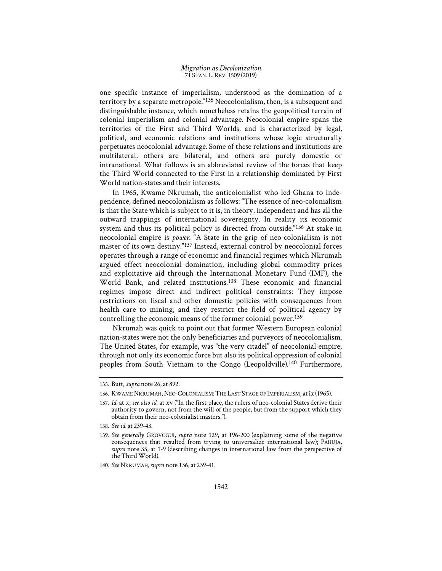one specific instance of imperialism, understood as the domination of a territory by a separate metropole."135 Neocolonialism, then, is a subsequent and distinguishable instance, which nonetheless retains the geopolitical terrain of colonial imperialism and colonial advantage. Neocolonial empire spans the territories of the First and Third Worlds, and is characterized by legal, political, and economic relations and institutions whose logic structurally perpetuates neocolonial advantage. Some of these relations and institutions are multilateral, others are bilateral, and others are purely domestic or intranational. What follows is an abbreviated review of the forces that keep the Third World connected to the First in a relationship dominated by First World nation-states and their interests.

In 1965, Kwame Nkrumah, the anticolonialist who led Ghana to independence, defined neocolonialism as follows: "The essence of neo-colonialism is that the State which is subject to it is, in theory, independent and has all the outward trappings of international sovereignty. In reality its economic system and thus its political policy is directed from outside."136 At stake in neocolonial empire is *power*: "A State in the grip of neo-colonialism is not master of its own destiny."137 Instead, external control by neocolonial forces operates through a range of economic and financial regimes which Nkrumah argued effect neocolonial domination, including global commodity prices and exploitative aid through the International Monetary Fund (IMF), the World Bank, and related institutions.138 These economic and financial regimes impose direct and indirect political constraints: They impose restrictions on fiscal and other domestic policies with consequences from health care to mining, and they restrict the field of political agency by controlling the economic means of the former colonial power.139

Nkrumah was quick to point out that former Western European colonial nation-states were not the only beneficiaries and purveyors of neocolonialism. The United States, for example, was "the very citadel" of neocolonial empire, through not only its economic force but also its political oppression of colonial peoples from South Vietnam to the Congo (Leopoldville).140 Furthermore,

<sup>135.</sup> Butt, *supra* note 26, at 892.

<sup>136.</sup> KWAME NKRUMAH, NEO-COLONIALISM:THE LAST STAGE OF IMPERIALISM, atix (1965).

<sup>137.</sup> *Id.* at x; *see also id.* at xv ("In the first place, the rulers of neo-colonial States derive their authority to govern, not from the will of the people, but from the support which they obtain from their neo-colonialist masters.").

<sup>138.</sup> *See id.* at 239-43.

<sup>139.</sup> *See generally* GROVOGUI, *supra* note 129, at 196-200 (explaining some of the negative consequences that resulted from trying to universalize international law); PAHUJA, *supra* note 35, at 1-9 (describing changes in international law from the perspective of the Third World).

<sup>140.</sup> *See* NKRUMAH,*supra* note 136, at 239-41.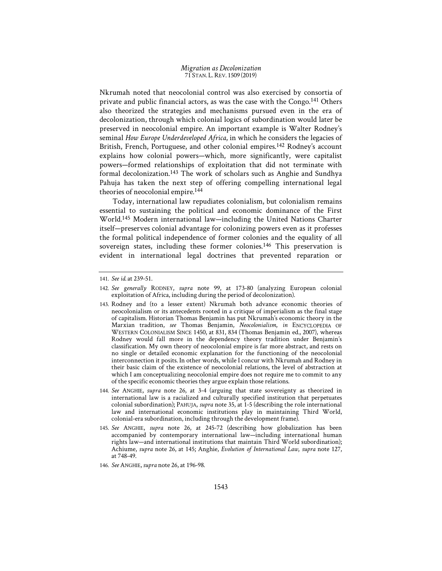Nkrumah noted that neocolonial control was also exercised by consortia of private and public financial actors, as was the case with the Congo.<sup>141</sup> Others also theorized the strategies and mechanisms pursued even in the era of decolonization, through which colonial logics of subordination would later be preserved in neocolonial empire. An important example is Walter Rodney's seminal *How Europe Underdeveloped Africa*, in which he considers the legacies of British, French, Portuguese, and other colonial empires.142 Rodney's account explains how colonial powers—which, more significantly, were capitalist powers—formed relationships of exploitation that did not terminate with formal decolonization.143 The work of scholars such as Anghie and Sundhya Pahuja has taken the next step of offering compelling international legal theories of neocolonial empire.144

Today, international law repudiates colonialism, but colonialism remains essential to sustaining the political and economic dominance of the First World.145 Modern international law—including the United Nations Charter itself—preserves colonial advantage for colonizing powers even as it professes the formal political independence of former colonies and the equality of all sovereign states, including these former colonies.<sup>146</sup> This preservation is evident in international legal doctrines that prevented reparation or

- 144. *See* ANGHIE, *supra* note 26, at 3-4 (arguing that state sovereignty as theorized in international law is a racialized and culturally specified institution that perpetuates colonial subordination); PAHUJA, *supra* note 35, at 1-5 (describing the role international law and international economic institutions play in maintaining Third World, colonial-era subordination, including through the development frame).
- 145. *See* ANGHIE, *supra* note 26, at 245-72 (describing how globalization has been accompanied by contemporary international law—including international human rights law—and international institutions that maintain Third World subordination); Achiume, *supra* note 26, at 145; Anghie, *Evolution of International Law*, *supra* note 127, at 748-49.
- 146. *See* ANGHIE,*supra* note 26, at 196-98.

<sup>141.</sup> *See id.* at 239-51.

<sup>142.</sup> *See generally* RODNEY, *supra* note 99, at 173-80 (analyzing European colonial exploitation of Africa, including during the period of decolonization).

<sup>143.</sup> Rodney and (to a lesser extent) Nkrumah both advance economic theories of neocolonialism or its antecedents rooted in a critique of imperialism as the final stage of capitalism. Historian Thomas Benjamin has put Nkrumah's economic theory in the Marxian tradition, *see* Thomas Benjamin, *Neocolonialism*, *in* ENCYCLOPEDIA OF WESTERN COLONIALISM SINCE 1450, at 831, 834 (Thomas Benjamin ed., 2007), whereas Rodney would fall more in the dependency theory tradition under Benjamin's classification. My own theory of neocolonial empire is far more abstract, and rests on no single or detailed economic explanation for the functioning of the neocolonial interconnection it posits. In other words, while I concur with Nkrumah and Rodney in their basic claim of the existence of neocolonial relations, the level of abstraction at which I am conceptualizing neocolonial empire does not require me to commit to any of the specific economic theories they argue explain those relations.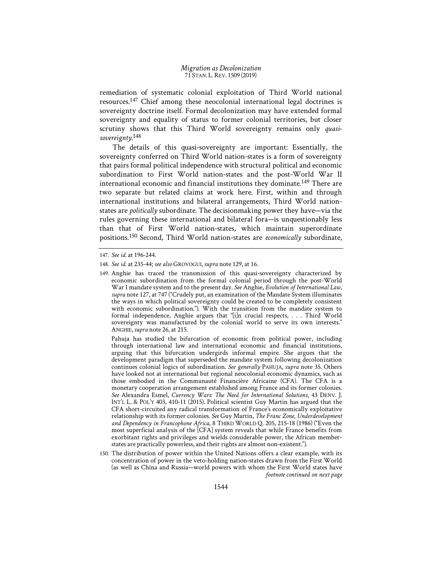remediation of systematic colonial exploitation of Third World national resources.147 Chief among these neocolonial international legal doctrines is sovereignty doctrine itself. Formal decolonization may have extended formal sovereignty and equality of status to former colonial territories, but closer scrutiny shows that this Third World sovereignty remains only *quasisovereignty*. 148

The details of this quasi-sovereignty are important: Essentially, the sovereignty conferred on Third World nation-states is a form of sovereignty that pairs formal political independence with structural political and economic subordination to First World nation-states and the post-World War II international economic and financial institutions they dominate.149 There are two separate but related claims at work here. First, within and through international institutions and bilateral arrangements, Third World nationstates are *politically* subordinate. The decisionmaking power they have—via the rules governing these international and bilateral fora—is unquestionably less than that of First World nation-states, which maintain superordinate positions.150 Second, Third World nation-states are *economically* subordinate,

 Pahuja has studied the bifurcation of economic from political power, including through international law and international economic and financial institutions, arguing that this bifurcation undergirds informal empire. She argues that the development paradigm that superseded the mandate system following decolonization continues colonial logics of subordination. *See generally* PAHUJA, *supra* note 35. Others have looked not at international but regional neocolonial economic dynamics, such as those embodied in the Communauté Financière Africaine (CFA). The CFA is a monetary cooperation arrangement established among France and its former colonies. *See* Alexandra Esmel, *Currency Wars: The Need for International Solutions*, 43 DENV. J. INT'L L. & POL'Y 403, 410-11 (2015). Political scientist Guy Martin has argued that the CFA short-circuited any radical transformation of France's economically exploitative relationship with its former colonies. *See* Guy Martin, *The Franc Zone, Underdevelopment and Dependency in Francophone Africa*, 8 THIRD WORLD Q. 205, 215-18 (1986) ("Even the most superficial analysis of the [CFA] system reveals that while France benefits from exorbitant rights and privileges and wields considerable power, the African memberstates are practically powerless, and their rights are almost non-existent.").

150. The distribution of power within the United Nations offers a clear example, with its concentration of power in the veto-holding nation-states drawn from the First World (as well as China and Russia—world powers with whom the First World states have *footnote continued on next page* 

1544

<sup>147.</sup> *See id.* at 196-244.

<sup>148.</sup> *See id.* at 235-44; *see also* GROVOGUI,*supra* note 129, at 16.

<sup>149.</sup> Anghie has traced the transmission of this quasi-sovereignty characterized by economic subordination from the formal colonial period through the post-World War I mandate system and to the present day. *See* Anghie, *Evolution of International Law*, *supra* note 127, at 747 ("Crudely put, an examination of the Mandate System illuminates the ways in which political sovereignty could be created to be completely consistent with economic subordination."). With the transition from the mandate system to formal independence, Anghie argues that "[i]n crucial respects, . . . Third World sovereignty was manufactured by the colonial world to serve its own interests." ANGHIE,*supra* note 26, at 215.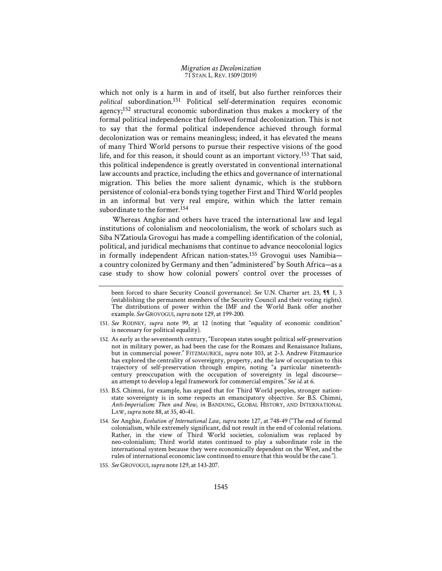which not only is a harm in and of itself, but also further reinforces their *political* subordination.151 Political self-determination requires economic agency;152 structural economic subordination thus makes a mockery of the formal political independence that followed formal decolonization. This is not to say that the formal political independence achieved through formal decolonization was or remains meaningless; indeed, it has elevated the means of many Third World persons to pursue their respective visions of the good life, and for this reason, it should count as an important victory.153 That said, this political independence is greatly overstated in conventional international law accounts and practice, including the ethics and governance of international migration. This belies the more salient dynamic, which is the stubborn persistence of colonial-era bonds tying together First and Third World peoples in an informal but very real empire, within which the latter remain subordinate to the former.<sup>154</sup>

Whereas Anghie and others have traced the international law and legal institutions of colonialism and neocolonialism, the work of scholars such as Siba N'Zatioula Grovogui has made a compelling identification of the colonial, political, and juridical mechanisms that continue to advance neocolonial logics in formally independent African nation-states.155 Grovogui uses Namibia a country colonized by Germany and then "administered" by South Africa—as a case study to show how colonial powers' control over the processes of

- 151. *See* RODNEY, *supra* note 99, at 12 (noting that "equality of economic condition" is necessary for political equality).
- 152. As early as the seventeenth century, "European states sought political self-preservation not in military power, as had been the case for the Romans and Renaissance Italians, but in commercial power." FITZMAURICE, *supra* note 103, at 2-3. Andrew Fitzmaurice has explored the centrality of sovereignty, property, and the law of occupation to this trajectory of self-preservation through empire, noting "a particular nineteenthcentury preoccupation with the occupation of sovereignty in legal discourse an attempt to develop a legal framework for commercial empires." *See id.* at 6.
- 153. B.S. Chimni, for example, has argued that for Third World peoples, stronger nationstate sovereignty is in some respects an emancipatory objective. *See* B.S. Chimni, *Anti-Imperialism: Then and Now*, *in* BANDUNG, GLOBAL HISTORY, AND INTERNATIONAL LAW, *supra* note 88, at 35, 40-41.
- 154. *See* Anghie, *Evolution of International Law*, *supra* note 127, at 748-49 ("The end of formal colonialism, while extremely significant, did not result in the end of colonial relations. Rather, in the view of Third World societies, colonialism was replaced by neo-colonialism; Third world states continued to play a subordinate role in the international system because they were economically dependent on the West, and the rules of international economic law continued to ensure that this would be the case.").

been forced to share Security Council governance). *See* U.N. Charter art. 23, ¶¶ 1, 3 (establishing the permanent members of the Security Council and their voting rights). The distributions of power within the IMF and the World Bank offer another example. *See* GROVOGUI,*supra* note 129, at 199-200.

<sup>155.</sup> *See* GROVOGUI,*supra* note 129, at 143-207.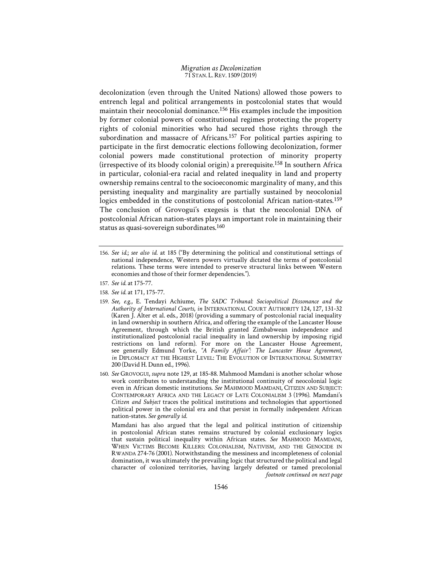decolonization (even through the United Nations) allowed those powers to entrench legal and political arrangements in postcolonial states that would maintain their neocolonial dominance.156 His examples include the imposition by former colonial powers of constitutional regimes protecting the property rights of colonial minorities who had secured those rights through the subordination and massacre of Africans.157 For political parties aspiring to participate in the first democratic elections following decolonization, former colonial powers made constitutional protection of minority property (irrespective of its bloody colonial origin) a prerequisite.<sup>158</sup> In southern Africa in particular, colonial-era racial and related inequality in land and property ownership remains central to the socioeconomic marginality of many, and this persisting inequality and marginality are partially sustained by neocolonial logics embedded in the constitutions of postcolonial African nation-states.<sup>159</sup> The conclusion of Grovogui's exegesis is that the neocolonial DNA of postcolonial African nation-states plays an important role in maintaining their status as quasi-sovereign subordinates.160

160. *See* GROVOGUI, *supra* note 129, at 185-88. Mahmood Mamdani is another scholar whose work contributes to understanding the institutional continuity of neocolonial logic even in African domestic institutions. *See* MAHMOOD MAMDANI, CITIZEN AND SUBJECT: CONTEMPORARY AFRICA AND THE LEGACY OF LATE COLONIALISM 3 (1996). Mamdani's *Citizen and Subject* traces the political institutions and technologies that apportioned political power in the colonial era and that persist in formally independent African nation-states. *See generally id.* 

 Mamdani has also argued that the legal and political institution of citizenship in postcolonial African states remains structured by colonial exclusionary logics that sustain political inequality within African states. *See* MAHMOOD MAMDANI, WHEN VICTIMS BECOME KILLERS: COLONIALISM, NATIVISM, AND THE GENOCIDE IN RWANDA 274-76 (2001). Notwithstanding the messiness and incompleteness of colonial domination, it was ultimately the prevailing logic that structured the political and legal character of colonized territories, having largely defeated or tamed precolonial *footnote continued on next page* 

<sup>156.</sup> *See id.*; *see also id.* at 185 ("By determining the political and constitutional settings of national independence, Western powers virtually dictated the terms of postcolonial relations. These terms were intended to preserve structural links between Western economies and those of their former dependencies.").

<sup>157.</sup> *See id.* at 175-77.

<sup>158.</sup> *See id.* at 171, 175-77.

<sup>159.</sup> *See, e.g.*, E. Tendayi Achiume, *The SADC Tribunal: Sociopolitical Dissonance and the Authority of International Courts*, *in* INTERNATIONAL COURT AUTHORITY 124, 127, 131-32 (Karen J. Alter et al. eds., 2018) (providing a summary of postcolonial racial inequality in land ownership in southern Africa, and offering the example of the Lancaster House Agreement, through which the British granted Zimbabwean independence and institutionalized postcolonial racial inequality in land ownership by imposing rigid restrictions on land reform). For more on the Lancaster House Agreement, see generally Edmund Yorke, *"A Family Affair": The Lancaster House Agreement*, *in* DIPLOMACY AT THE HIGHEST LEVEL: THE EVOLUTION OF INTERNATIONAL SUMMITRY 200 (David H. Dunn ed., 1996).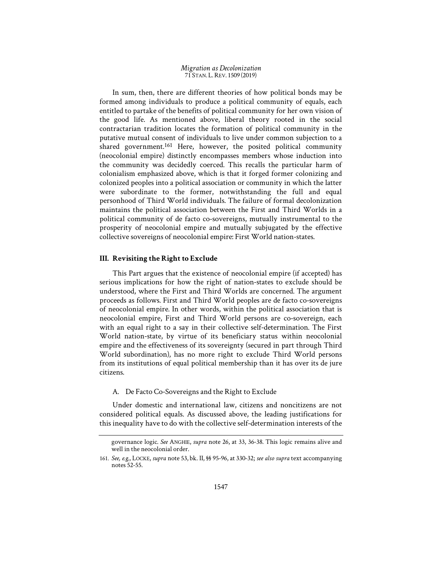In sum, then, there are different theories of how political bonds may be formed among individuals to produce a political community of equals, each entitled to partake of the benefits of political community for her own vision of the good life. As mentioned above, liberal theory rooted in the social contractarian tradition locates the formation of political community in the putative mutual consent of individuals to live under common subjection to a shared government.<sup>161</sup> Here, however, the posited political community (neocolonial empire) distinctly encompasses members whose induction into the community was decidedly coerced. This recalls the particular harm of colonialism emphasized above, which is that it forged former colonizing and colonized peoples into a political association or community in which the latter were subordinate to the former, notwithstanding the full and equal personhood of Third World individuals. The failure of formal decolonization maintains the political association between the First and Third Worlds in a political community of de facto co-sovereigns, mutually instrumental to the prosperity of neocolonial empire and mutually subjugated by the effective collective sovereigns of neocolonial empire: First World nation-states.

## **III. Revisiting the Right to Exclude**

This Part argues that the existence of neocolonial empire (if accepted) has serious implications for how the right of nation-states to exclude should be understood, where the First and Third Worlds are concerned. The argument proceeds as follows. First and Third World peoples are de facto co-sovereigns of neocolonial empire. In other words, within the political association that is neocolonial empire, First and Third World persons are co-sovereign, each with an equal right to a say in their collective self-determination. The First World nation-state, by virtue of its beneficiary status within neocolonial empire and the effectiveness of its sovereignty (secured in part through Third World subordination), has no more right to exclude Third World persons from its institutions of equal political membership than it has over its de jure citizens.

## A. De Facto Co-Sovereigns and the Right to Exclude

Under domestic and international law, citizens and noncitizens are not considered political equals. As discussed above, the leading justifications for this inequality have to do with the collective self-determination interests of the

governance logic. *See* ANGHIE, *supra* note 26, at 33, 36-38. This logic remains alive and well in the neocolonial order.

<sup>161.</sup> *See, e.g.*, LOCKE, *supra* note 53, bk. II, §§ 95-96, at 330-32; *see also supra* text accompanying notes 52-55.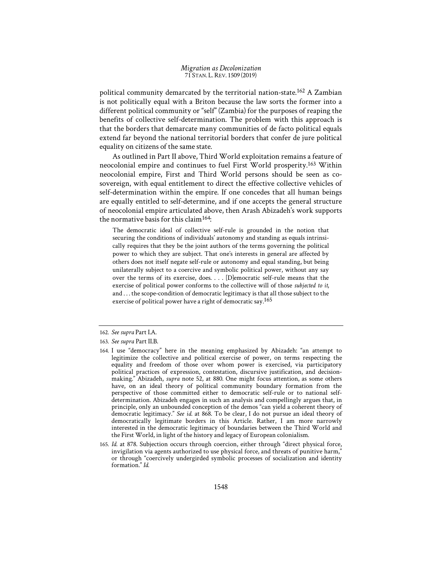political community demarcated by the territorial nation-state.162 A Zambian is not politically equal with a Briton because the law sorts the former into a different political community or "self" (Zambia) for the purposes of reaping the benefits of collective self-determination. The problem with this approach is that the borders that demarcate many communities of de facto political equals extend far beyond the national territorial borders that confer de jure political equality on citizens of the same state.

As outlined in Part II above, Third World exploitation remains a feature of neocolonial empire and continues to fuel First World prosperity.163 Within neocolonial empire, First and Third World persons should be seen as cosovereign, with equal entitlement to direct the effective collective vehicles of self-determination within the empire. If one concedes that all human beings are equally entitled to self-determine, and if one accepts the general structure of neocolonial empire articulated above, then Arash Abizadeh's work supports the normative basis for this claim<sup>164</sup>:

The democratic ideal of collective self-rule is grounded in the notion that securing the conditions of individuals' autonomy and standing as equals intrinsically requires that they be the joint authors of the terms governing the political power to which they are subject. That one's interests in general are affected by others does not itself negate self-rule or autonomy and equal standing, but being unilaterally subject to a coercive and symbolic political power, without any say over the terms of its exercise, does. . . . [D]emocratic self-rule means that the exercise of political power conforms to the collective will of those *subjected to it*, and . . . the scope-condition of democratic legitimacy is that all those subject to the exercise of political power have a right of democratic say.<sup>165</sup>

<sup>162.</sup> *See supra* Part I.A.

<sup>163.</sup> *See supra* Part II.B.

<sup>164.</sup> I use "democracy" here in the meaning emphasized by Abizadeh: "an attempt to legitimize the collective and political exercise of power, on terms respecting the equality and freedom of those over whom power is exercised, via participatory political practices of expression, contestation, discursive justification, and decisionmaking." Abizadeh, *supra* note 52, at 880. One might focus attention, as some others have, on an ideal theory of political community boundary formation from the perspective of those committed either to democratic self-rule or to national selfdetermination. Abizadeh engages in such an analysis and compellingly argues that, in principle, only an unbounded conception of the demos "can yield a coherent theory of democratic legitimacy." *See id.* at 868. To be clear, I do not pursue an ideal theory of democratically legitimate borders in this Article. Rather, I am more narrowly interested in the democratic legitimacy of boundaries between the Third World and the First World, in light of the history and legacy of European colonialism.

<sup>165.</sup> *Id.* at 878. Subjection occurs through coercion, either through "direct physical force, invigilation via agents authorized to use physical force, and threats of punitive harm," or through "coercively undergirded symbolic processes of socialization and identity formation." *Id.*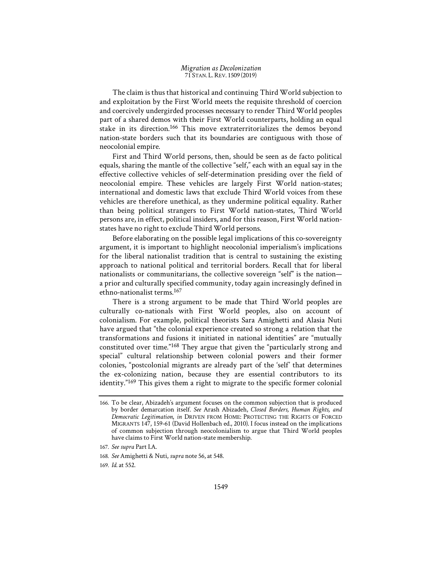The claim is thus that historical and continuing Third World subjection to and exploitation by the First World meets the requisite threshold of coercion and coercively undergirded processes necessary to render Third World peoples part of a shared demos with their First World counterparts, holding an equal stake in its direction.<sup>166</sup> This move extraterritorializes the demos beyond nation-state borders such that its boundaries are contiguous with those of neocolonial empire.

First and Third World persons, then, should be seen as de facto political equals, sharing the mantle of the collective "self," each with an equal say in the effective collective vehicles of self-determination presiding over the field of neocolonial empire. These vehicles are largely First World nation-states; international and domestic laws that exclude Third World voices from these vehicles are therefore unethical, as they undermine political equality. Rather than being political strangers to First World nation-states, Third World persons are, in effect, political insiders, and for this reason, First World nationstates have no right to exclude Third World persons.

Before elaborating on the possible legal implications of this co-sovereignty argument, it is important to highlight neocolonial imperialism's implications for the liberal nationalist tradition that is central to sustaining the existing approach to national political and territorial borders. Recall that for liberal nationalists or communitarians, the collective sovereign "self" is the nation a prior and culturally specified community, today again increasingly defined in ethno-nationalist terms.167

There is a strong argument to be made that Third World peoples are culturally co-nationals with First World peoples, also on account of colonialism. For example, political theorists Sara Amighetti and Alasia Nuti have argued that "the colonial experience created so strong a relation that the transformations and fusions it initiated in national identities" are "mutually constituted over time."168 They argue that given the "particularly strong and special" cultural relationship between colonial powers and their former colonies, "postcolonial migrants are already part of the 'self' that determines the ex-colonizing nation, because they are essential contributors to its identity."169 This gives them a right to migrate to the specific former colonial

<sup>166.</sup> To be clear, Abizadeh's argument focuses on the common subjection that is produced by border demarcation itself. *See* Arash Abizadeh, *Closed Borders, Human Rights, and Democratic Legitimation*, *in* DRIVEN FROM HOME: PROTECTING THE RIGHTS OF FORCED MIGRANTS 147, 159-61 (David Hollenbach ed., 2010). I focus instead on the implications of common subjection through neocolonialism to argue that Third World peoples have claims to First World nation-state membership.

<sup>167.</sup> *See supra* Part I.A.

<sup>168.</sup> *See* Amighetti & Nuti, *supra* note 56, at 548.

<sup>169.</sup> *Id.* at 552.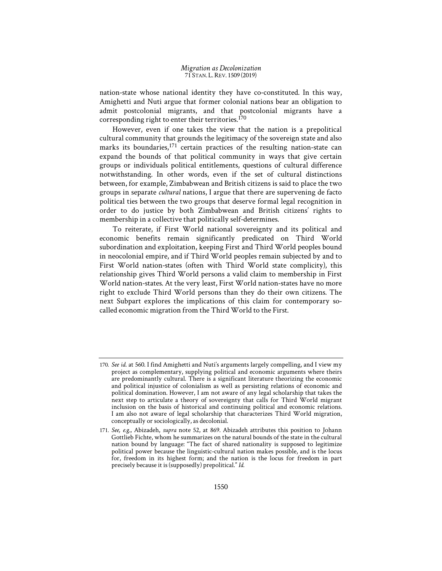nation-state whose national identity they have co-constituted. In this way, Amighetti and Nuti argue that former colonial nations bear an obligation to admit postcolonial migrants, and that postcolonial migrants have a corresponding right to enter their territories.170

However, even if one takes the view that the nation is a prepolitical cultural community that grounds the legitimacy of the sovereign state and also marks its boundaries, $171$  certain practices of the resulting nation-state can expand the bounds of that political community in ways that give certain groups or individuals political entitlements, questions of cultural difference notwithstanding. In other words, even if the set of cultural distinctions between, for example, Zimbabwean and British citizens is said to place the two groups in separate *cultural* nations, I argue that there are supervening de facto political ties between the two groups that deserve formal legal recognition in order to do justice by both Zimbabwean and British citizens' rights to membership in a collective that politically self-determines.

To reiterate, if First World national sovereignty and its political and economic benefits remain significantly predicated on Third World subordination and exploitation, keeping First and Third World peoples bound in neocolonial empire, and if Third World peoples remain subjected by and to First World nation-states (often with Third World state complicity), this relationship gives Third World persons a valid claim to membership in First World nation-states. At the very least, First World nation-states have no more right to exclude Third World persons than they do their own citizens. The next Subpart explores the implications of this claim for contemporary socalled economic migration from the Third World to the First.

<sup>170.</sup> *See id.* at 560. I find Amighetti and Nuti's arguments largely compelling, and I view my project as complementary, supplying political and economic arguments where theirs are predominantly cultural. There is a significant literature theorizing the economic and political injustice of colonialism as well as persisting relations of economic and political domination. However, I am not aware of any legal scholarship that takes the next step to articulate a theory of sovereignty that calls for Third World migrant inclusion on the basis of historical and continuing political and economic relations. I am also not aware of legal scholarship that characterizes Third World migration, conceptually or sociologically, as decolonial.

<sup>171.</sup> *See, e.g.*, Abizadeh, *supra* note 52, at 869. Abizadeh attributes this position to Johann Gottlieb Fichte, whom he summarizes on the natural bounds of the state in the cultural nation bound by language: "The fact of shared nationality is supposed to legitimize political power because the linguistic-cultural nation makes possible, and is the locus for, freedom in its highest form; and the nation is the locus for freedom in part precisely because it is (supposedly) prepolitical." *Id.*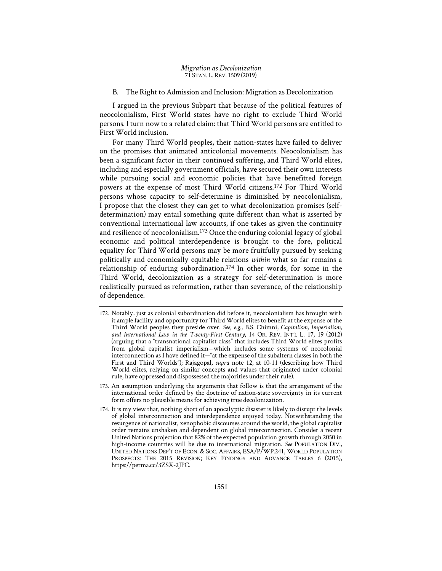B. The Right to Admission and Inclusion: Migration as Decolonization

I argued in the previous Subpart that because of the political features of neocolonialism, First World states have no right to exclude Third World persons. I turn now to a related claim: that Third World persons are entitled to First World inclusion.

For many Third World peoples, their nation-states have failed to deliver on the promises that animated anticolonial movements. Neocolonialism has been a significant factor in their continued suffering, and Third World elites, including and especially government officials, have secured their own interests while pursuing social and economic policies that have benefitted foreign powers at the expense of most Third World citizens.172 For Third World persons whose capacity to self-determine is diminished by neocolonialism, I propose that the closest they can get to what decolonization promises (selfdetermination) may entail something quite different than what is asserted by conventional international law accounts, if one takes as given the continuity and resilience of neocolonialism.173 Once the enduring colonial legacy of global economic and political interdependence is brought to the fore, political equality for Third World persons may be more fruitfully pursued by seeking politically and economically equitable relations *within* what so far remains a relationship of enduring subordination.174 In other words, for some in the Third World, decolonization as a strategy for self-determination is more realistically pursued as reformation, rather than severance, of the relationship of dependence.

- 173. An assumption underlying the arguments that follow is that the arrangement of the international order defined by the doctrine of nation-state sovereignty in its current form offers no plausible means for achieving true decolonization.
- 174. It is my view that, nothing short of an apocalyptic disaster is likely to disrupt the levels of global interconnection and interdependence enjoyed today. Notwithstanding the resurgence of nationalist, xenophobic discourses around the world, the global capitalist order remains unshaken and dependent on global interconnection. Consider a recent United Nations projection that 82% of the expected population growth through 2050 in high-income countries will be due to international migration. *See* POPULATION DIV., UNITED NATIONS DEP'T OF ECON. & SOC. AFFAIRS, ESA/P/WP.241, WORLD POPULATION PROSPECTS: THE 2015 REVISION; KEY FINDINGS AND ADVANCE TABLES 6 (2015), https://perma.cc/3ZSX-2JPC.

<sup>172.</sup> Notably, just as colonial subordination did before it, neocolonialism has brought with it ample facility and opportunity for Third World elites to benefit at the expense of the Third World peoples they preside over. *See, e.g.*, B.S. Chimni, *Capitalism, Imperialism, and International Law in the Twenty-First Century*, 14 OR. REV. INT'L L. 17, 19 (2012) (arguing that a "transnational capitalist class" that includes Third World elites profits from global capitalist imperialism—which includes some systems of neocolonial interconnection as I have defined it—"at the expense of the subaltern classes in both the First and Third Worlds"); Rajagopal, *supra* note 12, at 10-11 (describing how Third World elites, relying on similar concepts and values that originated under colonial rule, have oppressed and dispossessed the majorities under their rule).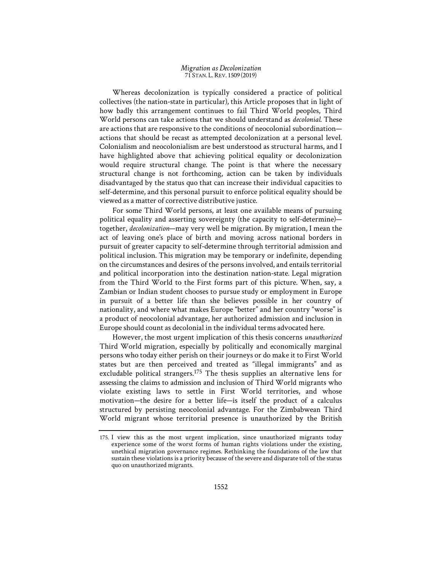Whereas decolonization is typically considered a practice of political collectives (the nation-state in particular), this Article proposes that in light of how badly this arrangement continues to fail Third World peoples, Third World persons can take actions that we should understand as *decolonial*. These are actions that are responsive to the conditions of neocolonial subordination actions that should be recast as attempted decolonization at a personal level. Colonialism and neocolonialism are best understood as structural harms, and I have highlighted above that achieving political equality or decolonization would require structural change. The point is that where the necessary structural change is not forthcoming, action can be taken by individuals disadvantaged by the status quo that can increase their individual capacities to self-determine, and this personal pursuit to enforce political equality should be viewed as a matter of corrective distributive justice.

For some Third World persons, at least one available means of pursuing political equality and asserting sovereignty (the capacity to self-determine) together, *decolonization*—may very well be migration. By migration, I mean the act of leaving one's place of birth and moving across national borders in pursuit of greater capacity to self-determine through territorial admission and political inclusion. This migration may be temporary or indefinite, depending on the circumstances and desires of the persons involved, and entails territorial and political incorporation into the destination nation-state. Legal migration from the Third World to the First forms part of this picture. When, say, a Zambian or Indian student chooses to pursue study or employment in Europe in pursuit of a better life than she believes possible in her country of nationality, and where what makes Europe "better" and her country "worse" is a product of neocolonial advantage, her authorized admission and inclusion in Europe should count as decolonial in the individual terms advocated here.

However, the most urgent implication of this thesis concerns *unauthorized* Third World migration, especially by politically and economically marginal persons who today either perish on their journeys or do make it to First World states but are then perceived and treated as "illegal immigrants" and as excludable political strangers.<sup>175</sup> The thesis supplies an alternative lens for assessing the claims to admission and inclusion of Third World migrants who violate existing laws to settle in First World territories, and whose motivation—the desire for a better life—is itself the product of a calculus structured by persisting neocolonial advantage. For the Zimbabwean Third World migrant whose territorial presence is unauthorized by the British

<sup>175.</sup> I view this as the most urgent implication, since unauthorized migrants today experience some of the worst forms of human rights violations under the existing, unethical migration governance regimes. Rethinking the foundations of the law that sustain these violations is a priority because of the severe and disparate toll of the status quo on unauthorized migrants.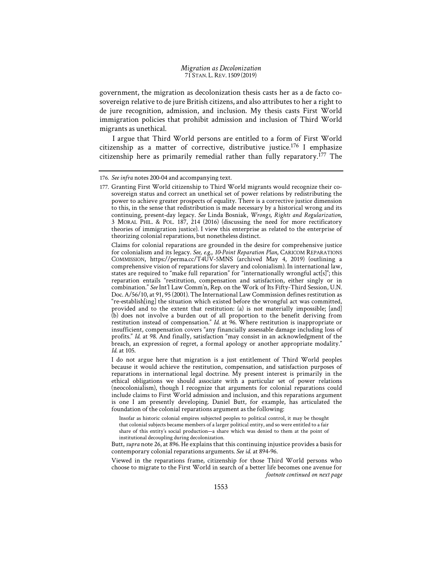government, the migration as decolonization thesis casts her as a de facto cosovereign relative to de jure British citizens, and also attributes to her a right to de jure recognition, admission, and inclusion. My thesis casts First World immigration policies that prohibit admission and inclusion of Third World migrants as unethical.

I argue that Third World persons are entitled to a form of First World citizenship as a matter of corrective, distributive justice.176 I emphasize citizenship here as primarily remedial rather than fully reparatory.177 The

<sup>176.</sup> *See infra* notes 200-04 and accompanying text.

<sup>177.</sup> Granting First World citizenship to Third World migrants would recognize their cosovereign status and correct an unethical set of power relations by redistributing the power to achieve greater prospects of equality. There is a corrective justice dimension to this, in the sense that redistribution is made necessary by a historical wrong and its continuing, present-day legacy. *See* Linda Bosniak, *Wrongs, Rights and Regularization*, 3 MORAL PHIL. & POL. 187, 214 (2016) (discussing the need for more rectificatory theories of immigration justice). I view this enterprise as related to the enterprise of theorizing colonial reparations, but nonetheless distinct.

Claims for colonial reparations are grounded in the desire for comprehensive justice for colonialism and its legacy. *See, e.g.*, *10-Point Reparation Plan*, CARICOM REPARATIONS COMMISSION, https://perma.cc/T4UV-5MNS (archived May 4, 2019) (outlining a comprehensive vision of reparations for slavery and colonialism). In international law, states are required to "make full reparation" for "internationally wrongful act[s]"; this reparation entails "restitution, compensation and satisfaction, either singly or in combination." *See* Int'l Law Comm'n, Rep. on the Work of Its Fifty-Third Session, U.N. Doc. A/56/10, at 91, 95 (2001). The International Law Commission defines restitution as "re-establish[ing] the situation which existed before the wrongful act was committed, provided and to the extent that restitution: (a) is not materially impossible; [and] (b) does not involve a burden out of all proportion to the benefit deriving from restitution instead of compensation." *Id.* at 96. Where restitution is inappropriate or insufficient, compensation covers "any financially assessable damage including loss of profits." *Id.* at 98. And finally, satisfaction "may consist in an acknowledgment of the breach, an expression of regret, a formal apology or another appropriate modality." *Id.* at 105.

I do not argue here that migration is a just entitlement of Third World peoples because it would achieve the restitution, compensation, and satisfaction purposes of reparations in international legal doctrine. My present interest is primarily in the ethical obligations we should associate with a particular set of power relations (neocolonialism), though I recognize that arguments for colonial reparations could include claims to First World admission and inclusion, and this reparations argument is one I am presently developing. Daniel Butt, for example, has articulated the foundation of the colonial reparations argument as the following:

Insofar as historic colonial empires subjected peoples to political control, it may be thought that colonial subjects became members of a larger political entity, and so were entitled to a fair share of this entity's social production—a share which was denied to them at the point of institutional decoupling during decolonization.

Butt, *supra* note 26, at 896. He explains that this continuing injustice provides a basis for contemporary colonial reparations arguments. *See id.* at 894-96.

Viewed in the reparations frame, citizenship for those Third World persons who choose to migrate to the First World in search of a better life becomes one avenue for *footnote continued on next page*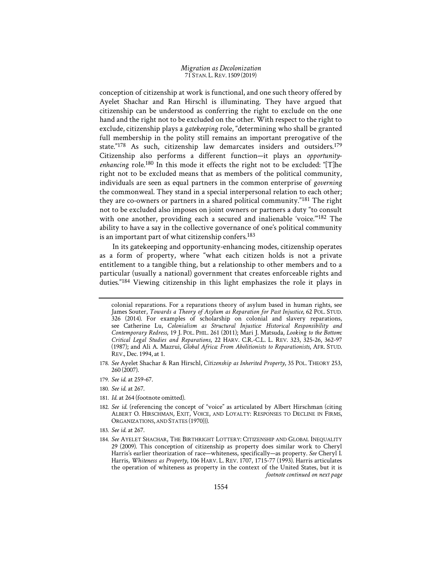conception of citizenship at work is functional, and one such theory offered by Ayelet Shachar and Ran Hirschl is illuminating. They have argued that citizenship can be understood as conferring the right to exclude on the one hand and the right not to be excluded on the other. With respect to the right to exclude, citizenship plays a *gatekeeping* role, "determining who shall be granted full membership in the polity still remains an important prerogative of the state."<sup>178</sup> As such, citizenship law demarcates insiders and outsiders.<sup>179</sup> Citizenship also performs a different function—it plays an *opportunityenhancing* role.<sup>180</sup> In this mode it effects the right not to be excluded: "[T]he right not to be excluded means that as members of the political community, individuals are seen as equal partners in the common enterprise of *governing* the commonweal. They stand in a special interpersonal relation to each other; they are co-owners or partners in a shared political community."181 The right not to be excluded also imposes on joint owners or partners a duty "to consult with one another, providing each a secured and inalienable 'voice.'"182 The ability to have a say in the collective governance of one's political community is an important part of what citizenship confers.<sup>183</sup>

In its gatekeeping and opportunity-enhancing modes, citizenship operates as a form of property, where "what each citizen holds is not a private entitlement to a tangible thing, but a relationship to other members and to a particular (usually a national) government that creates enforceable rights and duties."184 Viewing citizenship in this light emphasizes the role it plays in

- 179. *See id.* at 259-67.
- 180. *See id.* at 267.
- 181. *Id.* at 264 (footnote omitted).
- 182. *See id.* (referencing the concept of "voice" as articulated by Albert Hirschman (citing ALBERT O. HIRSCHMAN, EXIT, VOICE, AND LOYALTY: RESPONSES TO DECLINE IN FIRMS, ORGANIZATIONS, AND STATES (1970))).
- 183. *See id.* at 267.
- 184. *See* AYELET SHACHAR, THE BIRTHRIGHT LOTTERY: CITIZENSHIP AND GLOBAL INEQUALITY 29 (2009). This conception of citizenship as property does similar work to Cheryl Harris's earlier theorization of race—whiteness, specifically—as property. *See* Cheryl I. Harris, *Whiteness as Property*, 106 HARV. L. REV. 1707, 1715-77 (1993). Harris articulates the operation of whiteness as property in the context of the United States, but it is *footnote continued on next page*

colonial reparations. For a reparations theory of asylum based in human rights, see James Souter, *Towards a Theory of Asylum as Reparation for Past Injustice*, 62 POL. STUD. 326 (2014). For examples of scholarship on colonial and slavery reparations, see Catherine Lu, *Colonialism as Structural Injustice: Historical Responsibility and Contemporary Redress*, 19 J. POL. PHIL. 261 (2011); Mari J. Matsuda, *Looking to the Bottom: Critical Legal Studies and Reparations*, 22 HARV. C.R.-C.L. L. REV. 323, 325-26, 362-97 (1987); and Ali A. Mazrui, *Global Africa: From Abolitionists to Reparationists*, AFR. STUD. REV., Dec. 1994, at 1.

<sup>178.</sup> *See* Ayelet Shachar & Ran Hirschl, *Citizenship as Inherited Property*, 35 POL. THEORY 253, 260 (2007).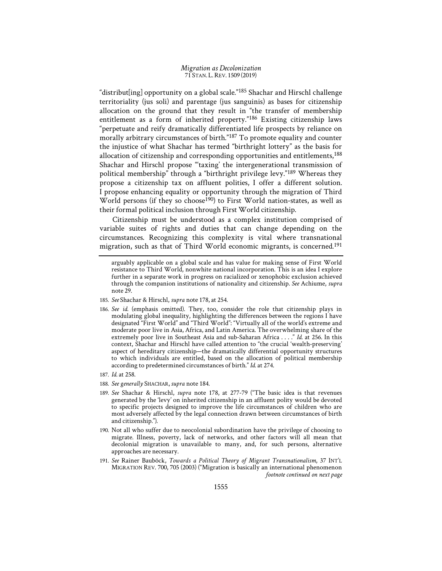"distribut[ing] opportunity on a global scale."185 Shachar and Hirschl challenge territoriality (jus soli) and parentage (jus sanguinis) as bases for citizenship allocation on the ground that they result in "the transfer of membership entitlement as a form of inherited property."186 Existing citizenship laws "perpetuate and reify dramatically differentiated life prospects by reliance on morally arbitrary circumstances of birth."187 To promote equality and counter the injustice of what Shachar has termed "birthright lottery" as the basis for allocation of citizenship and corresponding opportunities and entitlements,188 Shachar and Hirschl propose "'taxing' the intergenerational transmission of political membership" through a "birthright privilege levy."189 Whereas they propose a citizenship tax on affluent polities, I offer a different solution. I propose enhancing equality or opportunity through the migration of Third World persons (if they so choose<sup>190</sup>) to First World nation-states, as well as their formal political inclusion through First World citizenship.

Citizenship must be understood as a complex institution comprised of variable suites of rights and duties that can change depending on the circumstances. Recognizing this complexity is vital where transnational migration, such as that of Third World economic migrants, is concerned.191

- 185. *See* Shachar & Hirschl, *supra* note 178, at 254.
- 186. *See id.* (emphasis omitted). They, too, consider the role that citizenship plays in modulating global inequality, highlighting the differences between the regions I have designated "First World" and "Third World": "Virtually all of the world's extreme and moderate poor live in Asia, Africa, and Latin America. The overwhelming share of the extremely poor live in Southeast Asia and sub-Saharan Africa . . . ." *Id.* at 256. In this context, Shachar and Hirschl have called attention to "the crucial 'wealth-preserving' aspect of hereditary citizenship—the dramatically differential opportunity structures to which individuals are entitled, based on the allocation of political membership according to predetermined circumstances of birth." *Id.* at 274.
- 187. *Id.* at 258.
- 188. *See generally* SHACHAR,*supra* note 184.
- 189. *See* Shachar & Hirschl, *supra* note 178, at 277-79 ("The basic idea is that revenues generated by the 'levy' on inherited citizenship in an affluent polity would be devoted to specific projects designed to improve the life circumstances of children who are most adversely affected by the legal connection drawn between circumstances of birth and citizenship.").
- 190. Not all who suffer due to neocolonial subordination have the privilege of choosing to migrate. Illness, poverty, lack of networks, and other factors will all mean that decolonial migration is unavailable to many, and, for such persons, alternative approaches are necessary.
- 191. *See* Rainer Bauböck, *Towards a Political Theory of Migrant Transnationalism*, 37 INT'L MIGRATION REV. 700, 705 (2003) ("Migration is basically an international phenomenon *footnote continued on next page*

arguably applicable on a global scale and has value for making sense of First World resistance to Third World, nonwhite national incorporation. This is an idea I explore further in a separate work in progress on racialized or xenophobic exclusion achieved through the companion institutions of nationality and citizenship. *See* Achiume, *supra*  note 29.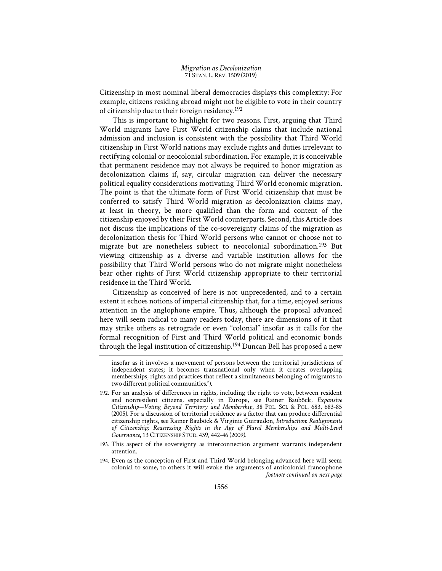Citizenship in most nominal liberal democracies displays this complexity: For example, citizens residing abroad might not be eligible to vote in their country of citizenship due to their foreign residency.192

This is important to highlight for two reasons. First, arguing that Third World migrants have First World citizenship claims that include national admission and inclusion is consistent with the possibility that Third World citizenship in First World nations may exclude rights and duties irrelevant to rectifying colonial or neocolonial subordination. For example, it is conceivable that permanent residence may not always be required to honor migration as decolonization claims if, say, circular migration can deliver the necessary political equality considerations motivating Third World economic migration. The point is that the ultimate form of First World citizenship that must be conferred to satisfy Third World migration as decolonization claims may, at least in theory, be more qualified than the form and content of the citizenship enjoyed by their First World counterparts. Second, this Article does not discuss the implications of the co-sovereignty claims of the migration as decolonization thesis for Third World persons who cannot or choose not to migrate but are nonetheless subject to neocolonial subordination.<sup>193</sup> But viewing citizenship as a diverse and variable institution allows for the possibility that Third World persons who do not migrate might nonetheless bear other rights of First World citizenship appropriate to their territorial residence in the Third World.

Citizenship as conceived of here is not unprecedented, and to a certain extent it echoes notions of imperial citizenship that, for a time, enjoyed serious attention in the anglophone empire. Thus, although the proposal advanced here will seem radical to many readers today, there are dimensions of it that may strike others as retrograde or even "colonial" insofar as it calls for the formal recognition of First and Third World political and economic bonds through the legal institution of citizenship.194 Duncan Bell has proposed a new

193. This aspect of the sovereignty as interconnection argument warrants independent attention.

insofar as it involves a movement of persons between the territorial jurisdictions of independent states; it becomes transnational only when it creates overlapping memberships, rights and practices that reflect a simultaneous belonging of migrants to two different political communities.").

<sup>192.</sup> For an analysis of differences in rights, including the right to vote, between resident and nonresident citizens, especially in Europe, see Rainer Bauböck, *Expansive Citizenship—Voting Beyond Territory and Membership*, 38 POL. SCI. & POL. 683, 683-85 (2005). For a discussion of territorial residence as a factor that can produce differential citizenship rights, see Rainer Bauböck & Virginie Guiraudon, *Introduction: Realignments of Citizenship; Reassessing Rights in the Age of Plural Memberships and Multi-Level Governance*, 13 CITIZENSHIP STUD. 439, 442-46 (2009).

<sup>194.</sup> Even as the conception of First and Third World belonging advanced here will seem colonial to some, to others it will evoke the arguments of anticolonial francophone *footnote continued on next page*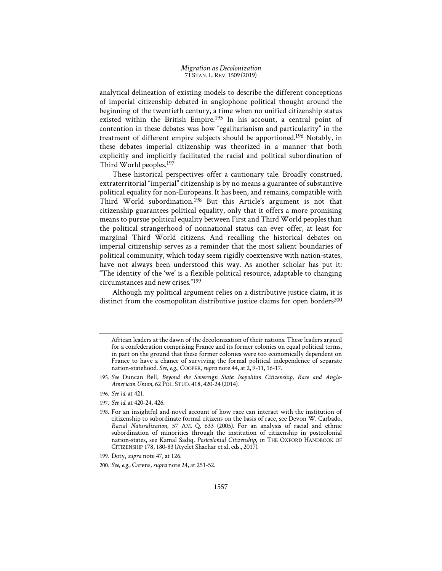analytical delineation of existing models to describe the different conceptions of imperial citizenship debated in anglophone political thought around the beginning of the twentieth century, a time when no unified citizenship status existed within the British Empire.<sup>195</sup> In his account, a central point of contention in these debates was how "egalitarianism and particularity" in the treatment of different empire subjects should be apportioned.196 Notably, in these debates imperial citizenship was theorized in a manner that both explicitly and implicitly facilitated the racial and political subordination of Third World peoples.197

These historical perspectives offer a cautionary tale. Broadly construed, extraterritorial "imperial" citizenship is by no means a guarantee of substantive political equality for non-Europeans. It has been, and remains, compatible with Third World subordination.<sup>198</sup> But this Article's argument is not that citizenship guarantees political equality, only that it offers a more promising means to pursue political equality between First and Third World peoples than the political strangerhood of nonnational status can ever offer, at least for marginal Third World citizens. And recalling the historical debates on imperial citizenship serves as a reminder that the most salient boundaries of political community, which today seem rigidly coextensive with nation-states, have not always been understood this way. As another scholar has put it: "The identity of the 'we' is a flexible political resource, adaptable to changing circumstances and new crises."199

Although my political argument relies on a distributive justice claim, it is distinct from the cosmopolitan distributive justice claims for open borders<sup>200</sup>

- 196. *See id.* at 421.
- 197. *See id.* at 420-24, 426.
- 198. For an insightful and novel account of how race can interact with the institution of citizenship to subordinate formal citizens on the basis of race, see Devon W. Carbado, *Racial Naturalization*, 57 AM. Q. 633 (2005). For an analysis of racial and ethnic subordination of minorities through the institution of citizenship in postcolonial nation-states, see Kamal Sadiq, *Postcolonial Citizenship*, *in* THE OXFORD HANDBOOK OF CITIZENSHIP 178, 180-83 (Ayelet Shachar et al. eds., 2017).
- 199. Doty, *supra* note 47, at 126.
- 200. *See, e.g.*, Carens, *supra* note 24, at 251-52.

African leaders at the dawn of the decolonization of their nations. These leaders argued for a confederation comprising France and its former colonies on equal political terms, in part on the ground that these former colonies were too economically dependent on France to have a chance of surviving the formal political independence of separate nation-statehood. *See, e.g.*, COOPER,*supra* note 44, at 2, 9-11, 16-17.

<sup>195.</sup> *See* Duncan Bell, *Beyond the Sovereign State: Isopolitan Citizenship, Race and Anglo-American Union*, 62 POL. STUD. 418, 420-24 (2014).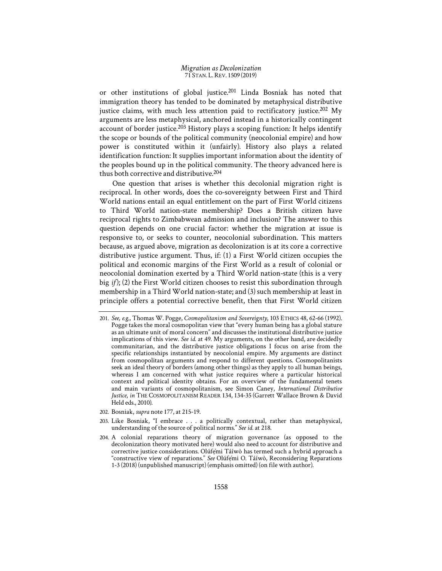or other institutions of global justice.201 Linda Bosniak has noted that immigration theory has tended to be dominated by metaphysical distributive justice claims, with much less attention paid to rectificatory justice.<sup>202</sup> My arguments are less metaphysical, anchored instead in a historically contingent account of border justice.<sup>203</sup> History plays a scoping function: It helps identify the scope or bounds of the political community (neocolonial empire) and how power is constituted within it (unfairly). History also plays a related identification function: It supplies important information about the identity of the peoples bound up in the political community. The theory advanced here is thus both corrective and distributive.204

One question that arises is whether this decolonial migration right is reciprocal. In other words, does the co-sovereignty between First and Third World nations entail an equal entitlement on the part of First World citizens to Third World nation-state membership? Does a British citizen have reciprocal rights to Zimbabwean admission and inclusion? The answer to this question depends on one crucial factor: whether the migration at issue is responsive to, or seeks to counter, neocolonial subordination. This matters because, as argued above, migration as decolonization is at its core a corrective distributive justice argument. Thus, if: (1) a First World citizen occupies the political and economic margins of the First World as a result of colonial or neocolonial domination exerted by a Third World nation-state (this is a very big *if*); (2) the First World citizen chooses to resist this subordination through membership in a Third World nation-state; and (3) such membership at least in principle offers a potential corrective benefit, then that First World citizen

- 202. Bosniak, *supra* note 177, at 215-19.
- 203. Like Bosniak, "I embrace . . . a politically contextual, rather than metaphysical, understanding of the source of political norms." *See id.* at 218.
- 204. A colonial reparations theory of migration governance (as opposed to the decolonization theory motivated here) would also need to account for distributive and corrective justice considerations. Olúfẹ́mi Táíwò has termed such a hybrid approach a "constructive view of reparations." *See* Olúfẹ́mi O. Táíwò, Reconsidering Reparations 1-3 (2018) (unpublished manuscript) (emphasis omitted) (on file with author).

<sup>201.</sup> *See, e.g.*, Thomas W. Pogge, *Cosmopolitanism and Sovereignty*, 103 ETHICS 48, 62-66 (1992). Pogge takes the moral cosmopolitan view that "every human being has a global stature as an ultimate unit of moral concern" and discusses the institutional distributive justice implications of this view. *See id.* at 49. My arguments, on the other hand, are decidedly communitarian, and the distributive justice obligations I focus on arise from the specific relationships instantiated by neocolonial empire. My arguments are distinct from cosmopolitan arguments and respond to different questions. Cosmopolitanists seek an ideal theory of borders (among other things) as they apply to all human beings, whereas I am concerned with what justice requires where a particular historical context and political identity obtains. For an overview of the fundamental tenets and main variants of cosmopolitanism, see Simon Caney, *International Distributive Justice*, *in* THE COSMOPOLITANISM READER 134, 134-35 (Garrett Wallace Brown & David Held eds., 2010).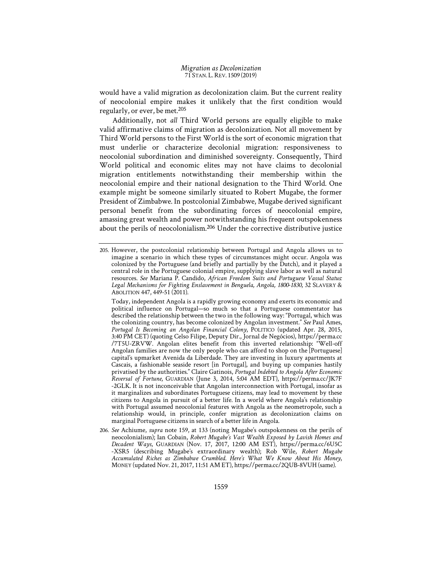would have a valid migration as decolonization claim. But the current reality of neocolonial empire makes it unlikely that the first condition would regularly, or ever, be met.205

Additionally, not *all* Third World persons are equally eligible to make valid affirmative claims of migration as decolonization. Not all movement by Third World persons to the First World is the sort of economic migration that must underlie or characterize decolonial migration: responsiveness to neocolonial subordination and diminished sovereignty. Consequently, Third World political and economic elites may not have claims to decolonial migration entitlements notwithstanding their membership within the neocolonial empire and their national designation to the Third World. One example might be someone similarly situated to Robert Mugabe, the former President of Zimbabwe. In postcolonial Zimbabwe, Mugabe derived significant personal benefit from the subordinating forces of neocolonial empire, amassing great wealth and power notwithstanding his frequent outspokenness about the perils of neocolonialism.206 Under the corrective distributive justice

<sup>205.</sup> However, the postcolonial relationship between Portugal and Angola allows us to imagine a scenario in which these types of circumstances might occur. Angola was colonized by the Portuguese (and briefly and partially by the Dutch), and it played a central role in the Portuguese colonial empire, supplying slave labor as well as natural resources. *See* Mariana P. Candido, *African Freedom Suits and Portuguese Vassal Status: Legal Mechanisms for Fighting Enslavement in Benguela, Angola, 1800-1830*, 32 SLAVERY & ABOLITION 447, 449-51 (2011).

Today, independent Angola is a rapidly growing economy and exerts its economic and political influence on Portugal—so much so that a Portuguese commentator has described the relationship between the two in the following way: "Portugal, which was the colonizing country, has become colonized by Angolan investment." *See* Paul Ames, *Portugal Is Becoming an Angolan Financial Colony*, POLITICO (updated Apr. 28, 2015, 3:40 PM CET) (quoting Celso Filipe, Deputy Dir., Jornal de Negócios), https://perma.cc /7T5U-ZRVW. Angolan elites benefit from this inverted relationship: "Well-off Angolan families are now the only people who can afford to shop on the [Portuguese] capital's upmarket Avenida da Liberdade. They are investing in luxury apartments at Cascais, a fashionable seaside resort [in Portugal], and buying up companies hastily privatised by the authorities." Claire Gatinois, *Portugal Indebted to Angola After Economic Reversal of Fortune*, GUARDIAN (June 3, 2014, 5:04 AM EDT), https://perma.cc/JK7F -2GLK. It is not inconceivable that Angolan interconnection with Portugal, insofar as it marginalizes and subordinates Portuguese citizens, may lead to movement by these citizens to Angola in pursuit of a better life. In a world where Angola's relationship with Portugal assumed neocolonial features with Angola as the neometropole, such a relationship would, in principle, confer migration as decolonization claims on marginal Portuguese citizens in search of a better life in Angola.

<sup>206.</sup> *See* Achiume, *supra* note 159, at 133 (noting Mugabe's outspokenness on the perils of neocolonialism); Ian Cobain, *Robert Mugabe's Vast Wealth Exposed by Lavish Homes and Decadent Ways*, GUARDIAN (Nov. 17, 2017, 12:00 AM EST), https://perma.cc/6U5C -XSR5 (describing Mugabe's extraordinary wealth); Rob Wile, *Robert Mugabe Accumulated Riches as Zimbabwe Crumbled. Here's What We Know About His Money*, MONEY (updated Nov. 21, 2017, 11:51 AM ET), https://perma.cc/2QUB-8VUH (same).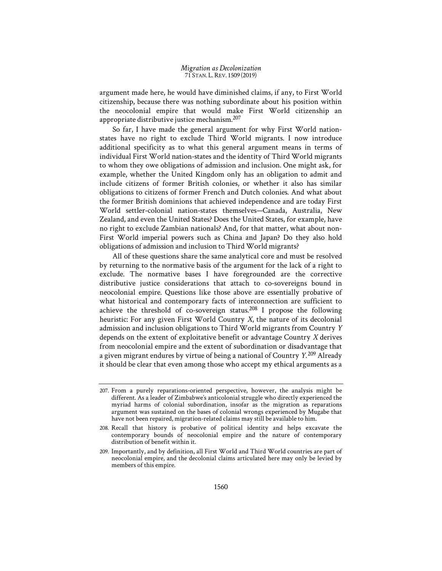argument made here, he would have diminished claims, if any, to First World citizenship, because there was nothing subordinate about his position within the neocolonial empire that would make First World citizenship an appropriate distributive justice mechanism.207

So far, I have made the general argument for why First World nationstates have no right to exclude Third World migrants. I now introduce additional specificity as to what this general argument means in terms of individual First World nation-states and the identity of Third World migrants to whom they owe obligations of admission and inclusion. One might ask, for example, whether the United Kingdom only has an obligation to admit and include citizens of former British colonies, or whether it also has similar obligations to citizens of former French and Dutch colonies. And what about the former British dominions that achieved independence and are today First World settler-colonial nation-states themselves—Canada, Australia, New Zealand, and even the United States? Does the United States, for example, have no right to exclude Zambian nationals? And, for that matter, what about non-First World imperial powers such as China and Japan? Do they also hold obligations of admission and inclusion to Third World migrants?

All of these questions share the same analytical core and must be resolved by returning to the normative basis of the argument for the lack of a right to exclude. The normative bases I have foregrounded are the corrective distributive justice considerations that attach to co-sovereigns bound in neocolonial empire. Questions like those above are essentially probative of what historical and contemporary facts of interconnection are sufficient to achieve the threshold of co-sovereign status.208 I propose the following heuristic: For any given First World Country *X*, the nature of its decolonial admission and inclusion obligations to Third World migrants from Country *Y*  depends on the extent of exploitative benefit or advantage Country *X* derives from neocolonial empire and the extent of subordination or disadvantage that a given migrant endures by virtue of being a national of Country *Y*. 209 Already it should be clear that even among those who accept my ethical arguments as a

<sup>207.</sup> From a purely reparations-oriented perspective, however, the analysis might be different. As a leader of Zimbabwe's anticolonial struggle who directly experienced the myriad harms of colonial subordination, insofar as the migration as reparations argument was sustained on the bases of colonial wrongs experienced by Mugabe that have not been repaired, migration-related claims may still be available to him.

<sup>208.</sup> Recall that history is probative of political identity and helps excavate the contemporary bounds of neocolonial empire and the nature of contemporary distribution of benefit within it.

<sup>209.</sup> Importantly, and by definition, all First World and Third World countries are part of neocolonial empire, and the decolonial claims articulated here may only be levied by members of this empire.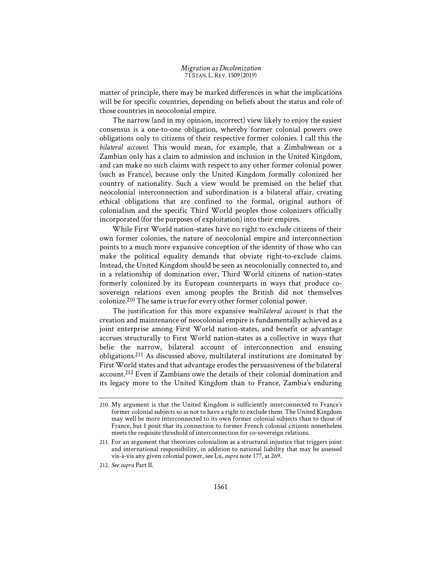matter of principle, there may be marked differences in what the implications will be for specific countries, depending on beliefs about the status and role of those countries in neocolonial empire.

The narrow (and in my opinion, incorrect) view likely to enjoy the easiest consensus is a one-to-one obligation, whereby former colonial powers owe obligations only to citizens of their respective former colonies. I call this the *bilateral account*. This would mean, for example, that a Zimbabwean or a Zambian only has a claim to admission and inclusion in the United Kingdom, and can make no such claims with respect to any other former colonial power (such as France), because only the United Kingdom formally colonized her country of nationality. Such a view would be premised on the belief that neocolonial interconnection and subordination is a bilateral affair, creating ethical obligations that are confined to the formal, original authors of colonialism and the specific Third World peoples those colonizers officially incorporated (for the purposes of exploitation) into their empires.

While First World nation-states have no right to exclude citizens of their own former colonies, the nature of neocolonial empire and interconnection points to a much more expansive conception of the identity of those who can make the political equality demands that obviate right-to-exclude claims. Instead, the United Kingdom should be seen as neocolonially connected to, and in a relationship of domination over, Third World citizens of nation-states formerly colonized by its European counterparts in ways that produce cosovereign relations even among peoples the British did not themselves colonize.210 The same is true for every other former colonial power.

The justification for this more expansive *multilateral account* is that the creation and maintenance of neocolonial empire is fundamentally achieved as a joint enterprise among First World nation-states, and benefit or advantage accrues structurally to First World nation-states as a collective in ways that belie the narrow, bilateral account of interconnection and ensuing obligations.211 As discussed above, multilateral institutions are dominated by First World states and that advantage erodes the persuasiveness of the bilateral account.212 Even if Zambians owe the details of their colonial domination and its legacy more to the United Kingdom than to France, Zambia's enduring

<sup>210.</sup> My argument is that the United Kingdom is sufficiently interconnected to France's former colonial subjects so as not to have a right to exclude them. The United Kingdom may well be more interconnected to its own former colonial subjects than to those of France, but I posit that its connection to former French colonial citizens nonetheless meets the requisite threshold of interconnection for co-sovereign relations.

<sup>211.</sup> For an argument that theorizes colonialism as a structural injustice that triggers joint and international responsibility, in addition to national liability that may be assessed vis-à-vis any given colonial power, see Lu, *supra* note 177, at 269.

<sup>212.</sup> *See supra* Part II.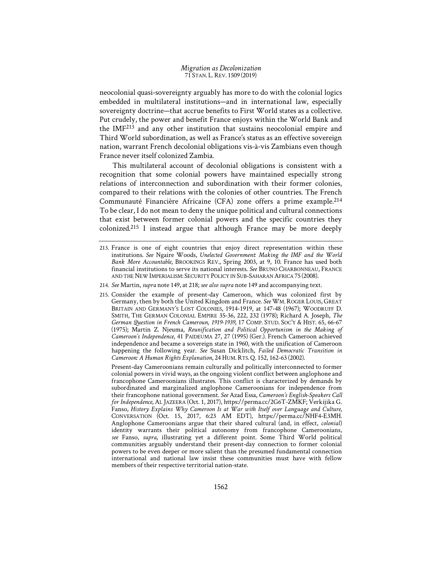neocolonial quasi-sovereignty arguably has more to do with the colonial logics embedded in multilateral institutions—and in international law, especially sovereignty doctrine—that accrue benefits to First World states as a collective. Put crudely, the power and benefit France enjoys within the World Bank and the IMF213 and any other institution that sustains neocolonial empire and Third World subordination, as well as France's status as an effective sovereign nation, warrant French decolonial obligations vis-à-vis Zambians even though France never itself colonized Zambia.

This multilateral account of decolonial obligations is consistent with a recognition that some colonial powers have maintained especially strong relations of interconnection and subordination with their former colonies, compared to their relations with the colonies of other countries. The French Communauté Financière Africaine (CFA) zone offers a prime example.214 To be clear, I do not mean to deny the unique political and cultural connections that exist between former colonial powers and the specific countries they colonized.215 I instead argue that although France may be more deeply

<sup>213.</sup> France is one of eight countries that enjoy direct representation within these institutions. *See* Ngaire Woods, *Unelected Government: Making the IMF and the World Bank More Accountable*, BROOKINGS REV., Spring 2003, at 9, 10. France has used both financial institutions to serve its national interests. *See* BRUNO CHARBONNEAU, FRANCE AND THE NEW IMPERIALISM: SECURITY POLICY IN SUB-SAHARAN AFRICA 75 (2008).

<sup>214.</sup> *See* Martin, *supra* note 149, at 218; *see also supra* note 149 and accompanying text.

<sup>215.</sup> Consider the example of present-day Cameroon, which was colonized first by Germany, then by both the United Kingdom and France. *See* WM. ROGER LOUIS,GREAT BRITAIN AND GERMANY'S LOST COLONIES, 1914-1919, at 147-48 (1967); WOODRUFF D. SMITH, THE GERMAN COLONIAL EMPIRE 35-36, 222, 232 (1978); Richard A. Joseph, *The German Question in French Cameroun, 1919-1939*, 17 COMP. STUD. SOC'Y & HIST. 65, 66-67 (1975); Martin Z. Njeuma, *Reunification and Political Opportunism in the Making of Cameroon's Independence*, 41 PAIDEUMA 27, 27 (1995) (Ger.). French Cameroon achieved independence and became a sovereign state in 1960, with the unification of Cameroon happening the following year. *See* Susan Dicklitch, *Failed Democratic Transition in Cameroon: A Human Rights Explanation*, 24 HUM.RTS.Q. 152, 162-63 (2002).

Present-day Cameroonians remain culturally and politically interconnected to former colonial powers in vivid ways, as the ongoing violent conflict between anglophone and francophone Cameroonians illustrates. This conflict is characterized by demands by subordinated and marginalized anglophone Cameroonians for independence from their francophone national government. *See* Azad Essa, *Cameroon's English-Speakers Call for Independence*, AL JAZEERA (Oct. 1, 2017), https://perma.cc/2G6T-ZMKF; Verkijika G. Fanso, *History Explains Why Cameroon Is at War with Itself over Language and Culture*, CONVERSATION (Oct. 15, 2017, 6:23 AM EDT), https://perma.cc/NHF4-E3MH. Anglophone Cameroonians argue that their shared cultural (and, in effect, *colonial*) identity warrants their political autonomy from francophone Cameroonians, *see* Fanso, *supra*, illustrating yet a different point. Some Third World political communities arguably understand their present-day connection to former colonial powers to be even deeper or more salient than the presumed fundamental connection international and national law insist these communities must have with fellow members of their respective territorial nation-state.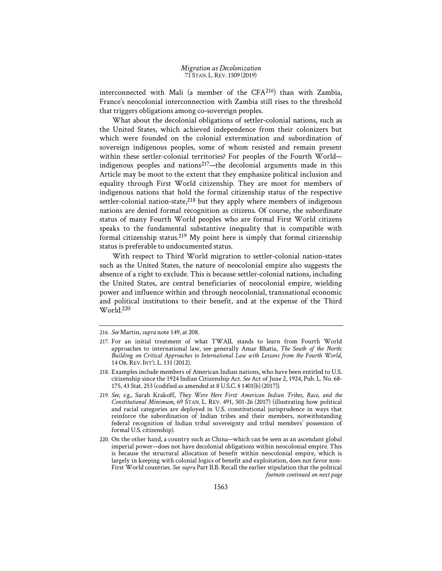interconnected with Mali (a member of the CFA216) than with Zambia, France's neocolonial interconnection with Zambia still rises to the threshold that triggers obligations among co-sovereign peoples.

What about the decolonial obligations of settler-colonial nations, such as the United States, which achieved independence from their colonizers but which were founded on the colonial extermination and subordination of sovereign indigenous peoples, some of whom resisted and remain present within these settler-colonial territories? For peoples of the Fourth World indigenous peoples and nations<sup>217</sup>—the decolonial arguments made in this Article may be moot to the extent that they emphasize political inclusion and equality through First World citizenship. They are moot for members of indigenous nations that hold the formal citizenship status of the respective settler-colonial nation-state, $2^{18}$  but they apply where members of indigenous nations are denied formal recognition as citizens. Of course, the subordinate status of many Fourth World peoples who are formal First World citizens speaks to the fundamental substantive inequality that is compatible with formal citizenship status.219 My point here is simply that formal citizenship status is preferable to undocumented status.

With respect to Third World migration to settler-colonial nation-states such as the United States, the nature of neocolonial empire also suggests the absence of a right to exclude. This is because settler-colonial nations, including the United States, are central beneficiaries of neocolonial empire, wielding power and influence within and through neocolonial, transnational economic and political institutions to their benefit, and at the expense of the Third World.220

<sup>216.</sup> *See* Martin, *supra* note 149, at 208.

<sup>217.</sup> For an initial treatment of what TWAIL stands to learn from Fourth World approaches to international law, see generally Amar Bhatia, *The South of the North: Building on Critical Approaches to International Law with Lessons from the Fourth World*, 14 OR.REV. INT'L L. 131 (2012).

<sup>218.</sup> Examples include members of American Indian nations, who have been entitled to U.S. citizenship since the 1924 Indian Citizenship Act. *See* Act of June 2, 1924, Pub. L. No. 68- 175, 43 Stat. 253 (codified as amended at 8 U.S.C. § 1401(b) (2017)).

<sup>219.</sup> *See, e.g.*, Sarah Krakoff, *They Were Here First: American Indian Tribes, Race, and the Constitutional Minimum*, 69 STAN. L. REV. 491, 501-26 (2017) (illustrating how political and racial categories are deployed in U.S. constitutional jurisprudence in ways that reinforce the subordination of Indian tribes and their members, notwithstanding federal recognition of Indian tribal sovereignty and tribal members' possession of formal U.S. citizenship).

<sup>220.</sup> On the other hand, a country such as China—which can be seen as an ascendant global imperial power—does not have decolonial obligations within neocolonial empire. This is because the structural allocation of benefit within neocolonial empire, which is largely in keeping with colonial logics of benefit and exploitation, does not favor non-First World countries. *See supra* Part II.B. Recall the earlier stipulation that the political *footnote continued on next page*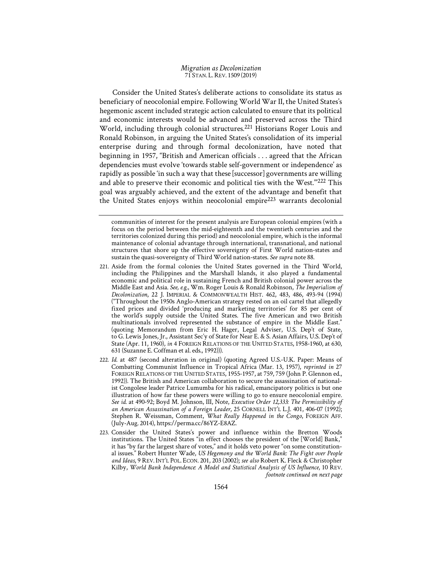Consider the United States's deliberate actions to consolidate its status as beneficiary of neocolonial empire. Following World War II, the United States's hegemonic ascent included strategic action calculated to ensure that its political and economic interests would be advanced and preserved across the Third World, including through colonial structures.<sup>221</sup> Historians Roger Louis and Ronald Robinson, in arguing the United States's consolidation of its imperial enterprise during and through formal decolonization, have noted that beginning in 1957, "British and American officials . . . agreed that the African dependencies must evolve 'towards stable self-government or independence' as rapidly as possible 'in such a way that these [successor] governments are willing and able to preserve their economic and political ties with the West.'"222 This goal was arguably achieved, and the extent of the advantage and benefit that the United States enjoys within neocolonial empire<sup>223</sup> warrants decolonial

- 222. *Id.* at 487 (second alteration in original) (quoting Agreed U.S.-U.K. Paper: Means of Combatting Communist Influence in Tropical Africa (Mar. 13, 1957), *reprinted in* 27 FOREIGN RELATIONS OF THE UNITED STATES, 1955-1957, at 759, 759 (John P. Glennon ed., 1992)). The British and American collaboration to secure the assassination of nationalist Congolese leader Patrice Lumumba for his radical, emancipatory politics is but one illustration of how far these powers were willing to go to ensure neocolonial empire. *See id.* at 490-92; Boyd M. Johnson, III, Note, *Executive Order 12,333: The Permissibility of an American Assassination of a Foreign Leader*, 25 CORNELL INT'L L.J. 401, 406-07 (1992); Stephen R. Weissman, Comment, *What Really Happened in the Congo*, FOREIGN AFF. (July-Aug. 2014), https://perma.cc/86YZ-E8AZ.
- 223. Consider the United States's power and influence within the Bretton Woods institutions. The United States "in effect chooses the president of the [World] Bank," it has "by far the largest share of votes," and it holds veto power "on some constitutional issues." Robert Hunter Wade, *US Hegemony and the World Bank: The Fight over People and Ideas*, 9 REV. INT'L POL. ECON. 201, 203 (2002); *see also* Robert K. Fleck & Christopher Kilby, *World Bank Independence: A Model and Statistical Analysis of US Influence*, 10 REV. *footnote continued on next page*

communities of interest for the present analysis are European colonial empires (with a focus on the period between the mid-eighteenth and the twentieth centuries and the territories colonized during this period) and neocolonial empire, which is the informal maintenance of colonial advantage through international, transnational, and national structures that shore up the effective sovereignty of First World nation-states and sustain the quasi-sovereignty of Third World nation-states. *See supra* note 88.

<sup>221.</sup> Aside from the formal colonies the United States governed in the Third World, including the Philippines and the Marshall Islands, it also played a fundamental economic and political role in sustaining French and British colonial power across the Middle East and Asia. *See, e.g.*, Wm. Roger Louis & Ronald Robinson, *The Imperialism of Decolonization*, 22 J. IMPERIAL & COMMONWEALTH HIST. 462, 483, 486, 493-94 (1994) ("Throughout the 1950s Anglo-American strategy rested on an oil cartel that allegedly fixed prices and divided 'producing and marketing territories' for 85 per cent of the world's supply outside the United States. The five American and two British multinationals involved represented the substance of empire in the Middle East." (quoting Memorandum from Eric H. Hager, Legal Adviser, U.S. Dep't of State, to G. Lewis Jones, Jr., Assistant Sec'y of State for Near E. & S. Asian Affairs, U.S. Dep't of State (Apr. 11, 1960), *in* 4 FOREIGN RELATIONS OF THE UNITED STATES, 1958-1960, at 630, 631 (Suzanne E. Coffman et al. eds., 1992))).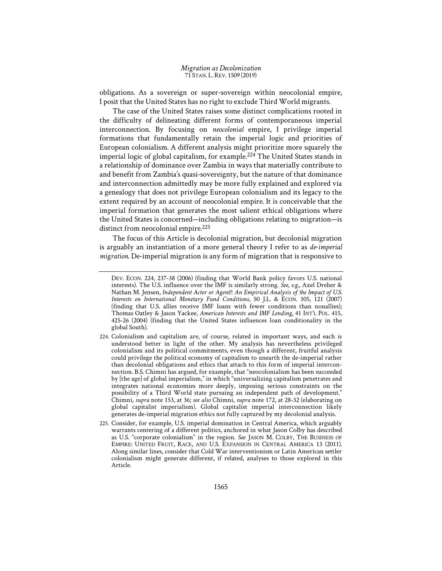obligations. As a sovereign or super-sovereign within neocolonial empire, I posit that the United States has no right to exclude Third World migrants.

The case of the United States raises some distinct complications rooted in the difficulty of delineating different forms of contemporaneous imperial interconnection. By focusing on *neocolonial* empire, I privilege imperial formations that fundamentally retain the imperial logic and priorities of European colonialism. A different analysis might prioritize more squarely the imperial logic of global capitalism, for example.224 The United States stands in a relationship of dominance over Zambia in ways that materially contribute to and benefit from Zambia's quasi-sovereignty, but the nature of that dominance and interconnection admittedly may be more fully explained and explored via a genealogy that does not privilege European colonialism and its legacy to the extent required by an account of neocolonial empire. It is conceivable that the imperial formation that generates the most salient ethical obligations where the United States is concerned—including obligations relating to migration—is distinct from neocolonial empire.<sup>225</sup>

The focus of this Article is decolonial migration, but decolonial migration is arguably an instantiation of a more general theory I refer to as *de-imperial migration*. De-imperial migration is any form of migration that is responsive to

- 224. Colonialism and capitalism are, of course, related in important ways, and each is understood better in light of the other. My analysis has nevertheless privileged colonialism and its political commitments, even though a different, fruitful analysis could privilege the political economy of capitalism to unearth the de-imperial rather than decolonial obligations and ethics that attach to this form of imperial interconnection. B.S. Chimni has argued, for example, that "neocolonialism has been succeeded by [the age] of global imperialism," in which "universalizing capitalism penetrates and integrates national economies more deeply, imposing serious constraints on the possibility of a Third World state pursuing an independent path of development." Chimni, *supra* note 153, at 36; *see also* Chimni, *supra* note 172, at 28-32 (elaborating on global capitalist imperialism). Global capitalist imperial interconnection likely generates de-imperial migration ethics not fully captured by my decolonial analysis.
- 225. Consider, for example, U.S. imperial domination in Central America, which arguably warrants centering of a different politics, anchored in what Jason Colby has described as U.S. "corporate colonialism" in the region. *See* JASON M. COLBY, THE BUSINESS OF EMPIRE: UNITED FRUIT, RACE, AND U.S. EXPANSION IN CENTRAL AMERICA 13 (2011). Along similar lines, consider that Cold War interventionism or Latin American settler colonialism might generate different, if related, analyses to those explored in this Article.

DEV. ECON. 224, 237-38 (2006) (finding that World Bank policy favors U.S. national interests). The U.S. influence over the IMF is similarly strong. *See, e.g.*, Axel Dreher & Nathan M. Jensen, *Independent Actor or Agent?: An Empirical Analysis of the Impact of U.S. Interests on International Monetary Fund Conditions*, 50 J.L. & ECON. 105, 121 (2007) (finding that U.S. allies receive IMF loans with fewer conditions than nonallies); Thomas Oatley & Jason Yackee, *American Interests and IMF Lending*, 41 INT'L POL. 415, 425-26 (2004) (finding that the United States influences loan conditionality in the global South).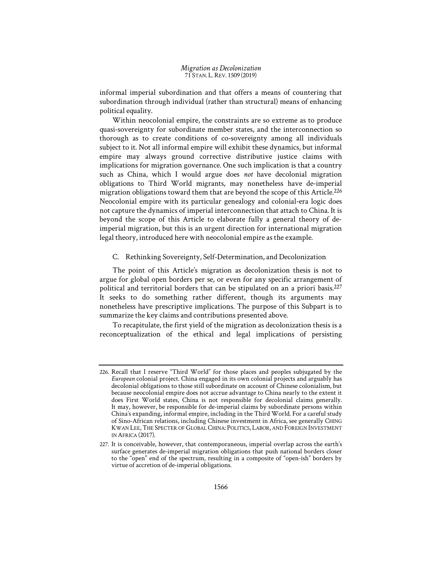informal imperial subordination and that offers a means of countering that subordination through individual (rather than structural) means of enhancing political equality.

Within neocolonial empire, the constraints are so extreme as to produce quasi-sovereignty for subordinate member states, and the interconnection so thorough as to create conditions of co-sovereignty among all individuals subject to it. Not all informal empire will exhibit these dynamics, but informal empire may always ground corrective distributive justice claims with implications for migration governance. One such implication is that a country such as China, which I would argue does *not* have decolonial migration obligations to Third World migrants, may nonetheless have de-imperial migration obligations toward them that are beyond the scope of this Article.<sup>226</sup> Neocolonial empire with its particular genealogy and colonial-era logic does not capture the dynamics of imperial interconnection that attach to China. It is beyond the scope of this Article to elaborate fully a general theory of deimperial migration, but this is an urgent direction for international migration legal theory, introduced here with neocolonial empire as the example.

# C. Rethinking Sovereignty, Self-Determination, and Decolonization

The point of this Article's migration as decolonization thesis is not to argue for global open borders per se, or even for any specific arrangement of political and territorial borders that can be stipulated on an a priori basis.227 It seeks to do something rather different, though its arguments may nonetheless have prescriptive implications. The purpose of this Subpart is to summarize the key claims and contributions presented above.

To recapitulate, the first yield of the migration as decolonization thesis is a reconceptualization of the ethical and legal implications of persisting

<sup>226.</sup> Recall that I reserve "Third World" for those places and peoples subjugated by the *European* colonial project. China engaged in its own colonial projects and arguably has decolonial obligations to those still subordinate on account of Chinese colonialism, but because neocolonial empire does not accrue advantage to China nearly to the extent it does First World states, China is not responsible for decolonial claims generally. It may, however, be responsible for de-imperial claims by subordinate persons within China's expanding, informal empire, including in the Third World. For a careful study of Sino-African relations, including Chinese investment in Africa, see generally CHING KWAN LEE, THE SPECTER OF GLOBAL CHINA: POLITICS, LABOR, AND FOREIGN INVESTMENT IN AFRICA (2017).

<sup>227.</sup> It is conceivable, however, that contemporaneous, imperial overlap across the earth's surface generates de-imperial migration obligations that push national borders closer to the "open" end of the spectrum, resulting in a composite of "open-ish" borders by virtue of accretion of de-imperial obligations.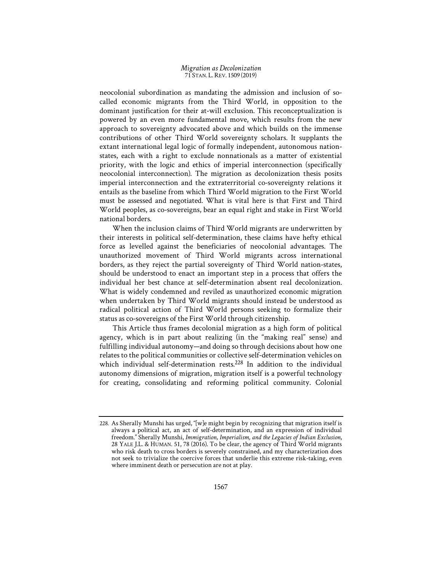neocolonial subordination as mandating the admission and inclusion of socalled economic migrants from the Third World, in opposition to the dominant justification for their at-will exclusion. This reconceptualization is powered by an even more fundamental move, which results from the new approach to sovereignty advocated above and which builds on the immense contributions of other Third World sovereignty scholars. It supplants the extant international legal logic of formally independent, autonomous nationstates, each with a right to exclude nonnationals as a matter of existential priority, with the logic and ethics of imperial interconnection (specifically neocolonial interconnection). The migration as decolonization thesis posits imperial interconnection and the extraterritorial co-sovereignty relations it entails as the baseline from which Third World migration to the First World must be assessed and negotiated. What is vital here is that First and Third World peoples, as co-sovereigns, bear an equal right and stake in First World national borders.

When the inclusion claims of Third World migrants are underwritten by their interests in political self-determination, these claims have hefty ethical force as levelled against the beneficiaries of neocolonial advantages. The unauthorized movement of Third World migrants across international borders, as they reject the partial sovereignty of Third World nation-states, should be understood to enact an important step in a process that offers the individual her best chance at self-determination absent real decolonization. What is widely condemned and reviled as unauthorized economic migration when undertaken by Third World migrants should instead be understood as radical political action of Third World persons seeking to formalize their status as co-sovereigns of the First World through citizenship.

This Article thus frames decolonial migration as a high form of political agency, which is in part about realizing (in the "making real" sense) and fulfilling individual autonomy—and doing so through decisions about how one relates to the political communities or collective self-determination vehicles on which individual self-determination rests.<sup>228</sup> In addition to the individual autonomy dimensions of migration, migration itself is a powerful technology for creating, consolidating and reforming political community. Colonial

<sup>228.</sup> As Sherally Munshi has urged, "[w]e might begin by recognizing that migration itself is always a political act, an act of self-determination, and an expression of individual freedom." Sherally Munshi, *Immigration, Imperialism, and the Legacies of Indian Exclusion*, 28 YALE J.L. & HUMAN. 51, 78 (2016). To be clear, the agency of Third World migrants who risk death to cross borders is severely constrained, and my characterization does not seek to trivialize the coercive forces that underlie this extreme risk-taking, even where imminent death or persecution are not at play.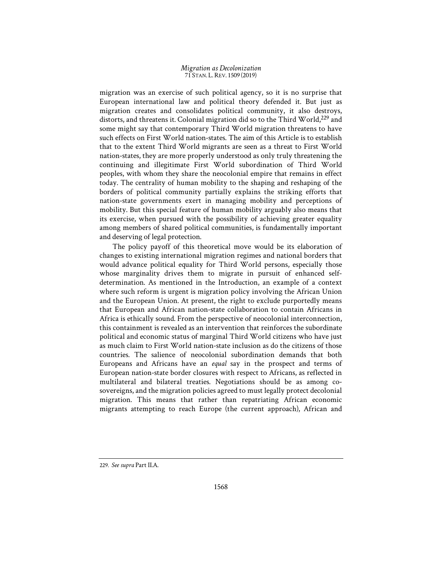migration was an exercise of such political agency, so it is no surprise that European international law and political theory defended it. But just as migration creates and consolidates political community, it also destroys, distorts, and threatens it. Colonial migration did so to the Third World,<sup>229</sup> and some might say that contemporary Third World migration threatens to have such effects on First World nation-states. The aim of this Article is to establish that to the extent Third World migrants are seen as a threat to First World nation-states, they are more properly understood as only truly threatening the continuing and illegitimate First World subordination of Third World peoples, with whom they share the neocolonial empire that remains in effect today. The centrality of human mobility to the shaping and reshaping of the borders of political community partially explains the striking efforts that nation-state governments exert in managing mobility and perceptions of mobility. But this special feature of human mobility arguably also means that its exercise, when pursued with the possibility of achieving greater equality among members of shared political communities, is fundamentally important and deserving of legal protection.

The policy payoff of this theoretical move would be its elaboration of changes to existing international migration regimes and national borders that would advance political equality for Third World persons, especially those whose marginality drives them to migrate in pursuit of enhanced selfdetermination. As mentioned in the Introduction, an example of a context where such reform is urgent is migration policy involving the African Union and the European Union. At present, the right to exclude purportedly means that European and African nation-state collaboration to contain Africans in Africa is ethically sound. From the perspective of neocolonial interconnection, this containment is revealed as an intervention that reinforces the subordinate political and economic status of marginal Third World citizens who have just as much claim to First World nation-state inclusion as do the citizens of those countries. The salience of neocolonial subordination demands that both Europeans and Africans have an *equal* say in the prospect and terms of European nation-state border closures with respect to Africans, as reflected in multilateral and bilateral treaties. Negotiations should be as among cosovereigns, and the migration policies agreed to must legally protect decolonial migration. This means that rather than repatriating African economic migrants attempting to reach Europe (the current approach), African and

<sup>229.</sup> *See supra* Part II.A.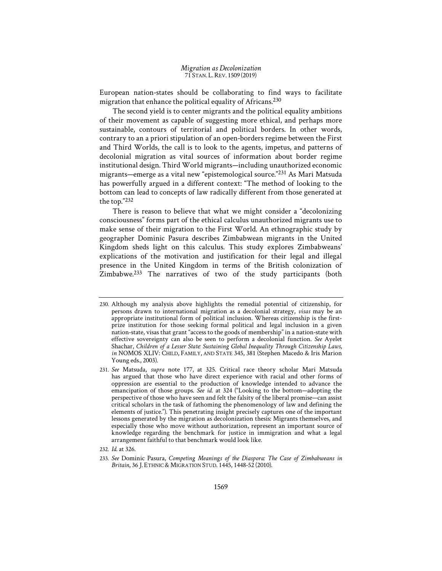European nation-states should be collaborating to find ways to facilitate migration that enhance the political equality of Africans.<sup>230</sup>

The second yield is to center migrants and the political equality ambitions of their movement as capable of suggesting more ethical, and perhaps more sustainable, contours of territorial and political borders. In other words, contrary to an a priori stipulation of an open-borders regime between the First and Third Worlds, the call is to look to the agents, impetus, and patterns of decolonial migration as vital sources of information about border regime institutional design. Third World migrants—including unauthorized economic migrants—emerge as a vital new "epistemological source."231 As Mari Matsuda has powerfully argued in a different context: "The method of looking to the bottom can lead to concepts of law radically different from those generated at the top."232

There is reason to believe that what we might consider a "decolonizing consciousness" forms part of the ethical calculus unauthorized migrants use to make sense of their migration to the First World. An ethnographic study by geographer Dominic Pasura describes Zimbabwean migrants in the United Kingdom sheds light on this calculus. This study explores Zimbabweans' explications of the motivation and justification for their legal and illegal presence in the United Kingdom in terms of the British colonization of Zimbabwe.233 The narratives of two of the study participants (both

<sup>230.</sup> Although my analysis above highlights the remedial potential of citizenship, for persons drawn to international migration as a decolonial strategy, *visas* may be an appropriate institutional form of political inclusion. Whereas citizenship is the firstprize institution for those seeking formal political and legal inclusion in a given nation-state, visas that grant "access to the goods of membership" in a nation-state with effective sovereignty can also be seen to perform a decolonial function. *See* Ayelet Shachar, *Children of a Lesser State: Sustaining Global Inequality Through Citizenship Laws*, *in* NOMOS XLIV: CHILD, FAMILY, AND STATE 345, 381 (Stephen Macedo & Iris Marion Young eds., 2003).

<sup>231.</sup> *See* Matsuda, *supra* note 177, at 325. Critical race theory scholar Mari Matsuda has argued that those who have direct experience with racial and other forms of oppression are essential to the production of knowledge intended to advance the emancipation of those groups. *See id.* at 324 ("Looking to the bottom—adopting the perspective of those who have seen and felt the falsity of the liberal promise—can assist critical scholars in the task of fathoming the phenomenology of law and defining the elements of justice."). This penetrating insight precisely captures one of the important lessons generated by the migration as decolonization thesis: Migrants themselves, and especially those who move without authorization, represent an important source of knowledge regarding the benchmark for justice in immigration and what a legal arrangement faithful to that benchmark would look like.

<sup>232.</sup> *Id.* at 326.

<sup>233.</sup> *See* Dominic Pasura, *Competing Meanings of the Diaspora: The Case of Zimbabweans in Britain*, 36 J. ETHNIC & MIGRATION STUD. 1445, 1448-52 (2010).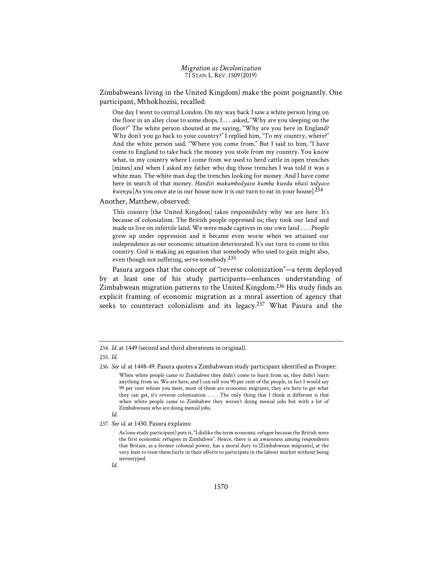Zimbabweans living in the United Kingdom) make the point poignantly. One participant, Mthokhozisi, recalled:

One day I went to central London. On my way back I saw a white person lying on the floor in an alley close to some shops. I . . . .asked, "Why are you sleeping on the floor?" The white person shouted at me saying, "Why are you here in England? Why don't you go back to your country?" I replied him, "To my country, where?" And the white person said, "Where you come from." But I said to him, "I have come to England to take back the money you stole from my country. You know what, in my country where I come from we used to herd cattle in open trenches [mines] and when I asked my father who dug those trenches I was told it was a white man. The white man dug the trenches looking for money. And I have come here in search of that money. *Handiti makambodyavo kumba kwedu nhasi todyavo kwenyu* [As you once ate in our house now it is our turn to eat in your house].234

Another, Matthew, observed:

This country [the United Kingdom] takes responsibility why we are here. It's because of colonialism. The British people oppressed us; they took our land and made us live on infertile land. We were made captives in our own land . . . . People grew up under oppression and it became even worse when we attained our independence as our economic situation deteriorated. It's our turn to come to this country. God is making an equation that somebody who used to gain might also, even though not suffering, serve somebody.<sup>235</sup>

Pasura argues that the concept of "reverse colonization"—a term deployed by at least one of his study participants—enhances understanding of Zimbabwean migration patterns to the United Kingdom.236 His study finds an explicit framing of economic migration as a moral assertion of agency that seeks to counteract colonialism and its legacy.<sup>237</sup> What Pasura and the

*Id.*

237. *See id.* at 1450. Pasura explains:

As [one study participant] puts it, "I dislike the term economic refugee because the British were the first economic refugees in Zimbabwe". Hence, there is an awareness among respondents that Britain, as a former colonial power, has a moral duty to [Zimbabwean migrants], at the very least to treat them fairly in their efforts to participate in the labour market without being stereotyped.

 *Id.* 

<sup>234.</sup> *Id.* at 1449 (second and third alterations in original).

<sup>235.</sup> *Id.*

<sup>236.</sup> *See id.* at 1448-49. Pasura quotes a Zimbabwean study participant identified as Prosper: When white people came to Zimbabwe they didn't come to learn from us, they didn't learn anything from us. We are here, and I can tell you 90 per cent of the people, in fact I would say 99 per cent whom you meet, most of them are economic migrants, they are here to get what they can get, it's reverse colonization . . . . The only thing that I think is different is that when white people came to Zimbabwe they weren't doing menial jobs but with a lot of Zimbabweans who are doing menial jobs.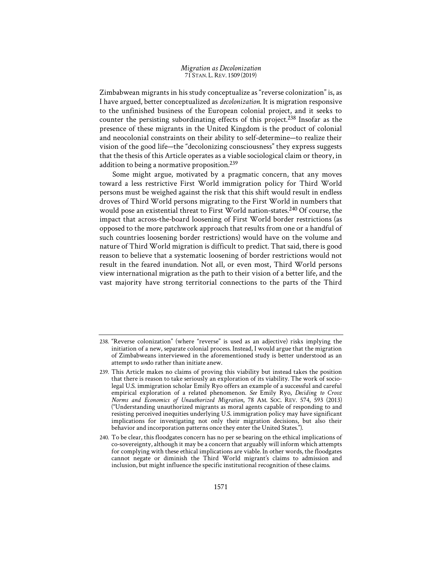Zimbabwean migrants in his study conceptualize as "reverse colonization" is, as I have argued, better conceptualized as *decolonization*. It is migration responsive to the unfinished business of the European colonial project, and it seeks to counter the persisting subordinating effects of this project.238 Insofar as the presence of these migrants in the United Kingdom is the product of colonial and neocolonial constraints on their ability to self-determine—to realize their vision of the good life—the "decolonizing consciousness" they express suggests that the thesis of this Article operates as a viable sociological claim or theory, in addition to being a normative proposition.239

Some might argue, motivated by a pragmatic concern, that any moves toward a less restrictive First World immigration policy for Third World persons must be weighed against the risk that this shift would result in endless droves of Third World persons migrating to the First World in numbers that would pose an existential threat to First World nation-states.240 Of course, the impact that across-the-board loosening of First World border restrictions (as opposed to the more patchwork approach that results from one or a handful of such countries loosening border restrictions) would have on the volume and nature of Third World migration is difficult to predict. That said, there is good reason to believe that a systematic loosening of border restrictions would not result in the feared inundation. Not all, or even most, Third World persons view international migration as the path to their vision of a better life, and the vast majority have strong territorial connections to the parts of the Third

<sup>238. &</sup>quot;Reverse colonization" (where "reverse" is used as an adjective) risks implying the initiation of a new, separate colonial process. Instead, I would argue that the migration of Zimbabweans interviewed in the aforementioned study is better understood as an attempt to *un*do rather than initiate anew.

<sup>239.</sup> This Article makes no claims of proving this viability but instead takes the position that there is reason to take seriously an exploration of its viability. The work of sociolegal U.S. immigration scholar Emily Ryo offers an example of a successful and careful empirical exploration of a related phenomenon. *See* Emily Ryo, *Deciding to Cross: Norms and Economics of Unauthorized Migration*, 78 AM. SOC. REV. 574, 593 (2013) ("Understanding unauthorized migrants as moral agents capable of responding to and resisting perceived inequities underlying U.S. immigration policy may have significant implications for investigating not only their migration decisions, but also their behavior and incorporation patterns once they enter the United States.").

<sup>240.</sup> To be clear, this floodgates concern has no per se bearing on the ethical implications of co-sovereignty, although it may be a concern that arguably will inform which attempts for complying with these ethical implications are viable. In other words, the floodgates cannot negate or diminish the Third World migrant's claims to admission and inclusion, but might influence the specific institutional recognition of these claims.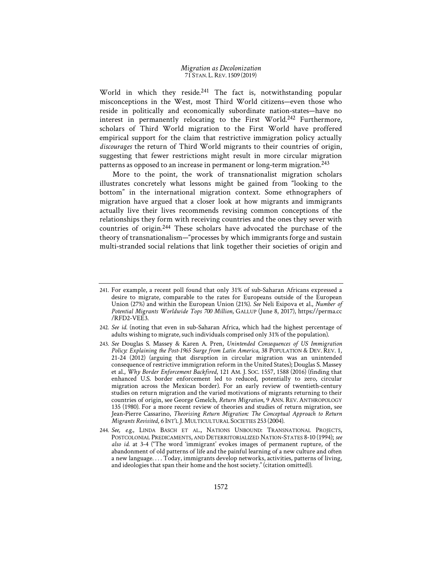World in which they reside. $241$  The fact is, notwithstanding popular misconceptions in the West, most Third World citizens—even those who reside in politically and economically subordinate nation-states—have no interest in permanently relocating to the First World.242 Furthermore, scholars of Third World migration to the First World have proffered empirical support for the claim that restrictive immigration policy actually *discourages* the return of Third World migrants to their countries of origin, suggesting that fewer restrictions might result in more circular migration patterns as opposed to an increase in permanent or long-term migration.<sup>243</sup>

More to the point, the work of transnationalist migration scholars illustrates concretely what lessons might be gained from "looking to the bottom" in the international migration context. Some ethnographers of migration have argued that a closer look at how migrants and immigrants actually live their lives recommends revising common conceptions of the relationships they form with receiving countries and the ones they sever with countries of origin.244 These scholars have advocated the purchase of the theory of transnationalism—"processes by which immigrants forge and sustain multi-stranded social relations that link together their societies of origin and

- 242. *See id.* (noting that even in sub-Saharan Africa, which had the highest percentage of adults wishing to migrate, such individuals comprised only 31% of the population).
- 243. *See* Douglas S. Massey & Karen A. Pren, *Unintended Consequences of US Immigration Policy: Explaining the Post-1965 Surge from Latin America*, 38 POPULATION & DEV. REV. 1, 21-24 (2012) (arguing that disruption in circular migration was an unintended consequence of restrictive immigration reform in the United States); Douglas S. Massey et al., *Why Border Enforcement Backfired*, 121 AM. J. SOC. 1557, 1588 (2016) (finding that enhanced U.S. border enforcement led to reduced, potentially to zero, circular migration across the Mexican border). For an early review of twentieth-century studies on return migration and the varied motivations of migrants returning to their countries of origin, see George Gmelch, *Return Migration*, 9 ANN. REV. ANTHROPOLOGY 135 (1980). For a more recent review of theories and studies of return migration, see Jean-Pierre Cassarino, *Theorising Return Migration: The Conceptual Approach to Return Migrants Revisited*, 6 INT'L J. MULTICULTURAL SOCIETIES 253 (2004).
- 244. *See, e.g.*, LINDA BASCH ET AL., NATIONS UNBOUND: TRANSNATIONAL PROJECTS, POSTCOLONIAL PREDICAMENTS, AND DETERRITORIALIZED NATION-STATES 8-10 (1994); *see also id.* at 3-4 ("The word 'immigrant' evokes images of permanent rupture, of the abandonment of old patterns of life and the painful learning of a new culture and often a new language. . . . Today, immigrants develop networks, activities, patterns of living, and ideologies that span their home and the host society." (citation omitted)).

<sup>241.</sup> For example, a recent poll found that only 31% of sub-Saharan Africans expressed a desire to migrate, comparable to the rates for Europeans outside of the European Union (27%) and within the European Union (21%). *See* Neli Esipova et al., *Number of Potential Migrants Worldwide Tops 700 Million*, GALLUP (June 8, 2017), https://perma.cc /RFD2-VEE3.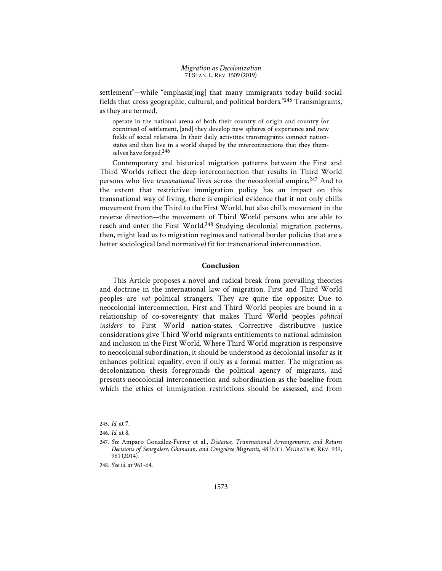settlement"—while "emphasiz[ing] that many immigrants today build social fields that cross geographic, cultural, and political borders."245 Transmigrants, as they are termed,

operate in the national arena of both their country of origin and country (or countries) of settlement, [and] they develop new spheres of experience and new fields of social relations. In their daily activities transmigrants connect nationstates and then live in a world shaped by the interconnections that they themselves have forged.246

Contemporary and historical migration patterns between the First and Third Worlds reflect the deep interconnection that results in Third World persons who live *transnational* lives across the neocolonial empire.247 And to the extent that restrictive immigration policy has an impact on this transnational way of living, there is empirical evidence that it not only chills movement from the Third to the First World, but also chills movement in the reverse direction—the movement of Third World persons who are able to reach and enter the First World.<sup>248</sup> Studying decolonial migration patterns, then, might lead us to migration regimes and national border policies that are a better sociological (and normative) fit for transnational interconnection.

# **Conclusion**

This Article proposes a novel and radical break from prevailing theories and doctrine in the international law of migration. First and Third World peoples are *not* political strangers. They are quite the opposite: Due to neocolonial interconnection, First and Third World peoples are bound in a relationship of co-sovereignty that makes Third World peoples *political insiders* to First World nation-states. Corrective distributive justice considerations give Third World migrants entitlements to national admission and inclusion in the First World. Where Third World migration is responsive to neocolonial subordination, it should be understood as decolonial insofar as it enhances political equality, even if only as a formal matter. The migration as decolonization thesis foregrounds the political agency of migrants, and presents neocolonial interconnection and subordination as the baseline from which the ethics of immigration restrictions should be assessed, and from

<sup>245.</sup> *Id.* at 7.

<sup>246.</sup> *Id.* at 8.

<sup>247.</sup> *See* Amparo González-Ferrer et al., *Distance, Transnational Arrangements, and Return Decisions of Senegalese, Ghanaian, and Congolese Migrants*, 48 INT'L MIGRATION REV. 939, 961 (2014).

<sup>248.</sup> *See id.* at 961-64.